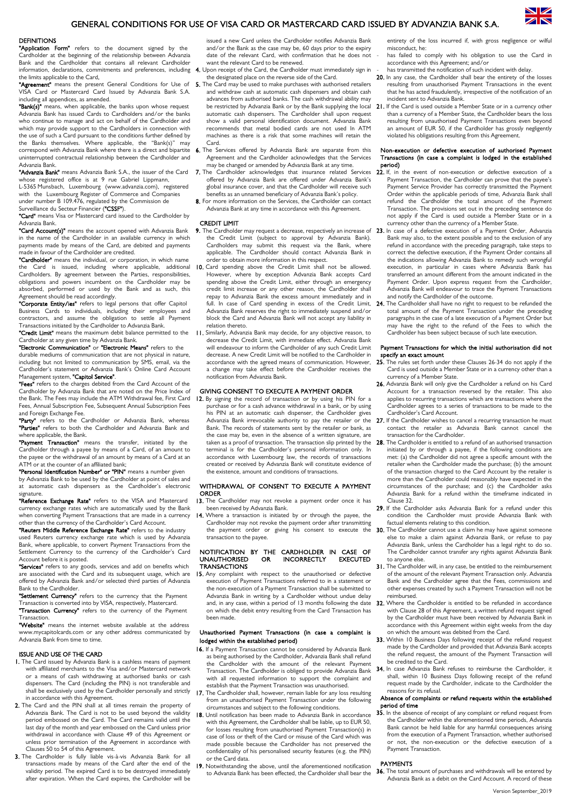## GENERAL CONDITIONS FOR USE OF VISA CARD OR MASTERCARD CARD ISSUED BY ADVANZIA BANK S.A.

## **DEFINITIONS**

"Application Form" refers to the document signed by the Cardholder at the beginning of the relationship between Advanzia Bank and the Cardholder that contains all relevant Cardholder information, declarations, commitments and preferences, including the limits applicable to the Card.

"Agreement" means the present General Conditions for Use of VISA Card or Mastercard Card Issued by Advanzia Bank S.A. including all appendices, as amended.

"Bank(s)" means, when applicable, the banks upon whose request Advanzia Bank has issued Cards to Cardholders and/or the banks who continue to manage and act on behalf of the Cardholder and which may provide support to the Cardholders in connection with the use of such a Card pursuant to the conditions further defined by the Banks themselves. Where applicable, the "Bank(s)" may correspond with Advanzia Bank where there is a direct and bipartite uninterrupted contractual relationship between the Cardholder and Advanzia Bank.

"Advanzia Bank" means Advanzia Bank S.A., the issuer of the Card whose registered office is at 9 rue Gabriel Lippmann,

L-5365 Munsbach, Luxembourg (www.advanzia.com), registered with the Luxembourg Register of Commerce and Companies under number B 109.476, regulated by the Commission de

Surveillance du Secteur Financier ("CSSF").

**"Card"** means Visa or Mastercard card issued to the Cardholder by Advanzia Bank.

"Card Account(s)" means the account opened with Advanzia Bank in the name of the Cardholder in an available currency in which payments made by means of the Card, are debited and payments ade in favour of the Cardholder are credited.

"Cardholder" means the individual, or corporation, in which name the Card is issued, including where applicable, additional Cardholders. By agreement between the Parties, responsibilities, obligations and powers incumbent on the Cardholder may be absorbed, performed or used by the Bank and as such, this Agreement should be read accordingly.

"Corporate Entity/ies" refers to legal persons that offer Capitol Business Cards to individuals, including their employees and contractors, and assume the obligation to settle all Payment Transactions initiated by the Cardholder to Advanzia Bank.

"Credit Limit" means the maximum debit balance permitted to the Cardholder at any given time by Advanzia Bank.<br>**"Electronic Communication"** or **"Electronic Means"** refers to the

durable mediums of communication that are not physical in nature, including but not limited to communication by SMS, email, via the Cardholder's statement or Advanzia Bank's Online Card Account Management system, "Capitol Service".

"Fees" refers to the charges debited from the Card Account of the Cardholder by Advanzia Bank that are noted on the Price Index of the Bank. The Fees may include the ATM Withdrawal fee, First Card Fees, Annual Subscription Fee, Subsequent Annual Subscription Fees and Foreign Exchange Fee.

"Party" refers to the Cardholder or Advanzia Bank, whereas "Parties" refers to both the Cardholder and Advanzia Bank and where applicable, the Bank.

"Payment Transaction" means the transfer, initiated by the Cardholder through a payee by means of a Card, of an amount to the payee or the withdrawal of an amount by means of a Card at an ATM or at the counter of an affiliated bank;

"Personal Identification Number" or "PIN" means a number given by Advanzia Bank to be used by the Cardholder at point of sales and at automatic cash dispensers as the Cardholder's electronic signature.

"Reference Exchange Rate" refers to the VISA and Mastercard currency exchange rates which are automatically used by the Bank when converting Payment Transactions that are made in a currency other than the currency of the Cardholder's Card Account.

"Reuters Middle Reference Exchange Rate" refers to the industry used Reuters currency exchange rate which is used by Advanzia Bank, where applicable, to convert Payment Transactions from the Settlement Currency to the currency of the Cardholder's Card Account before it is posted.

"Services" refers to any goods, services and add on benefits which are associated with the Card and its subsequent usage, which are offered by Advanzia Bank and/or selected third parties of Advanzia Bank to the Cardholder.

"Settlement Currency" refers to the currency that the Payment Transaction is converted into by VISA, respectively, Mastercard.

"Transaction Currency" refers to the currency of the Payment Transaction.

"Website" means the internet website available at the address www.mycapitolcards.com or any other address communicated by Advanzia Bank from time to time.

### ISSUE AND USE OF THE CARD

- 1. The Card issued by Advanzia Bank is a cashless means of payment with affiliated merchants to the Visa and/or Mastercard network or a means of cash withdrawing at authorised banks or cash dispensers. The Card (including the PIN) is not transferable and shall be exclusively used by the Cardholder personally and strictly in accordance with this Agreement.
- 2. The Card and the PIN shall at all times remain the property of Advanzia Bank. The Card is not to be used beyond the validity period embossed on the Card. The Card remains valid until the last day of the month and year embossed on the Card unless prior withdrawal in accordance with Clause 49 of this Agreement or unless prior termination of the Agreement in accordance with Clauses 50 to 54 of this Agreement.
- 3. The Cardholder is fully liable vis-à-vis Advanzia Bank for all transactions made by means of the Card after the end of the validity period. The expired Card is to be destroyed immediately after expiration. When the Card expires, the Cardholder will be

issued a new Card unless the Cardholder notifies Advanzia Bank and/or the Bank as the case may be, 60 days prior to the expiry date of the relevant Card, with confirmation that he does not want the relevant Card to be renewed.

- Upon receipt of the Card, the Cardholder must immediately sign in the designated place on the reverse side of the Card.
- 5. The Card may be used to make purchases with authorised retailers and withdraw cash at automatic cash dispensers and obtain cash advances from authorised banks. The cash withdrawal ability may be restricted by Advanzia Bank or by the Bank supplying the local automatic cash dispensers. The Cardholder shall upon request show a valid personal identification document. Advanzia Bank recommends that metal bodied cards are not used In ATM machines as there is a risk that some machines will retain the Card.
- 6. The Services offered by Advanzia Bank are separate from this Agreement and the Cardholder acknowledges that the Services may be changed or amended by Advanzia Bank at any time.<br>7. The Cardholder acknowledges that insurance related S
- Cardholder acknowledges that insurance related Services offered by Advanzia Bank are offered under Advanzia Bank's global insurance cover, and that the Cardholder will receive such benefits as an unnamed beneficiary of Advanzia Bank's policy.
- 8. For more information on the Services, the Cardholder can contact Advanzia Bank at any time in accordance with this Agreement.

#### CREDIT LIMIT

- the Credit Limit (subject to approval by Advanzia Bank). Cardholders may submit this request via the Bank, where applicable. The Cardholder should contact Advanzia Bank in order to obtain more information in this respect.
- 10. Card spending above the Credit Limit shall not be allowed. However, where by exception Advanzia Bank accepts Card spending above the Credit Limit, either through an emergency credit limit increase or any other reason, the Cardholder shall repay to Advanzia Bank the excess amount immediately and in full. In case of Card spending in excess of the Credit Limit, 24. Advanzia Bank reserves the right to immediately suspend and/or block the Card and Advanzia Bank will not accept any liability in relation thereto.
- 11. Similarly, Advanzia Bank may decide, for any objective reason, to decrease the Credit Limit, with immediate effect. Advanzia Bank will endeavour to inform the Cardholder of any such Credit Limit decrease. A new Credit Limit will be notified to the Cardholder in accordance with the agreed means of communication. However, a change may take effect before the Cardholder receives the notification from Advanzia Bank.

### GIVING CONSENT TO EXECUTE A PAYMENT ORDER

12. By signing the record of transaction or by using his PIN for a purchase or for a cash advance withdrawal in a bank, or by using his PIN at an automatic cash dispenser, the Cardholder gives Advanzia Bank irrevocable authority to pay the retailer or the Bank. The records of statements sent by the retailer or bank, as the case may be, even in the absence of a written signature, are taken as a proof of transaction. The transaction slip printed by the terminal is for the Cardholder's personal information only. In accordance with Luxembourg law, the records of transactions created or received by Advanzia Bank will constitute evidence of the existence, amount and conditions of transactions.

## WITHDRAWAL OF CONSENT TO EXECUTE A PAYMENT **ORDER**

- 13. The Cardholder may not revoke a payment order once it has been received by Advanzia Bank.
- 14. Where a transaction is initiated by or through the payee, the Cardholder may not revoke the payment order after transmitting the payment order or giving his consent to execute the transaction to the payee.

### NOTIFICATION BY THE CARDHOLDER IN CASE OF<br>UNAUTHORISED OR INCORRECTLY EXECUTED **INCORRECTLY TRANSACTIONS**

15. Any complaint with respect to the unauthorised or defective execution of Payment Transactions referred to in a statement or the non-execution of a Payment Transaction shall be submitted to Advanzia Bank in writing by a Cardholder without undue delay and, in any case, within a period of 13 months following the date on which the debit entry resulting from the Card Transaction has been made.

## Unauthorised Payment Transactions (in case a complaint is lodged within the established period)

- 16. If a Payment Transaction cannot be considered by Advanzia Bank as being authorised by the Cardholder, Advanzia Bank shall refund the Cardholder with the amount of the relevant Payment Transaction. The Cardholder is obliged to provide Advanzia Bank with all requested information to support the complaint and establish that the Payment Transaction was unauthorised.
- 17. The Cardholder shall, however, remain liable for any loss resulting from an unauthorised Payment Transaction under the following circumstances and subject to the following conditions.
- 18. Until notification has been made to Advanzia Bank in accordance with this Agreement, the Cardholder shall be liable, up to EUR 50, for losses resulting from unauthorised Payment Transaction(s) in case of loss or theft of the Card or misuse of the Card which was made possible because the Cardholder has not preserved the confidentiality of his personalised security features (e.g. the PIN) or the Card data.
- 19. Notwithstanding the above, until the aforementioned notification to Advanzia Bank has been effected, the Cardholder shall bear the

entirety of the loss incurred if, with gross negligence or wilful misconduct, he: has failed to comply with his obligation to use the Card in

- accordance with this Agreement; and/or has transmitted the notification of such incident with delay.
- 20. In any case, the Cardholder shall bear the entirety of the losses resulting from unauthorised Payment Transactions in the event that he has acted fraudulently, irrespective of the notification of an
- incident sent to Advanzia Bank. 21. If the Card is used outside a Member State or in a currency other than a currency of a Member State, the Cardholder bears the loss resulting from unauthorised Payment Transactions even beyond an amount of EUR 50, if the Cardholder has grossly negligently violated his obligations resulting from this Agreement.

## Non-execution or defective execution of authorised Payment Transactions (in case a complaint is lodged in the established **period)**<br>**22.** If, in the

- event of non-execution or defective execution of a Payment Transaction, the Cardholder can prove that the payee's Payment Service Provider has correctly transmitted the Payment Order within the applicable periods of time, Advanzia Bank shall refund the Cardholder the total amount of the Payment Transaction. The provisions set out in the preceding sentence do not apply if the Card is used outside a Member State or in a currency other than the currency of a Member State.
- 9. The Cardholder may request a decrease, respectively an increase of 23. In case of a defective execution of a Payment Order, Advanzia Bank may also, to the extent possible and to the exclusion of any refund in accordance with the preceding paragraph, take steps to correct the defective execution, if the Payment Order contains all the indications allowing Advanzia Bank to remedy such wrongful execution, in particular in cases where Advanzia Bank has transferred an amount different from the amount indicated in the Payment Order. Upon express request from the Cardholder, Advanzia Bank will endeavour to trace the Payment Transactions and notify the Cardholder of the outcome.
	- The Cardholder shall have no right to request to be refunded the total amount of the Payment Transaction under the preceding paragraphs in the case of a late execution of a Payment Order but may have the right to the refund of the Fees to which the Cardholder has been subject because of such late execution.

#### Payment Transactions for which the initial authorisation did not ecify an exact amount

- 25. The rules set forth under these Clauses 26-34 do not apply if the Card is used outside a Member State or in a currency other than a currency of a Member State.
- 26. Advanzia Bank will only give the Cardholder a refund on his Card Account for a transaction reversed by the retailer. This also applies to recurring transactions which are transactions where the Cardholder agrees to a series of transactions to be made to the Cardholder's Card Account.
- 27. If the Cardholder wishes to cancel a recurring transaction he must contact the retailer as Advanzia Bank cannot cancel the transaction for the Cardholder.
- 28. The Cardholder is entitled to a refund of an authorised transaction initiated by or through a payee, if the following conditions are met: (a) the Cardholder did not agree a specific amount with the retailer when the Cardholder made the purchase; (b) the amount of the transaction charged to the Card Account by the retailer is more than the Cardholder could reasonably have expected in the circumstances of the purchase; and (c) the Cardholder asks Advanzia Bank for a refund within the timeframe indicated in Clause 32.
- 29. If the Cardholder asks Advanzia Bank for a refund under this condition the Cardholder must provide Advanzia Bank with factual elements relating to this condition.
- **30.** The Cardholder cannot use a claim he may have against someone else to make a claim against Advanzia Bank, or refuse to pay Advanzia Bank, unless the Cardholder has a legal right to do so. The Cardholder cannot transfer any rights against Advanzia Bank to anyone else.
- 31. The Cardholder will, in any case, be entitled to the reimbursement of the amount of the relevant Payment Transaction only. Advanzia Bank and the Cardholder agree that the Fees, commissions and other expenses created by such a Payment Transaction will not be reimbursed.
- 32. Where the Cardholder is entitled to be refunded in accordance with Clause 28 of this Agreement, a written refund request signed by the Cardholder must have been received by Advanzia Bank in accordance with this Agreement within eight weeks from the day on which the amount was debited from the Card.
- 33. Within 10 Business Days following receipt of the refund request made by the Cardholder and provided that Advanzia Bank accepts the refund request, the amount of the Payment Transaction will be credited to the Card.
- 34. In case Advanzia Bank refuses to reimburse the Cardholder, it shall, within 10 Business Days following receipt of the refund request made by the Cardholder, indicate to the Cardholder the reasons for its refusal.

#### Absence of complaints or refund requests within the established period of time

35. In the absence of receipt of any complaint or refund request from the Cardholder within the aforementioned time periods, Advanzia Bank cannot be held liable for any harmful consequences arising from the execution of a Payment Transaction, whether authorised or not, the non-execution or the defective execution of a Payment Transaction.

## PAYMENTS

36. The total amount of purchases and withdrawals will be entered by Advanzia Bank as a debit on the Card Account. A record of these

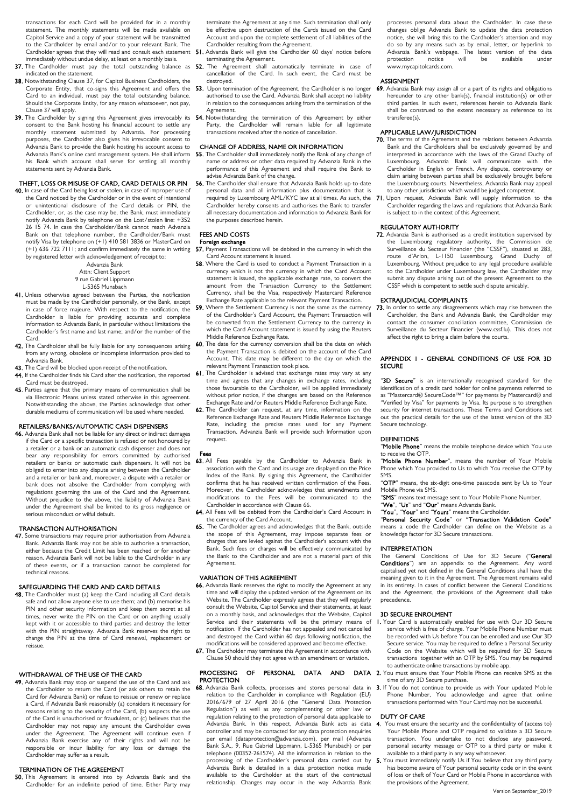transactions for each Card will be provided for in a monthly statement. The monthly statements will be made available on Capitol Service and a copy of your statement will be transmitted to the Cardholder by email and/or to your relevant Bank. The Cardholder agrees that they will read and consult each statement immediately without undue delay, at least on a monthly basis.

- **37.** The Cardholder must pay the total outstanding balance as **52.** The Agreement shall automatically terminate in case of indicated on the statement.
- 38. Notwithstanding Clause 37, for Capitol Business Cardholders, the Corporate Entity, that co-signs this Agreement and offers the 53. Upon termination of the Agreement, the Cardholder is no longer Card to an individual, must pay the total outstanding balance. Should the Corporate Entity, for any reason whatsoever, not pay, Clause 37 will apply.
- 39. The Cardholder by signing this Agreement gives irrevocably its 54. Notwithstanding the termination of this Agreement by either consent to the Bank hosting his financial account to settle any monthly statement submitted by Advanzia. For processing purposes, the Cardholder also gives his irrevocable consent to Advanzia Bank to provide the Bank hosting his account access to Advanzia Bank's online card management system. He shall inform his Bank which account shall serve for settling all monthly statements sent by Advanzia Bank.

## THEFT, LOSS OR MISUSE OF CARD, CARD DETAILS OR PIN

40. In case of the Card being lost or stolen, in case of improper use of the Card noticed by the Cardholder or in the event of intentional or unintentional disclosure of the Card details or PIN, the Cardholder, or, as the case may be, the Bank, must immediately notify Advanzia Bank by telephone on the Lost/stolen line: +352 26 15 74. In case the Cardholder/Bank cannot reach Advanzia Bank on that telephone number, the Cardholder/Bank must notify Visa by telephone on (+1) 410 581 3836 or MasterCard on (+1) 636 722 7111; and confirm immediately the same in writing by registered letter with acknowledgement of receipt to:

Advanzia Bank

#### Attn: Client Support 9 rue Gabriel Lippmann

- L-5365 Munsbach
- 41. Unless otherwise agreed between the Parties, the notification must be made by the Cardholder personally, or the Bank, except in case of force majeure. With respect to the notification, the Cardholder is liable for providing accurate and complete information to Advanzia Bank, in particular without limitations the Cardholder's first name and last name; and/or the number of the Card.
- **42.** The Cardholder shall be fully liable for any consequences arising from any wrong, obsolete or incomplete information provided to Advanzia Bank.
- 43. The Card will be blocked upon receipt of the notification.
- 44. If the Cardholder finds his Card after the notification, the reported Card must be destroyed.
- 45. Parties agree that the primary means of communication shall be via Electronic Means unless stated otherwise in this agreement. Notwithstanding the above, the Parties acknowledge that other durable mediums of communication will be used where needed.

## RETAILERS/BANKS/AUTOMATIC CASH DISPENSERS

46. Advanzia Bank shall not be liable for any direct or indirect damages if the Card or a specific transaction is refused or not honoured by a retailer or a bank or an automatic cash dispenser and does not bear any responsibility for errors committed by authorised retailers or banks or automatic cash dispensers. It will not be obliged to enter into any dispute arising between the Cardholder and a retailer or bank and, moreover, a dispute with a retailer or bank does not absolve the Cardholder from complying with regulations governing the use of the Card and the Agreement. Without prejudice to the above, the liability of Advanzia Bank under the Agreement shall be limited to its gross negligence or serious misconduct or wilful default.

## TRANSACTION AUTHORISATION

47. Some transactions may require prior authorisation from Advanzia Bank. Advanzia Bank may not be able to authorise a transaction, either because the Credit Limit has been reached or for another reason. Advanzia Bank will not be liable to the Cardholder in any of these events, or if a transaction cannot be completed for technical reasons.

## SAFEGUARDING THE CARD AND CARD DETAILS

48. The Cardholder must (a) keep the Card including all Card details safe and not allow anyone else to use them; and (b) memorise his PIN and other security information and keep them secret at all times, never write the PIN on the Card or on anything usually kept with it or accessible to third parties and destroy the letter with the PIN straightaway. Advanzia Bank reserves the right to change the PIN at the time of Card renewal, replacement or reissue.

### WITHDRAWAL OF THE USE OF THE CARD

49. Advanzia Bank may stop or suspend the use of the Card and ask the Cardholder to return the Card (or ask others to retain the Card for Advanzia Bank) or refuse to reissue or renew or replace a Card, if Advanzia Bank reasonably (a) considers it necessary for reasons relating to the security of the Card, (b) suspects the use of the Card is unauthorised or fraudulent, or (c) believes that the Cardholder may not repay any amount the Cardholder owes under the Agreement. The Agreement will continue even if Advanzia Bank exercise any of their rights and will not be responsible or incur liability for any loss or damage the Cardholder may suffer as a result.

## TERMINATION OF THE AGREEMENT

**50.** This Agreement is entered into by Advanzia Bank and the Cardholder for an indefinite period of time. Either Party may

terminate the Agreement at any time. Such termination shall only be effective upon destruction of the Cards issued on the Card Account and upon the complete settlement of all liabilities of the Cardholder resulting from the Agreement.

- . Advanzia Bank will give the Cardholder 60 days' notice before terminating the Agreement.
- cancellation of the Card. In such event, the Card must be destroyed.
- authorised to use the Card. Advanzia Bank shall accept no liability in relation to the consequences arising from the termination of the Agreement.
- Party, the Cardholder will remain liable for all legitimate transactions received after the notice of cancellation.

## CHANGE OF ADDRESS, NAME OR INFORMATION

- 55. The Cardholder shall immediately notify the Bank of any change of name or address or other data required by Advanzia Bank in the performance of this Agreement and shall require the Bank to advise Advanzia Bank of the change.
- 56. The Cardholder shall ensure that Advanzia Bank holds up-to-date personal data and all information plus documentation that is required by Luxembourg AML/KYC law at all times. As such, the Cardholder hereby consents and authorises the Bank to transfer all necessary documentation and information to Advanzia Bank for the purposes described herein.

## FEES AND COSTS

#### Foreign exchange

- 57. Payment Transactions will be debited in the currency in which the Card Account statement is issued.
- 58. Where the Card is used to conduct a Payment Transaction in a currency which is not the currency in which the Card Account statement is issued, the applicable exchange rate, to convert the amount from the Transaction Currency to the Settlement Currency, shall be the Visa, respectively Mastercard Reference Exchange Rate applicable to the relevant Payment Transaction.
- 59. Where the Settlement Currency is not the same as the currency of the Cardholder's Card Account, the Payment Transaction will be converted from the Settlement Currency to the currency in which the Card Account statement is issued by using the Reuters Middle Reference Exchange Rate.
- 60. The date for the currency conversion shall be the date on which the Payment Transaction is debited on the account of the Card Account. This date may be different to the day on which the relevant Payment Transaction took place.
- 61. The Cardholder is advised that exchange rates may vary at any time and agrees that any changes in exchange rates, including those favourable to the Cardholder, will be applied immediately without prior notice, if the changes are based on the Reference Exchange Rate and/or Reuters Middle Reference Exchange Rate.
- 62. The Cardholder can request, at any time, information on the Reference Exchange Rate and Reuters Middle Reference Exchange Rate, including the precise rates used for any Payment Transaction. Advanzia Bank will provide such Information upon request.

#### Fees

- 63. All Fees payable by the Cardholder to Advanzia Bank in association with the Card and its usage are displayed on the Price Index of the Bank. By signing this Agreement, the Cardholder confirms that he has received written confirmation of the Fees. Moreover, the Cardholder acknowledges that amendments and modifications to the Fees will be communicated to the Cardholder in accordance with Clause 66.
- 64. All Fees will be debited from the Cardholder's Card Account in the currency of the Card Account.
- 65. The Cardholder agrees and acknowledges that the Bank, outside the scope of this Agreement, may impose separate fees or charges that are levied against the Cardholder's account with the Bank. Such fees or charges will be effectively communicated by the Bank to the Cardholder and are not a material part of this Agreement.

## VARIATION OF THIS AGREEMENT

- 66. Advanzia Bank reserves the right to modify the Agreement at any time and will display the updated version of the Agreement on its Website. The Cardholder expressly agrees that they will regularly consult the Website, Capitol Service and their statements, at least on a monthly basis, and acknowledges that the Website, Capitol Service and their statements will be the primary means of notification. If the Cardholder has not appealed and not cancelled and destroyed the Card within 60 days following notification, the modifications will be considered approved and become effective.
- 67. The Cardholder may terminate this Agreement in accordance with Clause 50 should they not agree with an amendment or variation.

## **PROTECTION**

68. Advanzia Bank collects, processes and stores personal data in relation to the Cardholder in compliance with Regulation (EU) 2016/679 of 27 April 2016 (the "General Data Protection Regulation") as well as any complementing or other law or regulation relating to the protection of personal data applicable to Advanzia Bank. In this respect, Advanzia Bank acts as data controller and may be contacted for any data protection enquiries per email (dataprotection@advanzia.com), per mail (Advanzia Bank S.A., 9, Rue Gabriel Lippmann, L-5365 Munsbach) or per telephone (00352-261574). All the information in relation to the processing of the Cardholder's personal data carried out by Advanzia Bank is detailed in a data protection notice made available to the Cardholder at the start of the contractual relationship. Changes may occur in the way Advanzia Bank

processes personal data about the Cardholder. In case these changes oblige Advanzia Bank to update the data protection notice, she will bring this to the Cardholder's attention and may do so by any means such as by email, letter, or hyperlink to Advanzia Bank's webpage. The latest version of the data<br>protection notice will be available under protection www.mycapitolcards.com.

#### ASSIGNMENT

69. Advanzia Bank may assign all or a part of its rights and obligations hereunder to any other bank(s), financial institution(s) or other third parties. In such event, references herein to Advanzia Bank shall be construed to the extent necessary as reference to its transferee(s).

## APPLICABLE LAW/JURISDICTION<br>70. The terms of the Agreement and the

- The terms of the Agreement and the relations between Advanzia Bank and the Cardholders shall be exclusively governed by and interpreted in accordance with the laws of the Grand Duchy of Luxembourg. Advanzia Bank will communicate with the Cardholder in English or French. Any dispute, controversy or claim arising between parties shall be exclusively brought before the Luxembourg courts. Nevertheless, Advanzia Bank may appeal to any other jurisdiction which would be judged competent.
- 71. Upon request, Advanzia Bank will supply information to the Cardholder regarding the laws and regulations that Advanzia Bank is subject to in the context of this Agreement.

## REGULATORY AUTHORITY

72. Advanzia Bank is authorised as a credit institution supervised by the Luxembourg regulatory authority, the Commission de Surveillance du Secteur Financier (the "CSSF"), situated at 283, For contained de betteen minimier (the best ), situated at 200;<br>route d'Arlon, L-1150 Luxembourg, Grand Duchy of Luxembourg. Without prejudice to any legal procedure available to the Cardholder under Luxembourg law, the Cardholder may submit any dispute arising out of the present Agreement to the CSSF which is competent to settle such dispute amicably.

## EXTRAJUDICIAL COMPLAINTS

73. In order to settle any disagreements which may rise between the Cardholder, the Bank and Advanzia Bank, the Cardholder may contact the consumer conciliation committee, Commission de Surveillance du Secteur Financier (www.cssf.lu). This does not affect the right to bring a claim before the courts.

### APPENDIX 1 - GENERAL CONDITIONS OF USE FOR 3D **SECURE**

"3D Secure" is an internationally recognised standard for the identification of a credit card holder for online payments referred to as "Mastercard® SecureCode™" for payments by Mastercard® and "Verified by Visa" for payments by Visa. Its purpose is to strengthen security for internet transactions. These Terms and Conditions set out the practical details for the use of the latest version of the 3D Secure technology.

## DEFINITIONS

"Mobile Phone" means the mobile telephone device which You use to receive the OTP.

"Mobile Phone Number", means the number of Your Mobile Phone which You provided to Us to which You receive the OTP by SMS.

"OTP" means, the six-digit one-time passcode sent by Us to Your Mobile Phone via SMS.

"SMS" means text message sent to Your Mobile Phone Number. "We", "Us" and "Our" means Advanzia Bank.

You", "Your" and "Yours" means the Cardholder

"Personal Security Code" or "Transaction Validation Code" means a code the Cardholder can define on the Website as a knowledge factor for 3D Secure transactions.

#### INTERPRETATION

The General Conditions of Use for 3D Secure ("**General**<br>**Conditions**") are an appendix to the Agreement. Any word capitalised yet not defined in the General Conditions shall have the meaning given to it in the Agreement. The Agreement remains valid in its entirety. In cases of conflict between the General Conditions and the Agreement, the provisions of the Agreement shall take precedence.

## 3D SECURE ENROLMENT

- 1. Your Card is automatically enabled for use with Our 3D Secure service which is free of charge. Your Mobile Phone Number must be recorded with Us before You can be enrolled and use Our 3D Secure service. You may be required to define a Personal Security Code on the Website which will be required for 3D Secure transactions together with an OTP by SMS. You may be required to authenticate online transactions by mobile app.
- PROCESSING OF PERSONAL DATA AND DATA 2. You must ensure that Your Mobile Phone can receive SMS at the time of any 3D Secure purchase.
	- 3. If You do not continue to provide us with Your updated Mobile Phone Number, You acknowledge and agree that online transactions performed with Your Card may not be successful.

### DUTY OF CARE

- 4. You must ensure the security and the confidentiality of (access to) Your Mobile Phone and OTP required to validate a 3D Secure transaction. You undertake to not disclose any password, personal security message or OTP to a third party or make it available to a third party in any way whatsoever.
- 5. You must immediately notify Us if You believe that any third party has become aware of Your personal security code or in the event of loss or theft of Your Card or Mobile Phone in accordance with the provisions of the Agreement.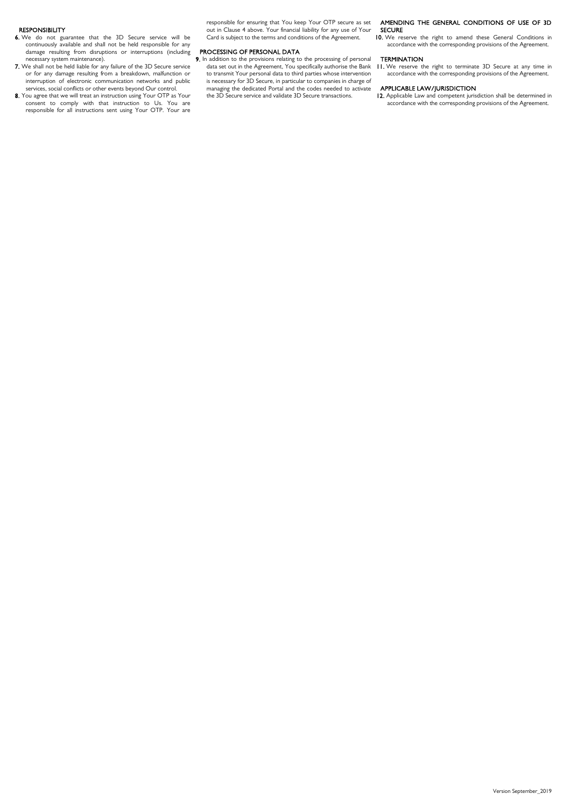## RESPONSIBILITY

- 6. We do not guarantee that the 3D Secure service will be continuously available and shall not be held responsible for any damage resulting from disruptions or interruptions (including necessary system maintenance).
- 7. We shall not be held liable for any failure of the 3D Secure service or for any damage resulting from a breakdown, malfunction or interruption of electronic communication networks and public services, social conflicts or other events beyond Our control.
- 8. You agree that we will treat an instruction using Your OTP as Your consent to comply with that instruction to Us. You are responsible for all instructions sent using Your OTP. Your are

responsible for ensuring that You keep Your OTP secure as set out in Clause 4 above. Your financial liability for any use of Your Card is subject to the terms and conditions of the Agreement.

## PROCESSING OF PERSONAL DATA

9. In addition to the provisions relating to the processing of personal data set out in the Agreement, You specifically authorise the Bank to transmit Your personal data to third parties whose intervention is necessary for 3D Secure, in particular to companies in charge of managing the dedicated Portal and the codes needed to activate the 3D Secure service and validate 3D Secure transactions.

## AMENDING THE GENERAL CONDITIONS OF USE OF 3D SECURE

10. We reserve the right to amend these General Conditions in accordance with the corresponding provisions of the Agreement.

## **TERMINATION**

11. We reserve the right to terminate 3D Secure at any time in accordance with the corresponding provisions of the Agreement.

## APPLICABLE LAW/JURISDICTION

12. Applicable Law and competent jurisdiction shall be determined in accordance with the corresponding provisions of the Agreement.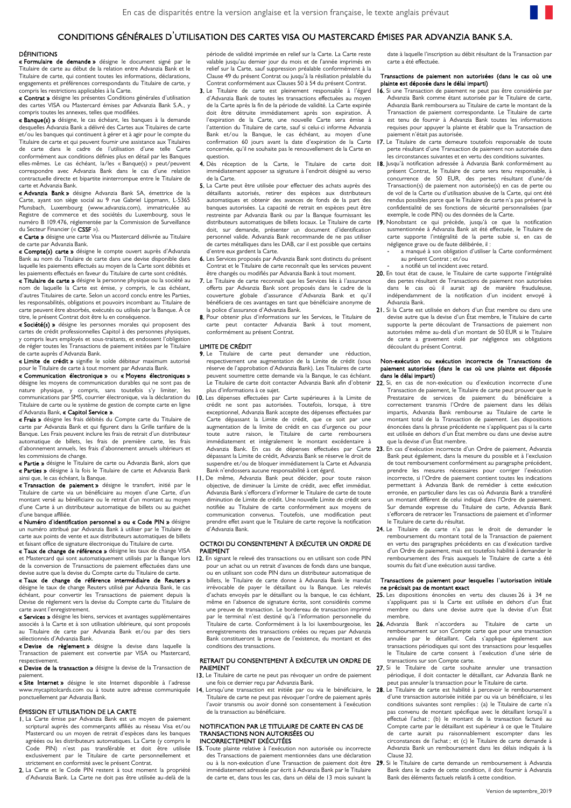## CONDITIONS GÉNÉRALES D'UTILISATION DES CARTES VISA OU MASTERCARD ÉMISES PAR ADVANZIA BANK S.A.

## DÉFINITIONS

« Formulaire de demande » désigne le document signé par le Titulaire de carte au début de la relation entre Advanzia Bank et le Titulaire de carte, qui contient toutes les informations, déclarations, engagements et préférences correspondants du Titulaire de carte, y compris les restrictions applicables à la Carte.

« Contrat » désigne les présentes Conditions générales d'utilisation des cartes VISA ou Mastercard émises par Advanzia Bank S.A., y compris toutes les annexes, telles que modifiées.

« Banque(s) » désigne, le cas échéant, les banques à la demande desquelles Advanzia Bank a délivré des Cartes aux Titulaires de carte et/ou les banques qui continuent à gérer et à agir pour le compte du Titulaire de carte et qui peuvent fournir une assistance aux Titulaires de carte dans le cadre de l'utilisation d'une telle Carte conformément aux conditions définies plus en détail par les Banques elles-mêmes. Le cas échéant, la/les « Banque(s) » peut/peuvent correspondre avec Advanzia Bank dans le cas d'une relation contractuelle directe et bipartite ininterrompue entre le Titulaire de carte et Advanzia Bank.

« Advanzia Bank » désigne Advanzia Bank SA, émettrice de la Carte, ayant son siège social au 9 rue Gabriel Lippmann, L-5365 Munsbach, Luxembourg (www.advanzia.com), immatriculée au Registre de commerce et des sociétés du Luxembourg, sous le numéro B 109.476, réglementée par la Commission de Surveillance du Secteur Financier (« CSSF »).

« Carte » désigne une carte Visa ou Mastercard délivrée au Titulaire de carte par Advanzia Bank.

« Compte(s) carte » désigne le compte ouvert auprès d'Advanzia Bank au nom du Titulaire de carte dans une devise disponible dans laquelle les paiements effectués au moyen de la Carte sont débités et les paiements effectués en faveur du Titulaire de carte sont crédités.

« Titulaire de carte » désigne la personne physique ou la société au nom de laquelle la Carte est émise, y compris, le cas échéant, d'autres Titulaires de carte. Selon un accord conclu entre les Parties, les responsabilités, obligations et pouvoirs incombant au Titulaire de carte peuvent être absorbés, exécutés ou utilisés par la Banque. À ce titre, le présent Contrat doit être lu en conséquence.

« Société(s) » désigne les personnes morales qui proposent des cartes de crédit professionnelles Capitol à des personnes physiques, y compris leurs employés et sous-traitants, et endossent l'obligation de régler toutes les Transactions de paiement initiées par le Titulaire de carte auprès d'Advanzia Bank.

« Limite de crédit » signifie le solde débiteur maximum autorisé pour le Titulaire de carte à tout moment par Advanzia Bank.

« Communication électronique » ou « Moyens électroniques » désigne les moyens de communication durables qui ne sont pas de nature physique, y compris, sans toutefois s'y limiter, les plus-d'informationsàce-sujet.<br>communications-par-SMS,courrier-électronique,via-la-déclaration-du **10.**Les-dépenses-effectuées-par-Carte-supérieures-à-la-Limite-Titulaire de carte ou le système de gestion de compte carte en ligne d'Advanzia Bank, « Capitol Service ».

« Frais » désigne les frais débités du Compte carte du Titulaire de carte par Advanzia Bank et qui figurent dans la Grille tarifaire de la Banque. Les Frais peuvent inclure les frais de retrait d'un distributeur automatique de billets, les frais de première carte, les frais d'abonnement annuels, les frais d'abonnement annuels ultérieurs et les commissions de change.

« Partie » désigne le Titulaire de carte ou Advanzia Bank, alors que « Parties » désigne à la fois le Titulaire de carte et Advanzia Bank ainsi que, le cas échéant, la Banque.

« Transaction de paiement » désigne le transfert, initié par le Titulaire de carte via un bénéficiaire au moyen d'une Carte, d'un montant versé au bénéficiaire ou le retrait d'un montant au moyen d'une Carte à un distributeur automatique de billets ou au guichet d'une banque affiliée.

« Numéro d'identification personnel » ou « Code PIN » désigne un numéro attribué par Advanzia Bank à utiliser par le Titulaire de carte aux points de vente et aux distributeurs automatiques de billets et faisant office de signature électronique du Titulaire de carte.

« Taux de change de référence » désigne les taux de change VISA et Mastercard qui sont automatiquement utilisés par la Banque lors de la conversion de Transactions de paiement effectuées dans une devise autre que la devise du Compte carte du Titulaire de carte.

« Taux de change de référence intermédiaire de Reuters » désigne le taux de change Reuters utilisé par Advanzia Bank, le cas échéant, pour convertir les Transactions de paiement depuis la Devise de règlement vers la devise du Compte carte du Titulaire de carte avant l'enregistrement.

« Services » désigne les biens, services et avantages supplémentaires associés à la Carte et à son utilisation ultérieure, qui sont proposés au Titulaire de carte par Advanzia Bank et/ou par des tiers sélectionnés d'Advanzia Bank.

« Devise de règlement » désigne la devise dans laquelle la Transaction de paiement est convertie par VISA ou Mastercard, respectivement.

« Devise de la transaction » désigne la devise de la Transaction de paiement.

« Site Internet » désigne le site Internet disponible à l'adresse ponctuellement par Advanzia Bank.

## ÉMISSION ET UTILISATION DE LA CARTE

- 1. La Carte émise par Advanzia Bank est un moyen de paiement scriptural auprès des commerçants affiliés au réseau Visa et/ou Mastercard ou un moyen de retrait d'espèces dans les banques agréées ou les distributeurs automatiques. La Carte (y compris le Code PIN) n'est pas transférable et doit être utilisée exclusivement par le Titulaire de carte personnellement et strictement en conformité avec le présent Contrat.
- 2. La Carte et le Code PIN restent à tout moment la propriété d'Advanzia Bank. La Carte ne doit pas être utilisée au-delà de la

période de validité imprimée en relief sur la Carte. La Carte reste valable jusqu'au dernier jour du mois et de l'année imprimés en relief sur la Carte, sauf suppression préalable conformément à la Clause 49 du présent Contrat ou jusqu'à la résiliation préalable du Contrat conformément aux Clauses 50 à 54 du présent Contrat.

- 3. Le Titulaire de carte est pleinement responsable à l'égard d'Advanzia Bank de toutes les transactions effectuées au moyen de la Carte après la fin de la période de validité. La Carte expirée doit être détruite immédiatement après son expiration. À l'expiration de la Carte, une nouvelle Carte sera émise à l'attention du Titulaire de carte, sauf si celui-ci informe Advanzia Bank et/ou la Banque, le cas échéant, au moyen d'une confirmation 60 jours avant la date d'expiration de la Carte concernée, qu'il ne souhaite pas le renouvellement de la Carte en question.
- immédiatement apposer sa signature à l'endroit désigné au verso de la Carte.
- 5. La Carte peut être utilisée pour effectuer des achats auprès des détaillants autorisés, retirer des espèces aux distributeurs automatiques et obtenir des avances de fonds de la part des banques autorisées. La capacité de retrait en espèces peut être restreinte par Advanzia Bank ou par la Banque fournissant les distributeurs automatiques de billets locaux. Le Titulaire de carte doit, sur demande, présenter un document d'identification personnel valide. Advanzia Bank recommande de ne pas utiliser de cartes métalliques dans les DAB, car il est possible que certains d'entre eux gardent la Carte.
- 6. Les Services proposés par Advanzia Bank sont distincts du présent Contrat et le Titulaire de carte reconnaît que les services peuvent être changés ou modifiés par Advanzia Bank à tout moment.
- 7. Le Titulaire de carte reconnaît que les Services liés à l'assurance offerts par Advanzia Bank sont proposés dans le cadre de la couverture globale d'assurance d'Advanzia Bank et qu'il bénéficiera de ces avantages en tant que bénéficiaire anonyme de la police d'assurance d'Advanzia Bank.
- 8. Pour obtenir plus d'informations sur les Services, le Titulaire de carte peut contacter Advanzia Bank à tout moment, conformément au présent Contrat.

#### LIMITE DE CRÉDIT

- 9. Le Titulaire de carte peut demander une réduction. respectivement une augmentation de la Limite de crédit (sous réserve de l'approbation d'Advanzia Bank). Les Titulaires de carte peuvent soumettre cette demande via la Banque, le cas échéant. Le Titulaire de carte doit contacter Advanzia Bank afin d'obtenir
- crédit ne sont pas autorisées. Toutefois, lorsque, à titre exceptionnel, Advanzia Bank accepte des dépenses effectuées par Carte dépassant la Limite de crédit, que ce soit par une augmentation de la limite de crédit en cas d'urgence ou pour toute autre raison, le Titulaire de carte remboursera immédiatement et intégralement le montant excédentaire à Advanzia Bank. En cas de dépenses effectuées par Carte 23. En cas d'exécution incorrecte d'un Ordre de paiement, Advanzia dépassant la Limite de crédit, Advanzia Bank se réserve le droit de suspendre et/ou de bloquer immédiatement la Carte et Advanzia Bank n'endossera aucune responsabilité à cet égard.
- 11. De même, Advanzia Bank peut décider, pour toute raison objective, de diminuer la Limite de crédit, avec effet immédiat. Advanzia Bank s'efforcera d'informer le Titulaire de carte de toute diminution de Limite de crédit. Une nouvelle Limite de crédit sera notifiée au Titulaire de carte conformément aux moyens de communication convenus. Toutefois, une modification peut prendre effet avant que le Titulaire de carte reçoive la notification d'Advanzia Bank.

### OCTROI DU CONSENTEMENT À EXÉCUTER UN ORDRE DE PAIEMENT

12. En signant le relevé des transactions ou en utilisant son code PIN pour un achat ou un retrait d'avances de fonds dans une banque, ou en utilisant son code PIN dans un distributeur automatique de billets, le Titulaire de carte donne à Advanzia Bank le mandat irrévocable de payer le détaillant ou la Banque. Les relevés d'achats envoyés par le détaillant ou la banque, le cas échéant, même en l'absence de signature écrite, sont considérés comme une preuve de transaction. Le bordereau de transaction imprimé par le terminal n'est destiné qu'à l'information personnelle du enregistrements des transactions créées ou reçues par Advanzia Bank constitueront la preuve de l'existence, du montant et des conditions des transactions.

## RETRAIT DU CONSENTEMENT À EXÉCUTER UN ORDRE DE PAIEMENT

- 13. Le Titulaire de carte ne peut pas révoquer un ordre de paiement une fois ce dernier reçu par Advanzia Bank.
- Titulaire de carte ne peut pas révoquer l'ordre de paiement après l'avoir transmis ou avoir donné son consentement à l'exécution de la transaction au bénéficiaire.

## NOTIFICATION PAR LE TITULAIRE DE CARTE EN CAS DE TRANSACTIONS NON AUTORISÉES OU INCORRECTEMENT EXÉCUTÉES<br>15. Toute plainte relative à l'exécution

Toute plainte relative à l'exécution non autorisée ou incorrecte des Transactions de paiement mentionnées dans une déclaration immédiatement adressée par écrit à Advanzia Bank par le Titulaire de carte et, dans tous les cas, dans un délai de 13 mois suivant la date à laquelle l'inscription au débit résultant de la Transaction par carte a été effectuée.

#### Transactions de paiement non autorisées (dans le cas où une plainte est déposée dans le délai imparti)

- 16. Si une Transaction de paiement ne peut pas être considérée par Advanzia Bank comme étant autorisée par le Titulaire de carte, Advanzia Bank remboursera au Titulaire de carte le montant de la Transaction de paiement correspondante. Le Titulaire de carte est tenu de fournir à Advanzia Bank toutes les informations requises pour appuyer la plainte et établir que la Transaction de paiement n'était pas autorisée.
- 17. Le Titulaire de carte demeure toutefois responsable de toute perte résultant d'une Transaction de paiement non autorisée dans les circonstances suivantes et en vertu des conditions suivantes.
- 4. Dès réception de la Carte, le Titulaire de carte doit 18. Jusqu'à notification-adressée à Advanzia-Bank-conformément-au présent Contrat, le Titulaire de carte sera tenu responsable, à concurrence de 50 EUR, des pertes résultant d'une/de Transaction(s) de paiement non autorisée(s) en cas de perte ou de vol de la Carte ou d'utilisation abusive de la Carte, qui ont été rendus possibles parce que le Titulaire de carte n'a pas préservé la confidentialité de ses fonctions de sécurité personnalisées (par exemple, le code PIN) ou des données de la Carte.
	- 19. Nonobstant ce qui précède, jusqu'à ce que la notification susmentionnée à Advanzia Bank ait été effectuée, le Titulaire de carte supporte l'intégralité de la perte subie si, en cas de négligence grave ou de faute délibérée, il :
		- a manqué à son obligation d'utiliser la Carte conformément au présent Contrat ; et/ou
		- a notifié un tel incident avec retard.
	- 20. En tout état de cause, le Titulaire de carte supporte l'intégralité des pertes résultant de Transactions de paiement non autorisées dans le cas où il aurait agi de manière frauduleuse, indépendamment de la notification d'un incident envoyé à Advanzia Bank.
	- 21. Si la Carte est utilisée en dehors d'un État membre ou dans une devise autre que la devise d'un État membre, le Titulaire de carte supporte la perte découlant de Transactions de paiement non autorisées même au-delà d'un montant de 50 EUR si le Titulaire de carte a gravement violé par négligence ses obligations découlant du présent Contrat.

### Non-exécution ou exécution incorrecte de Transactions de paiement autorisées (dans le cas où une plainte est déposée dans le délai imparti)

- 22. Si, en cas de non-exécution ou d'exécution incorrecte d'une Transaction de paiement, le Titulaire de carte peut prouver que le Prestataire de services de paiement du bénéficiaire a correctement transmis l'Ordre de paiement dans les délais impartis, Advanzia Bank rembourse au Titulaire de carte le montant total de la Transaction de paiement. Les dispositions énoncées dans la phrase précédente ne s'appliquent pas si la carte est utilisée en dehors d'un État membre ou dans une devise autre que la devise d'un État membre.
- Bank peut également, dans la mesure du possible et à l'exclusion de tout remboursement conformément au paragraphe précédent, prendre les mesures nécessaires pour corriger l'exécution incorrecte, si l'Ordre de paiement contient toutes les indications permettant à Advanzia Bank de remédier à cette exécution erronée, en particulier dans les cas où Advanzia Bank a transféré un montant différent de celui indiqué dans l'Ordre de paiement. Sur demande expresse du Titulaire de carte, Advanzia Bank s'efforcera de retracer les Transactions de paiement et d'informer le Titulaire de carte du résultat.
- 24. Le Titulaire de carte n'a pas le droit de demander le<br>remboursement du montant total de la Transaction de paiement en vertu des paragraphes précédents en cas d'exécution tardive d'un Ordre de paiement, mais est toutefois habilité à demander le remboursement des Frais auxquels le Titulaire de carte a été soumis du fait d'une exécution aussi tardive.

#### Transactions de paiement pour lesquelles l'autorisation initiale ne précisait pas de montant exact

- 25. Les dispositions énoncées en vertu des clauses 26 à 34 ne s'appliquent pas si la Carte est utilisée en dehors d'un État membre ou dans une devise autre que la devise d'un État membre.
- Titulaire de carte. Conformément à la loi luxembourgeoise, les 26. Advanzia Bank n'accordera au Titulaire de carte un remboursement sur son Compte carte que pour une transaction annulée par le détaillant. Cela s'applique également aux transactions périodiques qui sont des transactions pour lesquelles le Titulaire de carte consent à l'exécution d'une série de transactions sur son Compte carte.
	- 27. Si le Titulaire de carte souhaite annuler une transaction périodique, il doit contacter le détaillant, car Advanzia Bank ne peut pas annuler la transaction pour le Titulaire de carte.
- www.mycapitolcards.com ou à toute autre adresse communiquée 14. Lorsqu'une transaction est initiée par ou via le bénéficiaire, le 28. Le Titulaire de carte est habilité à percevoir le remboursement d'une transaction autorisée initiée par ou via un bénéficiaire, si les conditions suivantes sont remplies : (a) le Titulaire de carte n'a pas convenu de montant spécifique avec le détaillant lorsqu'il a effectué l'achat ; (b) le montant de la transaction facturé au Compte carte par le détaillant est supérieur à ce que le Titulaire de carte aurait pu raisonnablement escompter dans les circonstances de l'achat ; et (c) le Titulaire de carte demande à Advanzia Bank un remboursement dans les délais indiqués à la Clause 32.
	- ou à la non-exécution d'une Transaction de paiement doit être 29. Si le Titulaire de carte demande un remboursement à Advanzia Bank dans le cadre de cette condition, il doit fournir à Advanzia Bank des éléments factuels relatifs à cette condition.

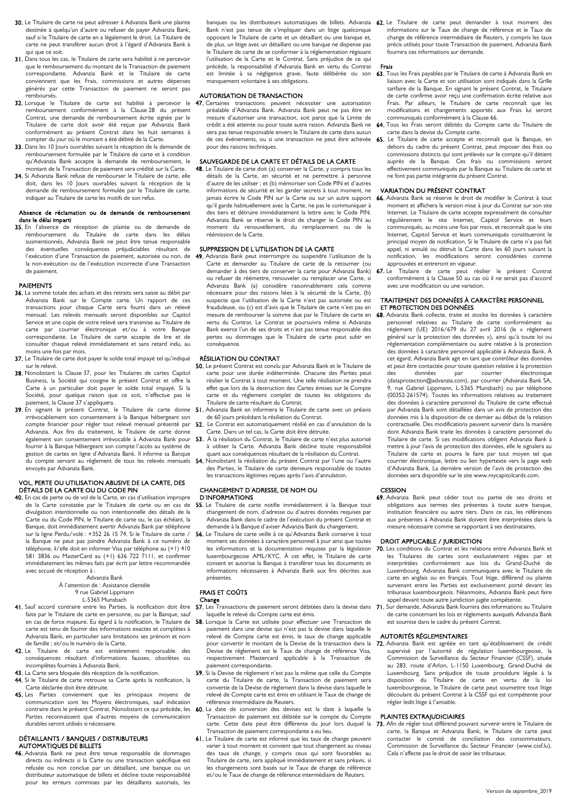- 30. Le Titulaire de carte ne peut adresser à Advanzia Bank une plainte destinée à quelqu'un d'autre ou refuser de payer Advanzia Bank, sauf si le Titulaire de carte en a légalement le droit. Le Titulaire de carte ne peut transférer aucun droit à l'égard d'Advanzia Bank à qui que ce soit.
- 31. Dans tous les cas, le Titulaire de carte sera habilité à ne percevoir que le remboursement du montant de la Transaction de paiement correspondante. Advanzia Bank et le Titulaire de carte conviennent que les Frais, commissions et autres dépenses générés par cette Transaction de paiement ne seront pas remboursés.
- 32. Lorsque le Titulaire de carte est habilité à percevoir le remboursement conformément à la Clause 28 du présent Contrat, une demande de remboursement écrite signée par le Titulaire de carte doit avoir été reçue par Advanzia Bank conformément au présent Contrat dans les huit semaines à compter du jour où le montant a été débité de la Carte.
- 33. Dans les 10 jours ouvrables suivant la réception de la demande de remboursement formulée par le Titulaire de carte et à condition qu'Advanzia Bank accepte la demande de remboursement, le montant de la Transaction de paiement sera crédité sur la Carte.
- 34. Si Advanzia Bank refuse de rembourser le Titulaire de carte, elle doit, dans les 10 Jours ouvrables suivant la réception de la demande de remboursement formulée par le Titulaire de carte, indiquer au Titulaire de carte les motifs de son refus.

### Absence de réclamation ou de demande de remboursement dans le délai imparti

35. En l'absence de réception de plainte ou de demande de remboursement du Titulaire de carte dans les délais susmentionnés, Advanzia Bank ne peut être tenue responsable des éventuelles conséquences préjudiciables résultant de l'exécution d'une Transaction de paiement, autorisée ou non, de la non-exécution ou de l'exécution incorrecte d'une Transaction de paiement.

## PAIEMENTS

- 36. La somme totale des achats et des retraits sera saisie au débit par Advanzia Bank sur le Compte carte. Un rapport de ces transactions pour chaque Carte sera fourni dans un relevé mensuel. Les relevés mensuels seront disponibles sur Capitol Service et une copie de votre relevé sera transmise au Titulaire de carte par courrier électronique et/ou à votre Banque correspondante. Le Titulaire de carte accepte de lire et de consulter chaque relevé immédiatement et sans retard indu, au moins une fois par mois.
- 37. Le Titulaire de carte doit payer le solde total impayé tel qu'indiqué sur le relevé.
- 38. Nonobstant la Clause 37, pour les Titulaires de cartes Capitol Business, la Société qui cosigne le présent Contrat et offre la Carte à un particulier doit payer le solde total impayé. Si Société, pour quelque raison que ce soit, n'effectue pas le paiement, la Clause 37 s'appliquera.
- irrévocablement son consentement à la Banque hébergeant son compte financier pour régler tout relevé mensuel présenté par Advanzia. Aux fins du traitement, le Titulaire de carte donne également son consentement irrévocable à Advanzia Bank pour fournir à la Banque hébergeant son compte l'accès au système de gestion de cartes en ligne d'Advanzia Bank. Il informe sa Banque du compte servant au règlement de tous les relevés mensuels envoyés par Advanzia Bank.

## VOL, PERTE OU UTILISATION ABUSIVE DE LA CARTE, DES DÉTAILS DE LA CARTE OU DU CODE PIN

40. En cas de perte ou de vol de la Carte, en cas d'utilisation impropre de la Carte constatée par le Titulaire de carte ou en cas de divulgation intentionnelle ou non intentionnelle des détails de la Carte ou du Code PIN, le Titulaire de carte ou, le cas échéant, la Banque, doit immédiatement avertir Advanzia Bank par téléphone sur la ligne Perdu/volé : +352 26 15 74. Si le Titulaire de carte / la Banque ne peut pas joindre Advanzia Bank à ce numéro de téléphone, il/elle doit en informer Visa par téléphone au (+1) 410 581 3836 ou MasterCard au (+1) 636 722 7111, et confirmer immédiatement les mêmes faits par écrit par lettre recommandée avec accusé de réception à :

#### Advanzia Bank À l'attention de : Assistance clientèle 9 rue Gabriel Lippmann

L-5365 Munsbach

- faite par le Titulaire de carte en personne, ou par la Banque, sauf en cas de force majeure. Eu égard à la notification, le Titulaire de carte est tenu de fournir des informations exactes et complètes à Advanzia Bank, en particulier sans limitations ses prénom et nom de famille ; et/ou le numéro de la Carte.
- 42. Le Titulaire de carte est entièrement responsable des conséquences résultant d'informations fausses, obsolètes ou incomplètes fournies à Advanzia Bank.
- 43. La Carte sera bloquée dès réception de la notification. 44. Si le Titulaire de carte retrouve sa Carte après la notification, la
- Carte déclarée doit être détruite.
- 45. Les Parties conviennent que les principaux moyens de communication sont les Moyens électroniques, sauf indication contraire dans le présent Contrat. Nonobstant ce qui précède, les 60. La date de conversion des devises est la date à laquelle la Parties reconnaissent que d'autres moyens de communication durables seront utilisés si nécessaire.

## DÉTAILLANTS / BANQUES / DISTRIBUTEURS

- AUTOMATIQUES DE BILLETS
- 46. Advanzia Bank ne peut être tenue responsable de dommages directs ou indirects si la Carte ou une transaction spécifique est refusée ou non conclue par un détaillant, une banque ou un distributeur automatique de billets et décline toute responsabilité pour les erreurs commises par les détaillants autorisés, les

Bank n'est pas tenue de s'impliquer dans un litige quelconque Titulaire de carte et un détaillant ou une banque et, de plus, un litige avec un détaillant ou une banque ne dispense pas le Titulaire de carte de se conformer à la réglementation régissant l'utilisation de la Carte et le Contrat. Sans préjudice de ce qui précède, la responsabilité d'Advanzia Bank en vertu du Contrat est limitée à sa négligence grave, faute délibérée ou son manquement volontaire à ses obligations.

## AUTORISATION DE TRANSACTION

47. Certaines transactions peuvent nécessiter une autorisation préalable d'Advanzia Bank. Advanzia Bank peut ne pas être en mesure d'autoriser une transaction, soit parce que la Limite de crédit a été atteinte ou pour toute autre raison. Advanzia Bank ne sera pas tenue responsable envers le Titulaire de carte dans aucun de ces événements, ou si une transaction ne peut être achevée pour des raisons techniques.

## SAUVEGARDE DE LA CARTE ET DÉTAILS DE LA CARTE

48. Le Titulaire de carte doit (a) conserver la Carte, y compris tous les détails de la Carte, en sécurité et ne permettre à personne d'autre de les utiliser ; et (b) mémoriser son Code PIN et d'autres informations de sécurité et les garder secrets à tout moment, ne jamais écrire le Code PIN sur la Carte ou sur un autre support qu'il garde habituellement avec la Carte, ne pas le communiquer à des tiers et détruire immédiatement la lettre avec le Code PIN. Advanzia Bank se réserve le droit de changer le Code PIN au moment du renouvellement, du remplacement ou de la réémission de la Carte.

## SUPPRESSION DE L'UTILISATION DE LA CARTE

49. Advanzia Bank peut interrompre ou suspendre l'utilisation de la Carte et demander au Titulaire de carte de la retourner (ou demander à des tiers de conserver la carte pour Advanzia Bank) ou refuser de réémettre, renouveler ou remplacer une Carte, si Advanzia Bank (a) considère raisonnablement cela comme nécessaire pour des raisons liées à la sécurité de la Carte, (b) suspecte que l'utilisation de la Carte n'est pas autorisée ou est frauduleuse, ou (c) est d'avis que le Titulaire de carte n'est pas en mesure de rembourser la somme due par le Titulaire de carte en vertu du Contrat. Le Contrat se poursuivra même si Advanzia Bank exerce l'un de ses droits et n'est pas tenue responsable des pertes ou dommages que le Titulaire de carte peut subir en .<br>conséquence

## RÉSILIATION DU CONTRAT

- 50. Le présent Contrat est conclu par Advanzia Bank et le Titulaire de carte pour une durée indéterminée. Chacune des Parties peut résilier le Contrat à tout moment. Une telle résiliation ne prendra effet que lors de la destruction des Cartes émises sur le Compte carte et du règlement complet de toutes les obligations du Titulaire de carte résultant du Contrat.
- 39. En signant le présent Contrat, le Titulaire de carte donne 51. Advanzia Bank en informera le Titulaire de carte avec un préavis de 60 jours précédant la résiliation du Contrat.
	- 52. Le Contrat est automatiquement résilié en cas d'annulation de la Carte. Dans un tel cas, la Carte doit être détruite.
	- 53. À la résiliation du Contrat, le Titulaire de carte n'est plus autorisé à utiliser la Carte. Advanzia Bank décline toute responsabilité quant aux conséquences résultant de la résiliation du Contrat.
	- . Nonobstant la résiliation du présent Contrat par l'une ou l'autre des Parties, le Titulaire de carte demeure responsable de toutes les transactions légitimes reçues après l'avis d'annulation.

## CHANGEMENT D'ADRESSE, DE NOM OU

## D'INFORMATIONS

- 55. Le Titulaire de carte notifie immédiatement à la Banque tout changement de nom, d'adresse ou d'autres données requises par Advanzia Bank dans le cadre de l'exécution du présent Contrat et demande à la Banque d'aviser Advanzia Bank du changement.
- 56. Le Titulaire de carte veille à ce qu'Advanzia Bank conserve à tout moment ses données à caractère personnel à jour ainsi que toutes les informations et la documentation requises par la législation luxembourgeoise AML/KYC. À cet effet, le Titulaire de carte consent et autorise la Banque à transférer tous les documents et informations nécessaires à Advanzia Bank aux fins décrites aux présentes.

## FRAIS ET COÛTS Change

- laquelle le relevé du Compte carte est émis.
- 58. Lorsque la Carte est utilisée pour effectuer une Transaction de paiement dans une devise qui n'est pas la devise dans laquelle le relevé de Compte carte est émis, le taux de change applicable pour convertir le montant de la Devise de la transaction dans la Devise de règlement est le Taux de change de référence Visa, respectivement Mastercard applicable à la Transaction de paiement correspondante.
- 59. Si la Devise de règlement n'est pas la même que celle du Compte carte du Titulaire de carte, la Transaction de paiement sera convertie de la Devise de règlement dans la devise dans laquelle le relevé de Compte carte est émis en utilisant le Taux de change de référence intermédiaire de Reuters.
- Transaction de paiement est débitée sur le compte du Compte Transaction de paiement correspondante a eu lieu.
- 61. Le Titulaire de carte est informé que les taux de change peuvent varier à tout moment et convient que tout changement au niveau des taux de change, y compris ceux qui sont favorables au Titulaire de carte, sera appliqué immédiatement et sans préavis, si les changements sont basés sur le Taux de change de référence et/ou le Taux de change de référence intermédiaire de Reuters.

banques ou les distributeurs automatiques de billets. Advanzia 62. Le Titulaire de carte peut demander à tout moment des informations sur le Taux de change de référence et le Taux de change de référence intermédiaire de Reuters, y compris les taux précis utilisés pour toute Transaction de paiement. Advanzia Bank fournira ces informations sur demande.

## Frais

- 63. Tous les Frais payables par le Titulaire de carte à Advanzia Bank en liaison avec la Carte et son utilisation sont indiqués dans la Grille tarifaire de la Banque. En signant le présent Contrat, le Titulaire de carte confirme avoir reçu une confirmation écrite relative aux Frais. Par ailleurs, le Titulaire de carte reconnaît que les modifications et changements apportés aux Frais lui seront communiqués conformément à la Clause 66.
- 64. Tous les Frais seront débités du Compte carte du Titulaire de carte dans la devise du Compte carte.
- 65. Le Titulaire de carte accepte et reconnaît que la Banque, en dehors du cadre du présent Contrat, peut imposer des frais ou commissions distincts qui sont prélevés sur le compte qu'il détient auprès de la Banque. Ces frais ou commissions seront effectivement communiqués par la Banque au Titulaire de carte et ne font pas partie intégrante du présent Contrat.

## VARIATION DU PRÉSENT CONTRAT

- 66. Advanzia Bank se réserve le droit de modifier le Contrat à tout moment et affichera la version mise à jour du Contrat sur son site Internet. Le Titulaire de carte accepte expressément de consulter régulièrement le site Internet, Capitol Service et leurs communiqués, au moins une fois par mois, et reconnaît que le site Internet, Capitol Service et leurs communiqués constitueront le principal moyen de notification. Si le Titulaire de carte n'a pas fait appel, ni annulé ou détruit la Carte dans les 60 jours suivant la notification, les modifications seront considérées comme approuvées et entreront en vigueur.<br> **47** Le Titulaire de carte peut re
- Titulaire de carte peut résilier le présent Contrat conformément à la Clause 50 au cas où il ne serait pas d'accord avec une modification ou une variation.

## TRAITEMENT DES DONNÉES À CARACTÈRE PERSONNEL ET PROTECTION DES DONNÉES

- 68. Advanzia Bank collecte, traite et stocke les données à caractère
	- personnel relatives au Titulaire de carte conformément au règlement (UE) 2016/679 du 27 avril 2016 (le « règlement général sur la protection des données »), ainsi qu'à toute loi ou réglementation complémentaire ou autre relative à la protection des données à caractère personnel applicable à Advanzia Bank. À cet égard, Advanzia Bank agit en tant que contrôleur des données et peut être contactée pour toute question relative à la protection<br>des données par courrier électronique des données par courrier électronique (dataprotection@advanzia.com), par courrier (Advanzia Bank SA, 9, rue Gabriel Lippmann, L-5365 Munsbach) ou par téléphone (00352-261574). Toutes les informations relatives au traitement des données à caractère personnel du Titulaire de carte effectué par Advanzia Bank sont détaillées dans un avis de protection des données mis à la disposition de ce dernier au début de la relation contractuelle. Des modifications peuvent survenir dans la manière dont Advanzia Bank traite les données à caractère personnel du Titulaire de carte. Si ces modifications obligent Advanzia Bank à mettre à jour l'avis de protection des données, elle le signalera au Titulaire de carte et pourra le faire par tout moyen tel que courrier électronique, lettre ou lien hypertexte vers la page web d'Advanzia Bank. La dernière version de l'avis de protection des données sera disponible sur le site www.mycapitolcards.com.

## **CESSION**

69. Advanzia Bank peut céder tout ou partie de ses droits et obligations aux termes des présentes à toute autre banque, institution financière ou autre tiers. Dans ce cas, les références aux présentes à Advanzia Bank doivent être interprétées dans la mesure nécessaire comme se rapportant à ses destinataires.

## DROIT APPLICABLE / JURIDICTION

- 70. Les conditions du Contrat et les relations entre Advanzia Bank et les Titulaires de cartes sont exclusivement régies par et interprétées conformément aux lois du Grand-Duché de Luxembourg. Advanzia Bank communiquera avec le Titulaire de carte en anglais ou en français. Tout litige, différend ou plainte survenant entre les Parties est exclusivement porté devant les tribunaux luxembourgeois. Néanmoins, Advanzia Bank peut faire appel devant toute autre juridiction jugée compétente.
- 41. Sauf accord contraire entre les Parties, la notification doit être 57. Les Transactions de paiement seront débitées dans la devise dans 71. Sur demande, Advanzia Bank fournira des informations au Titulaire de carte concernant les lois et règlements auxquels Advanzia Bank est soumise dans le cadre du présent Contrat.

## AUTORITÉS RÉGLEMENTAIRES

72. Advanzia Bank est agréée en tant qu'établissement de crédit supervisé par l'autorité de régulation luxembourgeoise, la Commission de Surveillance du Secteur Financier (CSSF), située au 283, route d'Arlon, L-1150 Luxembourg, Grand-Duché de Luxembourg. Sans préjudice de toute procédure légale à la disposition du Titulaire de carte en vertu de la loi luxembourgeoise, le Titulaire de carte peut soumettre tout litige découlant du présent Contrat à la CSSF qui est compétente pour régler Iedit litige à I'amiable.

## PLAINTES EXTRAJUDICIAIRES

carte. Cette date peut être différente du jour lors duquel la 73. Afin de régler tout différend pouvant survenir entre le Titulaire de carte, la Banque et Advanzia Bank, le Titulaire de carte peut contacter le comité de conciliation des consommateurs, Commission de Surveillance du Secteur Financier (www.cssf.lu). Cela n'affecte pas le droit de saisir les tribunaux.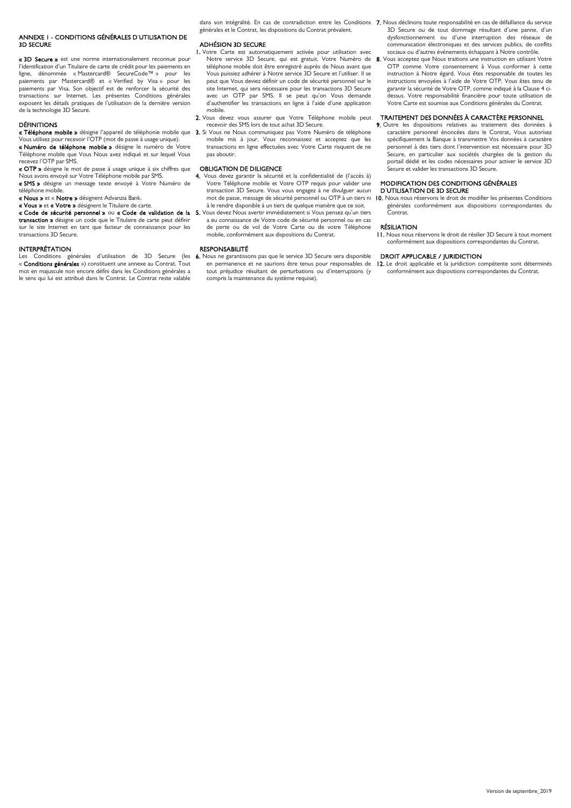## ANNEXE 1 - CONDITIONS GÉNÉRALES D'UTILISATION DE 3D SECURE

« 3D Secure » est une norme internationalement reconnue pour l'identification d'un Titulaire de carte de crédit pour les paiements en ligne, dénommée « Mastercard® SecureCode™ » pour les paiements par Mastercard® et « Verified by Visa » pour les paiements par Visa. Son objectif est de renforcer la sécurité des transactions sur Internet. Les présentes Conditions générales exposent les détails pratiques de l'utilisation de la dernière version de la technologie 3D Secure.

### DÉFINITIONS

« Téléphone mobile » désigne l'appareil de téléphonie mobile que 3. Si Vous ne Nous communiquez pas Votre Numéro de téléphone **ETTE TRESSES**<br>Trilisez pour recevoir l'OTP (mot de passe à usage unique). **« Numéro de téléphone mobile »** désigne le numéro de Votre<br>Téléphone mobile que Vous Nous avez indiqué et sur lequel Vous

recevez l'OTP par SMS. « OTP » désigne le mot de passe à usage unique à six chiffres que

Nous avons envoyé sur Votre Téléphone mobile par SMS. « SMS » désigne un message texte envoyé à Votre Numéro de téléphone mobile.

« Nous » et « Notre » désignent Advanzia Bank.

« Vous » et « Votre » désignent le Titulaire de carte.

« Code de sécurité personnel » ou « Code de validation de la transaction » désigne un code que le Titulaire de carte peut définir sur le site Internet en tant que facteur de connaissance pour les transactions 3D Secure.

#### INTERPRÉTATION

Les Conditions générales d'utilisation de 3D Secure (les 6. Nous ne garantissons pas que le service 3D Secure sera disponible « Conditions générales ») constituent une annexe au Contrat. Tout mot en majuscule non encore défini dans les Conditions générales a le sens qui lui est attribué dans le Contrat. Le Contrat reste valable

générales et le Contrat, les dispositions du Contrat prévalent.

#### ADHÉSION 3D SECURE

- 1. Votre Carte est automatiquement activée pour utilisation avec Notre service 3D Secure, qui est gratuit. Votre Numéro de téléphone mobile doit être enregistré auprès de Nous avant que Vous puissiez adhérer à Notre service 3D Secure et l'utiliser. Il se peut que Vous deviez définir un code de sécurité personnel sur le site Internet, qui sera nécessaire pour les transactions 3D Secure avec un OTP par SMS. Il se peut qu'on Vous demande d'authentifier les transactions en ligne à l'aide d'une application mobile.
- 2. Vous devez vous assurer que Votre Téléphone mobile peut recevoir des SMS lors de tout achat 3D Secure.
- mobile mis à jour, Vous reconnaissez et acceptez que les transactions en ligne effectuées avec Votre Carte risquent de ne pas aboutir.

## OBLIGATION DE DILIGENCE

- 4. Vous devez garantir la sécurité et la confidentialité de (l'accès à) Votre Téléphone mobile et Votre OTP requis pour valider une transaction 3D Secure. Vous vous engagez à ne divulguer aucun mot de passe, message de sécurité personnel ou OTP à un tiers ni à le rendre disponible à un tiers de quelque manière que ce soit.
- Vous devez Nous avertir immédiatement si Vous pensez qu'un tiers a eu connaissance de Votre code de sécurité personnel ou en cas de perte ou de vol de Votre Carte ou de votre Téléphone mobile, conformément aux dispositions du Contrat.

#### RESPONSABILITÉ

en permanence et ne saurions être tenus pour responsables de tout préjudice résultant de perturbations ou d'interruptions (y compris la maintenance du système requise).

- dans son intégralité. En cas de contradiction entre les Conditions 7. Nous déclinons toute responsabilité en cas de défaillance du service 3D Secure ou de tout dommage résultant d'une panne, d'un dysfonctionnement ou d'une interruption des réseaux de communication électroniques et des services publics, de conflits sociaux ou d'autres événements échappant à Notre contrôle.
	- 8. Vous acceptez que Nous traitions une instruction en utilisant Votre OTP comme Votre consentement à Vous conformer à cette instruction à Notre égard. Vous êtes responsable de toutes les instructions envoyées à l'aide de Votre OTP. Vous êtes tenu de garantir la sécurité de Votre OTP, comme indiqué à la Clause 4 cidessus. Votre responsabilité financière pour toute utilisation de Votre Carte est soumise aux Conditions générales du Contrat.

#### TRAITEMENT DES DONNÉES À CARACTÈRE PERSONNEL

9. Outre les dispositions relatives au traitement des données à caractère personnel énoncées dans le Contrat, Vous autorisez spécifiquement la Banque à transmettre Vos données à caractère personnel à des tiers dont l'intervention est nécessaire pour 3D Secure, en particulier aux sociétés chargées de la gestion du portail dédié et les codes nécessaires pour activer le service 3D Secure et valider les transactions 3D Secure.

## MODIFICATION DES CONDITIONS GÉNÉRALES

### D'UTILISATION DE 3D SECURE

10. Nous nous réservons le droit de modifier les présentes Conditions générales conformément aux dispositions correspondantes du Contrat.

### RÉSILIATION

11. Nous nous réservons le droit de résilier 3D Secure à tout moment conformément aux dispositions correspondantes du Contrat.

## DROIT APPLICABLE / JURIDICTION

12. Le droit applicable et la juridiction compétente sont déterminés conformément aux dispositions correspondantes du Contrat.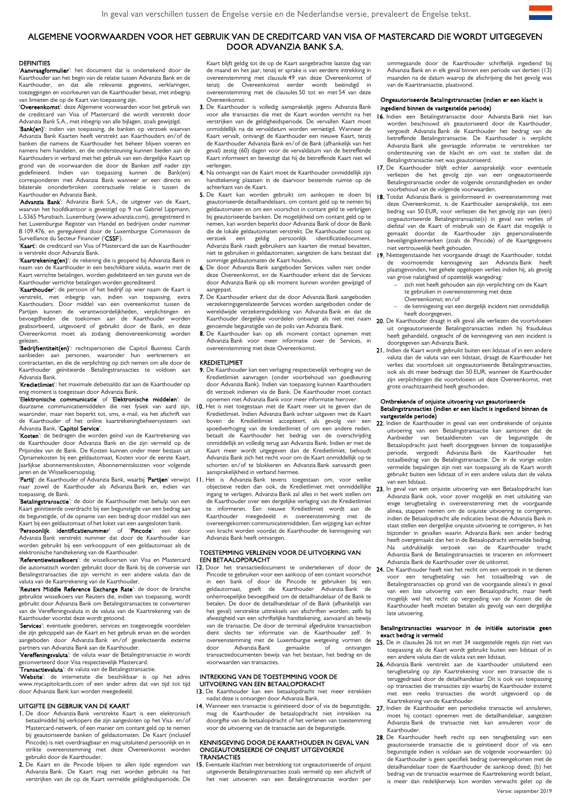## ALGEMENE VOORWAARDEN VOOR HET GEBRUIK VAN DE CREDITCARD VAN VISA OF MASTERCARD DIE WORDT UITGEGEVEN DOOR ADVANZIA BANK S.A.

## DEFINITIES

'Aanvraagformulier': het document dat is ondertekend door de Kaarthouder aan het begin van de relatie tussen Advanzia Bank en de Kaarthouder, en dat alle relevante gegevens, verklaringen, toezeggingen en voorkeuren van de Kaarthouder bevat, met inbegrip van limieten die op de Kaart van toepassing zijn.

'Overeenkomst': deze Algemene voorwaarden voor het gebruik van de creditcard van Visa of Mastercard die wordt verstrekt door Advanzia Bank S.A., met inbegrip van alle bijlagen, zoals gewijzigd.

'Bank(en)': indien van toepassing, de banken op verzoek waarvan Advanzia Bank Kaarten heeft verstrekt aan Kaarthouders en/of de banken die namens de Kaarthouder het beheer blijven voeren en namens hem handelen, en die ondersteuning kunnen bieden aan de Kaarthouders in verband met het gebruik van een dergelijke Kaart op grond van de voorwaarden die door de Banken zelf nader zijn gedefinieerd. Indien van toepassing kunnen de Bank(en) corresponderen met Advanzia Bank wanneer er een directe en bilaterale ononderbroken contractuele relatie is tussen de Kaarthouder en Advanzia Bank.

'Advanzia Bank': Advanzia Bank S.A., de uitgever van de Kaart, waarvan het hoofdkantoor is gevestigd op 9 rue Gabriel Lippmann, L-5365 Munsbach, Luxemburg (www.advanzia.com), geregistreerd in het Luxemburgse Register van Handel en bedrijven onder nummer B 109.476, en gereguleerd door de Luxemburgse Commission de Surveillance du Secteur Financier ('CSSF').

'Kaart': de creditcard van Visa of Mastercard die aan de Kaarthouder is verstrekt door Advanzia Bank.

'Kaartrekening(en)': de rekening die is geopend bij Advanzia Bank in naam van de Kaarthouder in een beschikbare valuta, waarin met de Kaart verrichte betalingen, worden gedebiteerd en ten gunste van de Kaarthouder verrichte betalingen worden gecrediteerd.

'Kaarthouder': de persoon of het bedrijf op wier naam de Kaart is verstrekt, met inbegrip van, indien van toepassing, extra Kaarthouders. Door middel van een overeenkomst tussen de Partijen kunnen de verantwoordelijkheden, verplichtingen en bevoegdheden die toekomen aan de Kaarthouder worden geabsorbeerd, uitgevoerd of gebruikt door de Bank, en deze Overeenkomst moet als zodanig dienovereenkomstig worden gelezen.

**Bedrijfsentiteit(en)**: rechtspersonen die Capitol Business Cards<br>aanbieden aan personen, waaronder hun werknemers en personen, waaronder hun werknemers contractanten, en die de verplichting op zich nemen om alle door de Kaarthouder geïnitieerde Betalingstransacties te voldoen aan Advanzia Bank.

'Kredietlimiet': het maximale debetsaldo dat aan de Kaarthouder op enig moment is toegestaan door Advanzia Bank.

'Elektronische communicatie' of 'Elektronische middelen': de duurzame communicatiemiddelen die niet fysiek van aard zijn, waaronder, maar niet beperkt tot, sms, e-mail, via het afschrift van de Kaarthouder of het online kaartrekeningbeheersysteem van Advanzia Bank, 'Capitol Service'.

'Kosten': de bedragen die worden geïnd van de Kaartrekening van de Kaarthouder door Advanzia Bank en die zijn vermeld op de Prijsindex van de Bank. De Kosten kunnen onder meer bestaan uit Opnamekosten bij een geldautomaat, Kosten voor de eerste Kaart, Jaarlijkse abonnementskosten, Abonnementskosten voor volgende jaren en de Wisselkoersopslag.

naar zowel de Kaarthouder als Advanzia Bank en, indien van toepassing, de Bank.

'Betalingstransactie': de door de Kaarthouder met behulp van een Kaart geïnitieerde overdracht bij een begunstigde van een bedrag aan de begunstigde, of de opname van een bedrag door middel van een Kaart bij een geldautomaat of het loket van een aangesloten bank.

'Persoonlijk identificatienummer' of 'Pincode': een door Advanzia Bank verstrekt nummer dat door de Kaarthouder kan worden gebruikt bij een verkooppunt of een geldautomaat als de elektronische handtekening van de Kaarthouder.

'Referentiewisselkoers': de wisselkoersen van Visa en Mastercard die automatisch worden gebruikt door de Bank bij de conversie van Betalingstransacties die zijn verricht in een andere valuta dan de valuta van de Kaartrekening van de Kaarthouder.

'Reuters Middle Reference Exchange Rate': de door de branche gebruikte wisselkoers van Reuters die, indien van toepassing, wordt gebruikt door Advanzia Bank om Betalingstransacties te converteren van de Vereffeningsvaluta in de valuta van de Kaartrekening van de Kaarthouder voordat deze wordt getoond.

'Services': eventuele goederen, services en toegevoegde voordelen die zijn gekoppeld aan de Kaart en het gebruik ervan en die worden aangeboden door Advanzia Bank en/of geselecteerde externe partners van Advanzia Bank aan de Kaarthouder.<br>'**Vereffeningsvaluta**': de valuta waar de Betalingstransactie in wordt

geconverteerd door Visa respectievelijk Mastercard.

'Transactievaluta': de valuta van de Betalingstransactie.

'Website': de internetsite die beschikbaar is op het adres www.mycapitolcards.com of een ander adres dat van tijd tot tijd door Advanzia Bank kan worden meegedeeld.

## UITGIFTE EN GEBRUIK VAN DE KAART

- 1. De door Advanzia Bank verstrekte Kaart is een elektronisch betaalmiddel bij verkopers die zijn aangesloten op het Visa- en/of Mastercard-netwerk, of een manier om contant geld op te nemen bij geautoriseerde banken of geldautomaten. De Kaart (inclusief Pincode) is niet overdraagbaar en mag uitsluitend persoonlijk en in strikte overeenstemming met deze Overeenkomst worden gebruikt door de Kaarthouder.
- 2. De Kaart en de Pincode blijven te allen tijde eigendom van Advanzia Bank. De Kaart mag niet worden gebruikt na het verstrijken van de op de Kaart vermelde geldigheidsperiode. De

Kaart blijft geldig tot de op de Kaart aangebrachte laatste dag van de maand en het jaar, tenzij er sprake is van eerdere intrekking in overeenstemming met clausule 49 van deze Overeenkomst of tenzij de Overeenkomst eerder wordt beëindigd in overeenstemming met de clausules 50 tot en met 54 van deze Overeenkomst.

- 3. De Kaarthouder is volledig aansprakelijk jegens Advanzia Bank voor alle transacties die met de Kaart worden verricht na het verstrijken van de geldigheidsperiode. De vervallen Kaart moet onmiddellijk na de vervaldatum worden vernietigd. Wanneer de Kaart vervalt, ontvangt de Kaarthouder een nieuwe Kaart, tenzij de Kaarthouder Advanzia Bank en/of de Bank (afhankelijk van het geval) zestig (60) dagen voor de vervaldatum van de betreffende Kaart informeert en bevestigt dat hij de betreffende Kaart niet wil verlengen.
- 4. Na ontvangst van de Kaart moet de Kaarthouder onmiddellijk zijn handtekening plaatsen in de daarvoor bestemde ruimte op de achterkant van de Kaart.
- 5. De Kaart kan worden gebruikt om aankopen te doen bij geautoriseerde detailhandelaars, om contant geld op te nemen bij geldautomaten en om een voorschot in contant geld te verkrijgen bij geautoriseerde banken. De mogelijkheid om contant geld op te nemen, kan worden beperkt door Advanzia Bank of door de Bank die de lokale geldautomaten verstrekt. De Kaarthouder toont op verzoek een geldig persoonlijk identificatiedocument. Advanzia Bank raadt gebruikers aan kaarten die metaal bevatten, niet te gebruiken in geldautomaten, aangezien de kans bestaat dat sommige geldautomaten de Kaart houden.
- 6. De door Advanzia Bank aangeboden Services vallen niet onder deze Overeenkomst, en de Kaarthouder erkent dat de Services door Advanzia Bank op elk moment kunnen worden gewijzigd of aangepast.
- 7. De Kaarthouder erkent dat de door Advanzia Bank aangeboden verzekeringsgerelateerde Services worden aangeboden onder de wereldwijde verzekeringsdekking van Advanzia Bank en dat de Kaarthouder dergelijke voordelen ontvangt als niet met naam genoemde begunstigde van de polis van Advanzia Bank.
- 8. De Kaarthouder kan op elk moment contact opnemen met Advanzia Bank voor meer informatie over de Services, in overeenstemming met deze Overeenkomst.

## KREDIETLIMIET

- 9. De Kaarthouder kan een verlaging respectievelijk verhoging van de Kredietlimiet aanvragen (onder voorbehoud van goedkeuring door Advanzia Bank). Indien van toepassing kunnen Kaarthouders dit verzoek indienen via de Bank. De Kaarthouder moet contact opnemen met Advanzia Bank voor meer informatie hierover.
- 10. Het is niet toegestaan met de Kaart meer uit te geven dan de Kredietlimiet. Indien Advanzia Bank echter uitgaven met de Kaart boven de Kredietlimiet accepteert, als gevolg van een spoedverhoging van de kredietlimiet of om een andere reden, betaalt de Kaarthouder het bedrag van de overschrijding onmiddellijk en volledig terug aan Advanzia Bank. Indien er met de Kaart meer wordt uitgegeven dan de Kredietlimiet, behoudt Advanzia Bank zich het recht voor om de Kaart onmiddellijk op te schorten en/of te blokkeren en Advanzia Bank aanvaardt geen aansprakelijkheid in verband hiermee.
- '**Partij**': de Kaarthouder of Advanzia Bank, waarbij '**Partijen**' verwijst ⅠⅠ. Het is Advanzia Bank tevens toegestaan om, voor welke Het is Advanzia-bank tevens toegestaan om, voor welke van een-lidstaat.<br>objectieve reden dan ook, de Kredietlimiet met onmiddellijke 23 In geval van een onjuiste uitvoering van een Betaalopdracht kan ingang te verlagen. Advanzia Bank zal alles in het werk stellen om de Kaarthouder over een dergelijke verlaging van de Kredietlimiet te informeren. Een nieuwe Kredietlimiet wordt aan de Kaarthouder meegedeeld in overeenstemming met de overeengekomen communicatiemiddelen. Een wijziging kan echter van kracht worden voordat de Kaarthouder de kennisgeving van Advanzia Bank heeft ontvangen.

## TOESTEMMING VERLENEN VOOR DE UITVOERING VAN EEN BETAALOPDRACHT

12. Door het transactiedocument te ondertekenen of door de Pincode te gebruiken voor een aankoop of een contant voorschot in een bank of door de Pincode te gebruiken bij een geldautomaat, geeft de Kaarthouder Advanzia-Bank onherroepelijke bevoegdheid om de detailhandelaar of de Bank te betalen. De door de detailhandelaar of de Bank (afhankelijk van het geval) verstrekte uittreksels van afschriften worden, zelfs bij afwezigheid van een schriftelijke handtekening, aanvaard als bewijs van de transactie. De door de terminal afgedrukte transactiebon dient slechts ter informatie van de Kaarthouder zelf. In overeenstemming met de Luxemburgse wetgeving vormen de<br>door and Advanzia Bank and gemaakte of ontvangen door Advanzia Bank gemaakte of transactiedocumenten bewijs van het bestaan, het bedrag en de voorwaarden van transacties.

## INTREKKING VAN DE TOESTEMMING VOOR DE UITVOERING VAN EEN BETAALOPDRACHT

- 13. De Kaarthouder kan een betaalopdracht niet meer intrekken nadat deze is ontvangen door Advanzia Bank.
- 14. Wanneer een transactie is geïnitieerd door of via de begunstigde, mag de Kaarthouder de betaalopdracht niet intrekken na doorgifte van de betaalopdracht of het verlenen van toestemming voor de uitvoering van de transactie aan de begunstigde.

## KENNISGEVING DOOR DE KAARTHOUDER IN GEVAL VAN ONGEAUTORISEERDE OF ONJUIST UITGEVOERDE **TRANSACTIES**

15. Eventuele klachten met betrekking tot ongeautoriseerde of onjuist uitgevoerde Betalingstransacties zoals vermeld op een afschrift of het niet uitvoeren van een Betalingstransactie worden per

ommegaande door de Kaarthouder schriftelijk ingediend bij Advanzia Bank en in elk geval binnen een periode van dertien (13) maanden na de datum waarop de afschrijving die het gevolg was van de Kaarttransactie, plaatsvond.

## Ongeautoriseerde Betalingstransacties (indien er een klacht is ingediend binnen de vastgestelde periode)

- 16. Indien een Betalingstransactie door Advanzia Bank niet kan worden beschouwd als geautoriseerd door de Kaarthouder, vergoedt Advanzia Bank de Kaarthouder het bedrag van de betreffende Betalingstransactie. De Kaarthouder is verplicht Advanzia Bank alle gevraagde informatie te verstrekken ter ondersteuning van de klacht en om vast te stellen dat de Betalingstransactie niet was geautoriseerd.
- 17. De Kaarthouder blijft echter aansprakelijk voor eventuele verliezen die het gevolg zijn van een ongeautoriseerde Betalingstransactie onder de volgende omstandigheden en onder voorbehoud van de volgende voorwaarden.
- 18. Totdat Advanzia Bank is geïnformeerd in overeenstemming met deze Overeenkomst, is de Kaarthouder aansprakelijk, tot een bedrag van 50 EUR, voor verliezen die het gevolg zijn van (een) ongeautoriseerde Betalingstransactie(s) in geval van verlies of diefstal van de Kaart of misbruik van de Kaart dat mogelijk is gemaakt doordat de Kaarthouder zijn gepersonaliseerde beveiligingskenmerken (zoals de Pincode) of de Kaartgegevens niet vertrouwelijk heeft gehouden.
- 19. Niettegenstaande het voorgaande draagt de Kaarthouder, totdat de voornoemde kennisgeving aan Advanzia Bank heeft plaatsgevonden, het gehele opgelopen verlies indien hij, als gevolg van grove nalatigheid of opzettelijk wangedrag:
	- zich niet heeft gehouden aan zijn verplichting om de Kaart te gebruiken in overeenstemming met deze
	- Overeenkomst; en/of
	- de kennisgeving van een dergelijk incident niet onmiddellijk heeft doorgegeven.
- 20. De Kaarthouder draagt in elk geval alle verliezen die voortvloeien uit ongeautoriseerde Betalingstransacties indien hij frauduleus heeft gehandeld, ongeacht of de kennisgeving van een incident is doorgegeven aan Advanzia Bank.
- 21. Indien de Kaart wordt gebruikt buiten een lidstaat of in een andere valuta dan de valuta van een lidstaat, draagt de Kaarthouder het verlies dat voortvloeit uit ongeautoriseerde Betalingstransacties, ook als dit meer bedraagt dan 50 EUR, wanneer de Kaarthouder zijn verplichtingen die voortvloeien uit deze Overeenkomst, met grote onachtzaamheid heeft geschonden.

#### Ontbrekende of onjuiste uitvoering van geautoriseerde Betalingstransacties (indien er een klacht is ingediend binnen de vastgestelde periode)

- 22. Indien de Kaarthouder in geval van een ontbrekende of onjuiste uitvoering van een Betalingstransactie kan aantonen dat de Aanbieder van betaaldiensten van de begunstigde de Betaalopdracht juist heeft doorgegeven binnen de toepasselijke<br>periode, vergoedt Advanzia Bank de Kaarthouder het Advanzia Bank de Kaarthouder het totaalbedrag van de Betalingstransactie. De in de vorige volzin vermelde bepalingen zijn niet van toepassing als de Kaart wordt gebruikt buiten een lidstaat of in een andere valuta dan de valuta
- Advanzia Bank ook, voor zover mogelijk en met uitsluiting van enige terugbetaling in overeenstemming met de voorgaande alinea, stappen nemen om de onjuiste uitvoering te corrigeren, indien de Betaalopdracht alle indicaties bevat die Advanzia Bank in staat stellen een dergelijke onjuiste uitvoering te corrigeren, in het bijzonder in gevallen waarin Advanzia Bank een ander bedrag heeft overgemaakt dan het in de Betaalopdracht vermelde bedrag. Na uitdrukkelijk verzoek van de Kaarthouder tracht Advanzia Bank de Betalingstransacties te traceren en informeert Advanzia Bank de Kaarthouder over de uitkomst.
- 24. De Kaarthouder heeft niet het recht om een verzoek in te dienen voor een terugbetaling van het totaalbedrag van de Betalingstransacties op grond van de voorgaande alinea's in geval van een late uitvoering van een Betaalopdracht, maar heeft mogelijk wel het recht op vergoeding van de Kosten die de Kaarthouder heeft moeten betalen als gevolg van een dergelijke late uitvoering.

## Betalingstransacties waarvoor in de initiële autorisatie geen exact bedrag is vermeld

- 25. De in clausules 26 tot en met 34 vastgestelde regels zijn niet van toepassing als de Kaart wordt gebruikt buiten een lidstaat of in een andere valuta dan de valuta van een lidstaat.
- 26. Advanzia Bank verstrekt aan de kaarthouder uitsluitend een terugbetaling op zijn Kaartrekening voor een transactie die is teruggedraaid door de detailhandelaar. Dit is ook van toepassing op transacties die transacties zijn waarbij de Kaarthouder instemt met een reeks transacties die wordt uitgevoerd op de Kaartrekening van de Kaarthouder.
- 27. Indien de Kaarthouder een periodieke transactie wil annuleren, moet hij contact opnemen met de detailhandelaar, aangezien Advanzia Bank de transactie niet kan annuleren voor de Kaarthouder.
- 28. De Kaarthouder heeft recht op een terugbetaling van een geautoriseerde transactie die is geïnitieerd door of via een begunstigde indien is voldaan aan de volgende voorwaarden: (a) de Kaarthouder is geen specifiek bedrag overeengekomen met de detailhandelaar toen de Kaarthouder de aankoop deed; (b) het bedrag van de transactie waarmee de Kaartrekening wordt belast, is meer dan redelijkerwijs kon worden verwacht gelet op de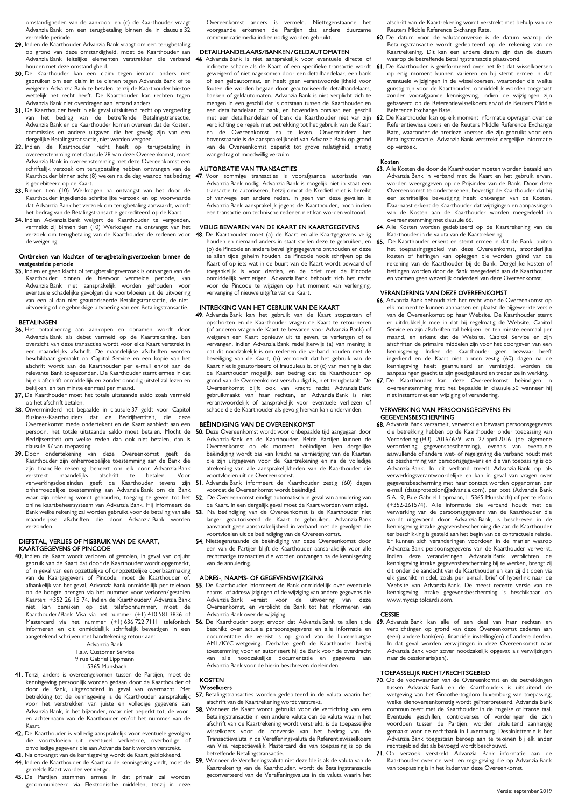omstandigheden van de aankoop; en (c) de Kaarthouder vraagt Advanzia Bank om een terugbetaling binnen de in clausule 32 vermelde periode.

- 29. Indien de Kaarthouder Advanzia Bank vraagt om een terugbetaling op grond van deze omstandigheid, moet de Kaarthouder aan Advanzia Bank feitelijke elementen verstrekken die verband houden met deze omstandigheid.
- 30. De Kaarthouder kan een claim tegen iemand anders niet gebruiken om een claim in te dienen tegen Advanzia Bank of te weigeren Advanzia Bank te betalen, tenzij de Kaarthouder hiertoe wettelijk het recht heeft. De Kaarthouder kan rechten tegen Advanzia Bank niet overdragen aan iemand anders.
- 31. De Kaarthouder heeft in elk geval uitsluitend recht op vergoeding van het bedrag van de betreffende Betalingstransactie. Advanzia Bank en de Kaarthouder komen overeen dat de Kosten, commissies en andere uitgaven die het gevolg zijn van een dergelijke Betalingstransactie, niet worden vergoed.
- 32. Indien de Kaarthouder recht heeft op terugbetaling in overeenstemming met clausule 28 van deze Overeenkomst, moet Advanzia Bank in overeenstemming met deze Overeenkomst een schriftelijk verzoek om terugbetaling hebben ontvangen van de Kaarthouder binnen acht (8) weken na de dag waarop het bedrag is gedebiteerd op de Kaart.
- 33. Binnen tien (10) Werkdagen na ontvangst van het door de Kaarthouder ingediende schriftelijke verzoek en op voorwaarde dat Advanzia Bank het verzoek om terugbetaling aanvaardt, wordt het bedrag van de Betalingstransactie gecrediteerd op de Kaart.
- 34. Indien Advanzia Bank weigert de Kaarthouder te vergoeden, vermeldt zij binnen tien (10) Werkdagen na ontvangst van het verzoek om terugbetaling van de Kaarthouder de redenen voor de weigering.

## Ontbreken van klachten of terugbetalingsverzoeken binnen de vastgestelde periode

35. Indien er geen klacht of terugbetalingsverzoek is ontvangen van de Kaarthouder binnen de hiervoor vermelde periode, kan niet aansprakelijk worden gehouden voor eventuele schadelijke gevolgen die voortvloeien uit de uitvoering van een al dan niet geautoriseerde Betalingstransactie, de nietuitvoering of de gebrekkige uitvoering van een Betalingstransactie.

## BETALINGEN

- 36. Het totaalbedrag aan aankopen en opnamen wordt door Advanzia Bank als debet vermeld op de Kaartrekening. Een overzicht van deze transacties wordt voor elke Kaart verstrekt in een maandelijks afschrift. De maandelijkse afschriften worden beschikbaar gemaakt op Capitol Service en een kopie van het afschrift wordt aan de Kaarthouder per e-mail en/of aan de relevante Bank toegezonden. De Kaarthouder stemt ermee in dat hij elk afschrift onmiddellijk en zonder onnodig uitstel zal lezen en bekijken, en ten minste eenmaal per maand.
- 37. De Kaarthouder moet het totale uitstaande saldo zoals vermeld op het afschrift betalen.
- 38. Onverminderd het bepaalde in clausule 37 geldt voor Capitol Business-Kaarthouders dat de Bedrijfsentiteit, die Overeenkomst mede ondertekent en de Kaart aanbiedt aan een persoon, het totale uitstaande saldo moet betalen. Mocht de Bedrijfsentiteit om welke reden dan ook niet betalen, dan is clausule 37 van toepassing.
- 39. Door ondertekening van deze Overeenkomst geeft de Kaarthouder zijn onherroepelijke toestemming aan de Bank die zijn financiële rekening beheert om elk door Advanzia Bank verstrekt maandelijks afschrift te betalen. Voor verwerkingsdoeleinden geeft de Kaarthouder tevens zijn onherroepelijke toestemming aan Advanzia Bank om de Bank waar zijn rekening wordt gehouden, toegang te geven tot het online kaartbeheersysteem van Advanzia Bank. Hij informeert de Bank welke rekening zal worden gebruikt voor de betaling van alle<br>maandelijkse afschriften die door Advanzia Bank worden maandelijkse afschriften die door Advanzia-Bank verzonden.

## DIEFSTAL, VERLIES OF MISBRUIK VAN DE KAART, KAARTGEGEVENS OF PINCODE

40. Indien de Kaart wordt verloren of gestolen, in geval van onjuist gebruik van de Kaart dat door de Kaarthouder wordt opgemerkt, of in geval van een opzettelijke of onopzettelijke openbaarmaking van de Kaartgegevens of Pincode, moet de Kaarthouder of, afhankelijk van het geval, Advanzia Bank onmiddellijk per telefoon op de hoogte brengen via het nummer voor verloren/gestolen Kaarten: +352 26 15 74. Indien de Kaarthouder/ Advanzia Bank niet kan bereiken op dat telefoonnummer, moet de Kaarthouder/Bank Visa via het nummer (+1) 410 581 3836 of Mastercard via het nummer (+1) 636 722 7111 telefonisch informeren en dit onmiddellijk schriftelijk bevestigen in een aangetekend schrijven met handtekening retour aan:

Advanzia Bank T.a.v. Customer Service 9 rue Gabriel Lippmann L-5365 Munsbach

- 41. Tenzij anders is overeengekomen tussen de Partijen, moet de kennisgeving persoonlijk worden gedaan door de Kaarthouder of de Bank, uitgezonderd in geval van overmacht. Met betrekking tot de kennisgeving is de Kaarthouder aansprakelijk voor het verstrekken van juiste en volledige gegevens aan Advanzia Bank, in het bijzonder, maar niet beperkt tot, de vooren achternaam van de Kaarthouder en/of het nummer van de Kaart.
- 42. De Kaarthouder is volledig aansprakelijk voor eventuele gevolgen die voortvloeien uit eventueel verkeerde, overbodige of onvolledige gegevens die aan Advanzia Bank worden verstrekt.
- 43. Na ontvangst van de kennisgeving wordt de Kaart geblokkeerd. 44. Indien de Kaarthouder de Kaart na de kennisgeving vindt, moet de gemelde Kaart worden vernietigd.
- 45. De Partijen stemmen ermee in dat primair zal worden<br>gecommuniceerd via Elektronische middelen, tenzij in deze

Overeenkomst anders is vermeld. Niettegenstaande het voorgaande erkennen de Partijen dat andere duurzame communicatiemedia indien nodig worden gebruikt.

### DETAILHANDELAARS/BANKEN/GELDAUTOMATEN

46. Advanzia Bank is niet aansprakelijk voor eventuele directe of geweigerd of niet nagekomen door een detailhandelaar, een bank of een geldautomaat, en heeft geen verantwoordelijkheid voor fouten die worden begaan door geautoriseerde detailhandelaars, banken of geldautomaten. Advanzia Bank is niet verplicht zich te mengen in een geschil dat is ontstaan tussen de Kaarthouder en een detailhandelaar of bank, en bovendien ontslaat een geschil met een detailhandelaar of bank de Kaarthouder niet van zijn verplichting de regels met betrekking tot het gebruik van de Kaart en de Overeenkomst na te leven. Onverminderd het bovenstaande is de aansprakelijkheid van Advanzia Bank op grond van de Overeenkomst beperkt tot grove nalatigheid, ernstig wangedrag of moedwillig verzuim.

#### AUTORISATIE VAN TRANSACTIES

47. Voor sommige transacties is voorafgaande autorisatie van Advanzia Bank nodig. Advanzia Bank is mogelijk niet in staat een transactie te autoriseren, hetzij omdat de Kredietlimiet is bereikt of vanwege een andere reden. In geen van deze gevallen is Advanzia Bank aansprakelijk jegens de Kaarthouder, noch indien een transactie om technische redenen niet kan worden voltooid.

## VEILIG BEWAREN VAN DE KAART EN KAARTGEGEVENS

48. De Kaarthouder moet (a) de Kaart en alle Kaartgegevens veilig houden en niemand anders in staat stellen deze te gebruiken, en (b) de Pincode en andere beveiligingsgegevens onthouden en deze te allen tijde geheim houden, de Pincode nooit schrijven op de Kaart of op iets wat in de buurt van de Kaart wordt bewaard of toegankelijk is voor derden, en de brief met de Pincode onmiddellijk vernietigen. Advanzia Bank behoudt zich het recht voor de Pincode te wijzigen op het moment van verlenging, vervanging of nieuwe uitgifte van de Kaart.

## INTREKKING VAN HET GEBRUIK VAN DE KAART

49. Advanzia Bank kan het gebruik van de Kaart stopzetten of opschorten en de Kaarthouder vragen de Kaart te retourneren (of anderen vragen de Kaart te bewaren voor Advanzia Bank) of weigeren een Kaart opnieuw uit te geven, te verlengen of te vervangen, indien Advanzia Bank redelijkerwijs (a) van mening is dat dit noodzakelijk is om redenen die verband houden met de beveiliging van de Kaart, (b) vermoedt dat het gebruik van de Kaart niet is geautoriseerd of frauduleus is, of (c) van mening is dat de Kaarthouder mogelijk een bedrag dat de Kaarthouder op grond van de Overeenkomst verschuldigd is, niet terugbetaalt. De Overeenkomst blijft ook van kracht nadat Advanzia Bank gebruikmaakt van haar rechten, en Advanzia Bank is niet verantwoordelijk of aansprakelijk voor eventuele verliezen of schade die de Kaarthouder als gevolg hiervan kan ondervinden.

## BEËINDIGING VAN DE OVEREENKOMST

- 50. Deze Overeenkomst wordt voor onbepaalde tijd aangegaan door Advanzia Bank en de Kaarthouder. Beide Partijen kunnen de Overeenkomst op elk moment beëindigen. Een dergelijke beëindiging wordt pas van kracht na vernietiging van de Kaarten die zijn uitgegeven voor de Kaartrekening en na de volledige afrekening van alle aansprakelijkheden van de Kaarthouder die voortvloeien uit de Overeenkomst.
- 51. Advanzia Bank informeert de Kaarthouder zestig (60) dagen voordat de Overeenkomst wordt beëindigd.
- 52. De Overeenkomst eindigt automatisch in geval van annulering van de Kaart. In een dergelijk geval moet de Kaart worden vernietigd. 53. Na beëindiging van de Overeenkomst is de Kaarthouder niet
- langer geautoriseerd de Kaart te gebruiken. Advanzia Bank aanvaardt geen aansprakelijkheid in verband met de gevolgen die voortvloeien uit de beëindiging van de Overeenkomst.
- 54. Niettegenstaande de beëindiging van deze Overeenkomst door een van de Partijen blijft de Kaarthouder aansprakelijk voor alle rechtmatige transacties die worden ontvangen na de kennisgeving van de annulering.

#### ADRES-, NAAMS- OF GEGEVENSWIJZIGING

- 55. De Kaarthouder informeert de Bank onmiddellijk over eventuele naams- of adreswijzigingen of de wijziging van andere gegevens die Advanzia Bank vereist voor Overeenkomst, en verplicht de Bank tot het informeren van Advanzia Bank over de wijziging.
- 56. De Kaarthouder zorgt ervoor dat Advanzia Bank te allen tijde beschikt over actuele persoonsgegevens en alle informatie en documentatie die vereist is op grond van de Luxemburgse AML/KYC-wetgeving. Derhalve geeft de Kaarthouder hierbij toestemming voor en autoriseert hij de Bank voor de overdracht van alle noodzakelijke documentatie en gegevens aan Advanzia Bank voor de hierin beschreven doeleinden.

## KOSTEN Wisselkoers

- 57. Betalingstransacties worden gedebiteerd in de valuta waarin het afschrift van de Kaartrekening wordt verstrekt.
- 58. Wanneer de Kaart wordt gebruikt voor de verrichting van een Betalingstransactie in een andere valuta dan de valuta waarin het afschrift van de Kaartrekening wordt verstrekt, is de toepasselijke wisselkoers voor de conversie van het bedrag van de Transactievaluta in de Vereffeningsvaluta de Referentiewisselkoers van Visa respectievelijk Mastercard die van toepassing is op de betreffende Betalingstransactie.
- 59. Wanneer de Vereffeningsvaluta niet dezelfde is als de valuta van de Kaartrekening van de Kaarthouder, wordt de Betalingstransactie geconverteerd van de Vereffeningsvaluta in de valuta waarin het

afschrift van de Kaartrekening wordt verstrekt met behulp van de Reuters Middle Reference Exchange Rate.

- 60. De datum voor de valutaconversie is de datum waarop de Betalingstransactie wordt gedebiteerd op de rekening van de Kaartrekening. Dit kan een andere datum zijn dan de datum waard exercing. Die van de betreffende Betalingstransactie plaatsvond.
- indirecte schade als de Kaart of een specifieke transactie wordt 61. De Kaarthouder is geïnformeerd over het feit dat wisselkoersen op enig moment kunnen variëren en hij stemt ermee in dat eventuele wijzigingen in de wisselkoersen, waaronder die welke gunstig zijn voor de Kaarthouder, onmiddellijk worden toegepast zonder voorafgaande kennisgeving, indien de wijzigingen zijn gebaseerd op de Referentiewisselkoers en/of de Reuters Middle <del>.</del><br>Reference Exchange Rate.
	- 62. De Kaarthouder kan op elk moment informatie opvragen over de Referentiewisselkoers en de Reuters Middle Reference Exchange Rate, waaronder de precieze koersen die zijn gebruikt voor een Betalingstransactie. Advanzia Bank verstrekt dergelijke informatie op verzoek.

## Kosten

- 63. Alle Kosten die door de Kaarthouder moeten worden betaald aan Advanzia Bank in verband met de Kaart en het gebruik ervan, worden weergegeven op de Prijsindex van de Bank. Door deze Overeenkomst te ondertekenen, bevestigt de Kaarthouder dat hij een schriftelijke bevestiging heeft ontvangen van de Kosten. Daarnaast erkent de Kaarthouder dat wijzigingen en aanpassingen van de Kosten aan de Kaarthouder worden meegedeeld in overeenstemming met clausule 66.
- 64. Alle Kosten worden gedebiteerd op de Kaartrekening van de Kaarthouder in de valuta van de Kaartrekening.
- 65. De Kaarthouder erkent en stemt ermee in dat de Bank, buiten het toepassingsgebied van deze Overeenkomst, afzonderlijke kosten of heffingen kan opleggen die worden geïnd van de rekening van de Kaarthouder bij de Bank. Dergelijke kosten of heffingen worden door de Bank meegedeeld aan de Kaarthouder en vormen geen wezenlijk onderdeel van deze Overeenkomst.

## VERANDERING VAN DEZE OVEREENKOMST

- 66. Advanzia Bank behoudt zich het recht voor de Overeenkomst op elk moment te kunnen aanpassen en plaatst de bijgewerkte versie van de Overeenkomst op haar Website. De Kaarthouder stemt er uitdrukkelijk mee in dat hij regelmatig de Website, Capitol Service en zijn afschriften zal bekijken, en ten minste eenmaal per maand, en erkent dat de Website, Capitol Service en zijn afschriften de primaire middelen zijn voor het doorgeven van een kennisgeving. Indien de Kaarthouder geen bezwaar heeft ingediend en de Kaart niet binnen zestig (60) dagen na de kennisgeving heeft geannuleerd en vernietigd, worden de aanpassingen geacht te zijn goedgekeurd en treden ze in werking.
- 67. De Kaarthouder kan deze Overeenkomst beëindigen in overeenstemming met het bepaalde in clausule 50 wanneer hij niet instemt met een wijziging of verandering.

## VERWERKING VAN PERSOONSGEGEVENS EN **GEGEVENSBESCHERMING**

68. Advanzia Bank verzamelt, verwerkt en bewaart persoonsgegevens die betrekking hebben op de Kaarthouder onder toepassing van Verordening (EU) 2016/679 van 27 april 2016 (de algemene verordening gegevensbescherming), evenals van eventuele aanvullende of andere wet- of regelgeving die verband houdt met de bescherming van persoonsgegevens en die van toepassing is op Advanzia Bank. In dit verband treedt Advanzia Bank op als verwerkingsverantwoordelijke en kan in geval van vragen over gegevensbescherming met haar contact worden opgenomen per e-mail (dataprotection@advanzia.com), per post (Advanzia Bank S.A., 9, Rue Gabriel Lippmann, L-5365 Munsbach) of per telefoon (+352-261574). Alle informatie die verband houdt met de verwerking van de persoonsgegevens van de Kaarthouder die wordt uitgevoerd door Advanzia Bank, is beschreven in de kennisgeving inzake gegevensbescherming die aan de Kaarthouder ter beschikking is gesteld aan het begin van de contractuele relatie. Er kunnen zich veranderingen voordoen in de manier waarop Advanzia Bank persoonsgegevens van de Kaarthouder verwerkt. Indien deze veranderingen Advanzia Bank verplichten de kennisgeving inzake gegevensbescherming bij te werken, brengt zij dit onder de aandacht van de Kaarthouder en kan zij dit doen via elk geschikt middel, zoals per e-mail, brief of hyperlink naar de Website van Advanzia Bank. De meest recente versie van de kennisgeving inzake gegevensbescherming is beschikbaar op www.mycapitolcards.com.

## **CESSIE**

69. Advanzia Bank kan alle of een deel van haar rechten en verplichtingen op grond van deze Overeenkomst cederen aan (een) andere bank(en), financiële instelling(en) of andere derden. In dat geval worden verwijzingen in deze Overeenkomst naar Advanzia Bank voor zover noodzakelijk opgevat als verwijzingen naar de cessionaris(sen).

#### TOEPASSELIJK RECHT/RECHTSGEBIED

- 70. Op de voorwaarden van de Overeenkomst en de betrekkingen tussen Advanzia Bank en de Kaarthouders is uitsluitend de wetgeving van het Groothertogdom Luxemburg van toepassing, welke dienovereenkomstig wordt geïnterpreteerd. Advanzia Bank communiceert met de Kaarthouder in de Engelse of Franse taal. Eventuele geschillen, controverses of vorderingen die zich voordoen tussen de Partijen, worden uitsluitend aanhangig gemaakt voor de rechtbank in Luxemburg. Desalniettemin is het Advanzia Bank toegestaan beroep aan te tekenen bij elk ander rechtsgebied dat als bevoegd wordt beschouwd.
- 71. Op verzoek verstrekt Advanzia Bank informatie aan de Kaarthouder over de wet- en regelgeving die op Advanzia Bank van toepassing is in het kader van deze Overeenkomst.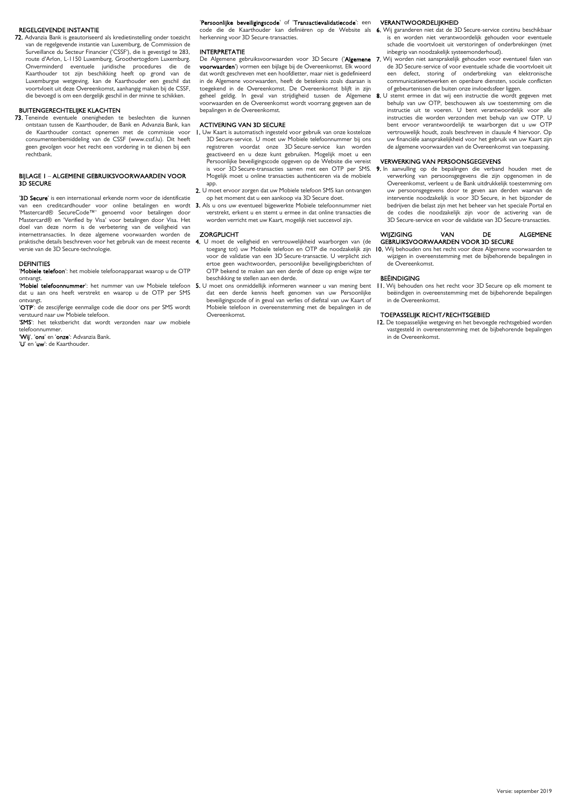## REGELGEVENDE INSTANTIE

72. Advanzia Bank is geautoriseerd als kredietinstelling onder toezicht van de regelgevende instantie van Luxemburg, de Commission de Surveillance du Secteur Financier ('CSSF'), die is gevestigd te 283, route d'Arlon, L-1150 Luxemburg, Groothertogdom Luxemburg. Onverminderd eventuele juridische procedures die de Kaarthouder tot zijn beschikking heeft op grond van de Luxemburgse wetgeving, kan de Kaarthouder een geschil dat voortvloeit uit deze Overeenkomst, aanhangig maken bij de CSSF, die bevoegd is om een dergelijk geschil in der minne te schikken.

## BUITENGERECHTELIJKE KLACHTEN

73. Teneinde eventuele onenigheden te beslechten die kunnen ontstaan tussen de Kaarthouder, de Bank en Advanzia Bank, kan de Kaarthouder contact opnemen met de commissie voor consumentenbemiddeling van de CSSF (www.cssf.lu). Dit heeft geen gevolgen voor het recht een vordering in te dienen bij een rechtbank.

## BIJLAGE 1 – ALGEMENE GEBRUIKSVOORWAARDEN VOOR 3D SECURE

'3D Secure' is een internationaal erkende norm voor de identificatie van een creditcardhouder voor online betalingen en wordt 'Mastercard® SecureCode™' genoemd voor betalingen door Mastercard® en 'Verified by Visa' voor betalingen door Visa. Het doel van deze norm is de verbetering van de veiligheid van internettransacties. In deze algemene voorwaarden worden de praktische details beschreven voor het gebruik van de meest recente versie van de 3D Secure-technologie.

#### DEFINITIES

'Mobiele telefoon': het mobiele telefoonapparaat waarop u de OTP ontvangt.

dat u aan ons heeft verstrekt en waarop u de OTP per SMS ontvangt.

'OTP': de zescijferige eenmalige code die door ons per SMS wordt verstuurd naar uw Mobiele telefoon.

'SMS': het tekstbericht dat wordt verzonden naar uw mobiele telefoonnummer.

'Wij', 'ons' en 'onze': Advanzia Bank.

'U' en 'uw': de Kaarthouder.

## 'Persoonlijke beveiligingscode' of 'Transactievalidatiecode': een

code die de Kaarthouder kan definiëren op de Website als 6. Wij garanderen niet dat de 3D Secure-service continu beschikbaar herkenning voor 3D Secure-transacties.

#### INTERPRETATIE

voorwaarden') vormen een bijlage bij de Overeenkomst. Elk woord dat wordt geschreven met een hoofdletter, maar niet is gedefinieerd in de Algemene voorwaarden, heeft de betekenis zoals daaraan is toegekend in de Overeenkomst. De Overeenkomst blijft in zijn geheel geldig. In geval van strijdigheid tussen de Algemene voorwaarden en de Overeenkomst wordt voorrang gegeven aan de bepalingen in de Overeenkomst.

## ACTIVERING VAN 3D SECURE

- 1. Uw Kaart is automatisch ingesteld voor gebruik van onze kosteloze 3D Secure-service. U moet uw Mobiele telefoonnummer bij ons registreren voordat onze 3D Secure-service kan worden geactiveerd en u deze kunt gebruiken. Mogelijk moet u een Persoonlijke beveiligingscode opgeven op de Website die vereist is voor 3D Secure-transacties samen met een OTP per SMS. 9. In aanvulling op de bepalingen die verband houden met de Mogelijk moet u online transacties authenticeren via de mobiele app.
- 2. U moet ervoor zorgen dat uw Mobiele telefoon SMS kan ontvangen op het moment dat u een aankoop via 3D Secure doet.
- 3. Als u ons uw eventueel bijgewerkte Mobiele telefoonnummer niet verstrekt, erkent u en stemt u ermee in dat online transacties die worden verricht met uw Kaart, mogelijk niet succesvol zijn.

#### **ZORGPLICHT**

- 4. U moet de veiligheid en vertrouwelijkheid waarborgen van (de toegang tot) uw Mobiele telefoon en OTP die noodzakelijk zijn voor de validatie van een 3D Secure-transactie. U verplicht zich ertoe geen wachtwoorden, persoonlijke beveiligingsberichten of OTP bekend te maken aan een derde of deze op enige wijze ter beschikking te stellen aan een derde.
- 'Mobiel telefoonnummer': het nummer van uw Mobiele telefoon 5. U moet ons onmiddellijk informeren wanneer u van mening bent dat een derde kennis heeft genomen van uw Persoonlijke beveiligingscode of in geval van verlies of diefstal van uw Kaart of Mobiele telefoon in overeenstemming met de bepalingen in de Overeenkomst.

### VERANTWOORDELIJKHEID

- is en worden niet verantwoordelijk gehouden voor eventuele schade die voortvloeit uit verstoringen of onderbrekingen (met inbegrip van noodzakelijk systeemonderhoud).
- De Algemene gebruiksvoorwaarden voor 3D Secure ('**Algemene 7.** Wij worden niet aansprakelijk gehouden voor eventueel falen van de 3D Secure-service of voor eventuele schade die voortvloeit uit een defect, storing of onderbreking van elektronische communicatienetwerken en openbare diensten, sociale conflicten of gebeurtenissen die buiten onze invloedssfeer liggen.
	- 8. U stemt ermee in dat wij een instructie die wordt gegeven met behulp van uw OTP, beschouwen als uw toestemming om die instructie uit te voeren. U bent verantwoordelijk voor alle instructies die worden verzonden met behulp van uw OTP. U bent ervoor verantwoordelijk te waarborgen dat u uw OTP vertrouwelijk houdt, zoals beschreven in clausule 4 hiervoor. Op uw financiële aansprakelijkheid voor het gebruik van uw Kaart zijn de algemene voorwaarden van de Overeenkomst van toepassing.

## VERWERKING VAN PERSOONSGEGEVENS

verwerking van persoonsgegevens die zijn opgenomen in de Overeenkomst, verleent u de Bank uitdrukkelijk toestemming om uw persoonsgegevens door te geven aan derden waarvan de interventie noodzakelijk is voor 3D Secure, in het bijzonder de bedrijven die belast zijn met het beheer van het speciale Portal en de codes die noodzakelijk zijn voor de activering van de 3D Secure-service en voor de validatie van 3D Secure-transacties.

#### WIIZIGING VAN DE ALGEMENE GEBRUIKSVOORWAARDEN VOOR 3D SECURE

10. Wij behouden ons het recht voor deze Algemene voorwaarden te wijzigen in overeenstemming met de bijbehorende bepalingen in de Overeenkomst.

## BEËINDIGING

11. Wij behouden ons het recht voor 3D Secure op elk moment te beëindigen in overeenstemming met de bijbehorende bepalingen in de Overeenkomst.

## TOEPASSELIJK RECHT/RECHTSGEBIED

12. De toepasselijke wetgeving en het bevoegde rechtsgebied worden vastgesteld in overeenstemming met de bijbehorende bepalingen in de Overeenkomst.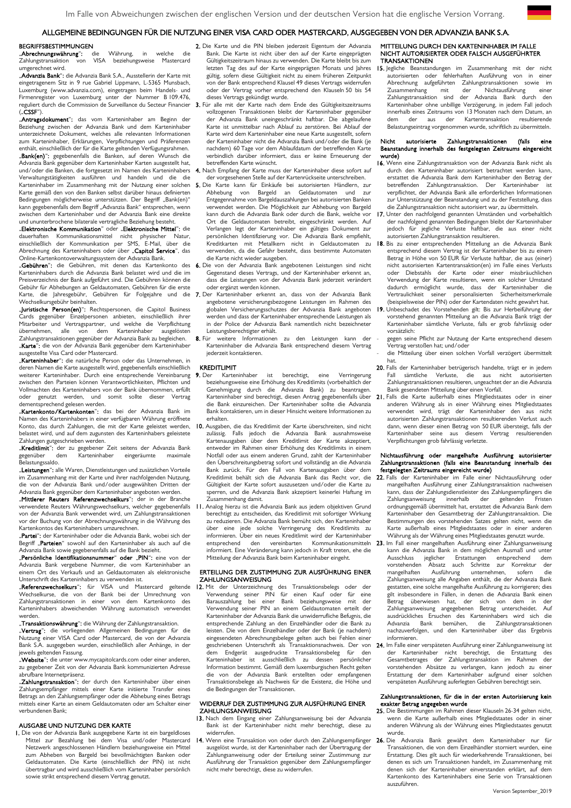## ALLGEMEINE BEDINGUNGEN FÜR DIE NUTZUNG EINER VISA CARD ODER MASTERCARD, AUSGEGEBEN VON DER ADVANZIA BANK S.A.

## BEGRIFFSBESTIMMUNGEN<br>Abrechnungswährung": die

**"Abrechnungswährung":** die Währung, in welche die<br>Zahlungstransaktion von VISA beziehungsweise Mastercard von VISA beziehungsweise Mastercard umgerechnet wird.

"**Advanzia Bank**"; die Advanzia Bank S.A., Ausstellerin der Karte mit eingetragenem Sitz in 9 rue Gabriel Lippmann, L-5365 Munsbach, Luxemburg (www.advanzia.com), eingetragen beim Handels- und Firmenregister von Luxemburg unter der Nummer B 109.476, reguliert durch die Commission de Surveillance du Secteur Financier  $($ "ČSSF")

"Antragsdokument": das vom Karteninhaber am Beginn der Beziehung zwischen der Advanzia Bank und dem Karteninhaber unterzeichnete Dokument, welches alle relevanten Informationen zum Karteninhaber, Erklärungen, Verpflichtungen und Präferenzen enthält, einschließlich der für die Karte geltenden Verfügungsrahmen. "Bank(en)": gegebenenfalls die Banken, auf deren Wunsch die Advanzia Bank gegenüber dem Karteninhaber Karten ausgestellt hat,

und/oder die Banken, die fortgesetzt im Namen des Karteninhabers Verwaltungstätigkeiten ausführen und handeln und die die Karteninhaber im Zusammenhang mit der Nutzung einer solchen Karte gemäß den von den Banken selbst darüber hinaus definierten Bedingungen möglicherweise unterstützen. Der Begriff "Bank(en)" kann gegebenenfalls dem Begriff "Advanzia Bank" entsprechen, wenn zwischen dem Karteninhaber und der Advanzia Bank eine direkte und ununterbrochene bilaterale vertragliche Beziehung besteht.

## "Elektronische Kommunikation" oder "Elektronische Mittel": die dauerhaften Kommunikationsmittel nicht physischer Natur, einschließlich der Kommunikation per SMS, E-Mail, über die Abrechnung des Karteninhabers oder über "Capitol Service", das Online-Kartenkontoverwaltungssystem der Advanzia Bank.

"Gebühren": die Gebühren, mit denen das Kartenkonto des Karteninhabers durch die Advanzia Bank belastet wird und die im Preisverzeichnis der Bank aufgeführt sind. Die Gebühren können die Gebühr für Abhebungen an Geldautomaten, Gebühren für die erste Karte, die Jahresgebühr, Gebühren für Folgejahre und die Wechselkursgebühr beinhalten.

"Juristische Person(en)": Rechtspersonen, die Capitol Business Cards gegenüber Einzelpersonen anbieten, einschließlich ihrer Mitarbeiter und Vertragspartner, und welche die Verpflichtung älle von dem Karteninhaber Zahlungstransaktionen gegenüber der Advanzia Bank zu begleichen. "Karte": die von der Advanzia Bank gegenüber dem Karteninhaber ausgestellte Visa Card oder Mastercard.

"Karteninhaber": die natürliche Person oder das Unternehmen, in deren Namen die Karte ausgestellt wird, gegebenenfalls einschließlich weiterer Karteninhaber. Durch eine entsprechende Vereinbarung zwischen den Parteien können Verantwortlichkeiten, Pflichten und Vollmachten des Karteninhabers von der Bank übernommen, erfüllt oder genutzt werden, und somit sollte dieser Vertrag dementsprechend gelesen werden.

"Kartenkonto/Kartenkonten": das bei der Advanzia Bank im Namen des Karteninhabers in einer verfügbaren Währung eröffnete Konto, das durch Zahlungen, die mit der Karte geleistet werden, belastet wird, und auf dem zugunsten des Karteninhabers geleistete

Zahlungen gutgeschrieben werden.<br>"**Kreditlimit":** der zu gegebener Zeit seitens der Advanzia Bank gegenüber dem Karteninhaber eingeräumte maximale -<br>Blastungssaldo.

"**Leistungen**": alle Waren, Dienstleistungen und zusätzlichen Vorteile im Zusammenhang mit der Karte und ihrer nachfolgenden Nutzung, die von der Advanzia Bank und/oder ausgewählten Dritten der Advanzia Bank gegenüber dem Karteninhaber angeboten werden.

"Mittlerer Reuters Referenzwechselkurs": der in der Branche verwendete Reuters Währungswechselkurs, welcher gegebenenfalls von der Advanzia Bank verwendet wird, um Zahlungstransaktionen vor der Buchung von der Abrechnungswährung in die Währung des Kartenkontos des Karteninhabers umzurechnen.

"**Partei":** der Karteninhaber oder die Advanzia Bank, wobei sich der Begriff "Parteien" sowohl auf den Karteninhaber als auch auf die Advanzia Bank sowie gegebenenfalls auf die Bank bezieht.

"**Persönliche Identifikationsnummer" oder** "**PIN":** eine von der<br>Advanzia Bank vergebene Nummer, die vom Karteninhaber an einem Ort des Verkaufs und an Geldautomaten als elektronische Unterschrift des Karteninhabers zu verwenden ist.

"Referenzwechselkurs": für VISA und Mastercard geltende Wechselkurse, die von der Bank bei der Umrechnung von Zahlungstransaktionen in einer von dem Kartenkonto des Karteninhabers abweichenden Währung automatisch verwendet werden.

"Transaktionswährung": die Währung der Zahlungstransaktion.

"Vertrag": die vorliegenden Allgemeinen Bedingungen für die Nutzung einer VISA Card oder Mastercard, die von der Advanzia Bank S.A. ausgegeben wurden, einschließlich aller Anhänge, in der jeweils geltenden Fassung.

"Website": die unter www.mycapitolcards.com oder einer anderen, zu gegebener Zeit von der Advanzia Bank kommunizierten Adresse abrufbare Internetpräsenz.

"Zahlungstransaktion": der durch den Karteninhaber über einen Zahlungsempfänger mittels einer Karte initiierte Transfer eines Betrags an den Zahlungsempfänger oder die Abhebung eines Betrags mittels einer Karte an einem Geldautomaten oder am Schalter einer verbundenen Bank;

#### AUSGABE UND NUTZUNG DER KARTE

1. Die von der Advanzia Bank ausgegebene Karte ist ein bargeldloses Mittel zur Bezahlung bei dem Visa und/oder Mastercard Netzwerk angeschlossenen Händlern beziehungsweise ein Mittel zum Abheben von Bargeld bei bevollmächtigten Banken oder Geldautomaten. Die Karte (einschließlich der PIN) ist nicht übertragbar und wird ausschließlich vom Karteninhaber persönlich sowie strikt entsprechend diesem Vertrag genutzt.

- 2. Die Karte und die PIN bleiben jederzeit Eigentum der Advanzia Bank. Die Karte ist nicht über den auf der Karte eingeprägten Gültigkeitszeitraum hinaus zu verwenden. Die Karte bleibt bis zum letzten Tag des auf der Karte eingeprägten Monats und Jahres gültig, sofern diese Gültigkeit nicht zu einem früheren Zeitpunkt von der Bank entsprechend Klausel 49 dieses Vertrags widerrufen oder der Vertrag vorher entsprechend den Klauseln 50 bis 54 dieses Vertrags gekündigt wurde.
- 3. Für alle mit der Karte nach dem Ende des Gültigkeitszeitraums vollzogenen Transaktionen bleibt der Karteninhaber gegenüber der Advanzia Bank uneingeschränkt haftbar. Die abgelaufene Karte ist unmittelbar nach Ablauf zu zerstören. Bei Ablauf der Karte wird dem Karteninhaber eine neue Karte ausgestellt, sofern der Karteninhaber nicht die Advanzia Bank und/oder die Bank (je nachdem) 60 Tage vor dem Ablaufdatum der betreffenden Karte verbindlich darüber informiert, dass er keine Erneuerung der betreffenden Karte wünscht.
- 4. Nach Empfang der Karte muss der Karteninhaber diese sofort auf der vorgesehenen Stelle auf der Kartenrückseite unterschreiben.
- 5. Die Karte kann für Einkäufe bei autorisierten Händlern, zur Abhebung von Bargeld an Geldautomaten und zur Entgegennahme von Bargeldauszahlungen bei autorisierten Banken verwendet werden. Die Möglichkeit zur Abhebung von Bargeld kann durch die Advanzia Bank oder durch die Bank, welche vor Ort die Geldautomaten betreibt, eingeschränkt werden. Auf Verlangen legt der Karteninhaber ein gültiges Dokument zur persönlichen Identifizierung vor. Die Advanzia Bank empfiehlt, Kreditkarten mit Metallkern nicht in Geldautomaten zu verwenden, da die Gefahr besteht, dass bestimmte Automaten die Karte nicht wieder ausgeben.
- 6. Die von der Advanzia Bank angebotenen Leistungen sind nicht Gegenstand dieses Vertrags, und der Karteninhaber erkennt an, dass die Leistungen von der Advanzia Bank jederzeit verändert oder ergänzt werden können.
- 7. Der Karteninhaber erkennt an, dass von der Advanzia Bank angebotene versicherungsbezogene Leistungen im Rahmen des globalen Versicherungsschutzes der Advanzia Bank angeboten werden und dass der Karteninhaber entsprechende Leistungen als in der Police der Advanzia Bank namentlich nicht bezeichneter Leistungsberechtigter erhält.
- 8. Für weitere Informationen zu den Leistungen kann der Karteninhaber die Advanzia Bank entsprechend diesem Vertrag jederzeit kontaktieren.

- KREDITLIMIT<br>P. Der Karteninhaber 9. Der Karteninhaber ist berechtigt, eine Verringerung beziehungsweise eine Erhöhung des Kreditlimits (vorbehaltlich der Genehmigung durch die Advanzia Bank) zu beantragen. Karteninhaber sind berechtigt, diesen Antrag gegebenenfalls über die Bank einzureichen. Der Karteninhaber sollte die Advanzia Bank kontaktieren, um in dieser Hinsicht weitere Informationen zu erhalten.
- 10. Ausgaben, die das Kreditlimit der Karte überschreiten, sind nicht zulässig. Falls jedoch die Advanzia Bank ausnahmsweise Kartenausgaben über dem Kreditlimit der Karte akzeptiert, entweder im Rahmen einer Erhöhung des Kreditlimits in einem Notfall oder aus einem anderen Grund, zahlt der Karteninhaber den Überschreitungsbetrag sofort und vollständig an die Advanzia Bank zurück. Für den Fall von Kartenausgaben über dem Kreditlimit behält sich die Advanzia Bank das Recht vor, die Gültigkeit der Karte sofort auszusetzen und/oder die Karte zu sperren, und die Advanzia Bank akzeptiert keinerlei Haftung im Zusammenhang damit.
- 11. Analog hierzu ist die Advanzia Bank aus jedem objektiven Grund berechtigt zu entscheiden, das Kreditlimit mit sofortiger Wirkung zu reduzieren. Die Advanzia Bank bemüht sich, den Karteninhaber über eine jede solche Verringerung des Kreditlimits zu informieren. Über ein neues Kreditlimit wird der Karteninhaber informiert. Eine Veränderung kann jedoch in Kraft treten, ehe die Mitteilung der Advanzia Bank beim Karteninhaber eingeht.

## ERTEILUNG DER ZUSTIMMUNG ZUR AUSFÜHRUNG EINER ZAHLUNGSANWEISUNG

12. Mit der Unterzeichnung des Transaktionsbelegs oder der Verwendung seiner PIN für einen Kauf oder für eine Barauszahlung bei einer Bank beziehungsweise mit der Verwendung seiner PIN an einem Geldautomaten erteilt der Karteninhaber der Advanzia Bank die unwiderrufliche Befugnis, die entsprechende Zahlung an den Einzelhändler oder die Bank zu leisten. Die von dem Einzelhändler oder der Bank (je nachdem) eingesendeten Abrechnungsbelege gelten auch bei Fehlen einer geschriebenen Unterschrift als Transaktionsnachweis. Der von dem Endgerät ausgedruckte Transaktionsbeleg für den Karteninhaber ist ausschließlich zu dessen persönlicher Information bestimmt. Gemäß dem luxemburgischen Recht gelten die von der Advanzia Bank erstellten oder empfangenen Transaktionsbelege als Nachweis für die Existenz, die Höhe und die Bedingungen der Transaktionen.

### WIDERRUF DER ZUSTIMMUNG ZUR AUSFÜHRUNG EINER ZAHLUNGSANWEISUNG

- 13. Nach dem Eingang einer Zahlungsanweisung bei der Advanzia Bank ist der Karteninhaber nicht mehr berechtigt, diese zu widerrufen.
- . Wenn eine Transaktion von oder durch den Zahlungsempfänger ausgelöst wurde, ist der Karteninhaber nach der Übertragung der Zahlungsanweisung oder der Erteilung seiner Zustimmung zur Ausführung der Transaktion gegenüber dem Zahlungsempfänger nicht mehr berechtigt, diese zu widerrufen.

### MITTEILUNG DURCH DEN KARTENINHABER IM FALLE NICHT AUTORISIERTER ODER FALSCH AUSGEFÜHRTER **TRANSAKTIONEN**

15. Jegliche Beanstandungen im Zusammenhang mit der nicht<br>autorisierten oder fehlerhaften Ausführung von in einer fehlerhaften Ausführung von in einer Abrechnung aufgeführten Zahlungstransaktionen sowie im Zusammenhang mit der Nichtausführung einer Zahlungstransaktion sind der Advanzia Bank durch den Karteninhaber ohne unbillige Verzögerung, in jedem Fall jedoch innerhalb eines Zeitraums von 13 Monaten nach dem Datum, an dem der aus der Kartentransaktion resultierende Belastungseintrag vorgenommen wurde, schriftlich zu übermitteln.

## Nicht autorisierte Zahlungstransaktionen (falls eine Beanstandung innerhalb des festgelegten Zeitraums eingereicht wurde)

- 16. Wenn eine Zahlungstransaktion von der Advanzia Bank nicht als durch den Karteninhaber autorisiert betrachtet werden kann, erstattet die Advanzia Bank dem Karteninhaber den Betrag der betreffenden Zahlungstransaktion. Der Karteninhaber ist verpflichtet, der Advanzia Bank alle erforderlichen Informationen zur Unterstützung der Beanstandung und zu der Feststellung, dass die Zahlungstransaktion nicht autorisiert war, zu übermitteln.
- 17. Unter den nachfolgend genannten Umständen und vorbehaltlich der nachfolgend genannten Bedingungen bleibt der Karteninhaber jedoch für jegliche Verluste haftbar, die aus einer nicht autorisierten Zahlungstransaktion resultieren.
- 18. Bis zu einer entsprechenden Mitteilung an die Advanzia Bank entsprechend diesem Vertrag ist der Karteninhaber bis zu einem Betrag in Höhe von 50 EUR für Verluste haftbar, die aus (einer) nicht autorisierten Kartentransaktion(en) im Falle eines Verlusts oder Diebstahls der Karte oder einer missbräuchlichen Verwendung der Karte resultieren, wenn ein solcher Umstand dadurch ermöglicht wurde, dass der Karteninhaber die Vertraulichkeit seiner personalisierten Sicherheitsmerkmale (beispielsweise der PIN) oder der Kartendaten nicht gewahrt hat.
- 19. Unbeschadet des Vorstehenden gilt: Bis zur Herbeiführung der vorstehend genannten Mitteilung an die Advanzia Bank trägt der Karteninhaber sämtliche Verluste, falls er grob fahrlässig oder vorsätzlich:
- gegen seine Pflicht zur Nutzung der Karte entsprechend diesem Vertrag verstoßen hat; und/oder
- die Mitteilung über einen solchen Vorfall verzögert übermittelt hat.
- 20. Falls der Karteninhaber betrügerisch handelte, trägt er in jedem Fall sämtliche Verluste, die aus nicht autorisierten Zahlungstransaktionen resultieren, ungeachtet der an die Advanzia Bank gesendeten Mitteilung über einen Vorfall.
- 21. Falls die Karte außerhalb eines Mitgliedstaates oder in einer anderen Währung als in einer Währung eines Mitgliedstaates verwendet wird, trägt der Karteninhaber den aus nicht autorisierten Zahlungstransaktionen resultierenden Verlust auch dann, wenn dieser einen Betrag von 50 EUR übersteigt, falls der Karteninhaber seine aus diesem Vertrag resultierenden Verpflichtungen grob fahrlässig verletzte.

### Nichtausführung oder mangelhafte Ausführung autorisierter Zahlungstransaktionen (falls eine Beanstandung innerhalb des festgelegten Zeitraums eingereicht wurde)

- 22. Falls der Karteninhaber im Falle einer Nichtausführung oder mangelhaften Ausführung einer Zahlungstransaktion nachweisen kann, dass der Zahlungsdienstleister des Zahlungsempfängers die Zahlungsanweisung innerhalb der geltenden Fristen ordnungsgemäß übermittelt hat, erstattet die Advanzia Bank dem Karteninhaber den Gesamtbetrag der Zahlungstransaktion. Die Bestimmungen des vorstehenden Satzes gelten nicht, wenn die Karte außerhalb eines Mitgliedstaates oder in einer anderen Währung als der Währung eines Mitgliedstaates genutzt wurde.
- entsprechend den vereinbarten Kommunikationsmitteln 23. Im Fall einer mangelhaften Ausführung einer Zahlungsanweisung kann die Advanzia Bank in dem möglichen Ausmaß und unter Ausschluss jeglicher Erstattungen entsprechend dem vorstehenden Absatz auch Schritte zur Korrektur der mangelhaften Ausführung unternehmen, sofern die Zahlungsanweisung alle Angaben enthält, die der Advanzia Bank gestatten, eine solche mangelhafte Ausführung zu korrigieren; dies gilt insbesondere in Fällen, in denen die Advanzia Bank einen Betrag überwiesen hat, der sich von dem in der<br>Zahlungsanweisung angegebenen Betrag unterscheidet. Auf Zahlungsanweisung angegebenen Betrag unterscheidet. Auf ausdrückliches Ersuchen des Karteninhabers wird sich die Advanzia Bank bemühen, die Zahlungstransaktionen nachzuverfolgen, und den Karteninhaber über das Ergebnis informieren.
	- 24. Im Falle einer verspäteten Ausführung einer Zahlungsanweisung ist der Karteninhaber nicht berechtigt, die Erstattung des Gesamtbetrages der Zahlungstransaktion im Rahmen der vorstehenden Absätze zu verlangen, kann jedoch zu einer Erstattung der dem Karteninhaber aufgrund einer solchen verspäteten Ausführung auferlegten Gebühren berechtigt sein.

#### Zahlungstransaktionen, für die in der ersten Autorisierung kein exakter Betrag angegeben wurde

- 25. Die Bestimmungen im Rahmen dieser Klauseln 26-34 gelten nicht, wenn die Karte außerhalb eines Mitgliedstaates oder in einer anderen Währung als der Währung eines Mitgliedstaates genutzt wurde.
- 26. Die Advanzia Bank gewährt dem Karteninhaber nur für Transaktionen, die von dem Einzelhändler storniert wurden, eine Erstattung. Dies gilt auch für wiederkehrende Transaktionen, bei denen es sich um Transaktionen handelt, im Zusammenhang mit denen sich der Karteninhaber einverstanden erklärt, auf dem Kartenkonto des Karteninhabers eine Serie von Transaktionen auszuführen.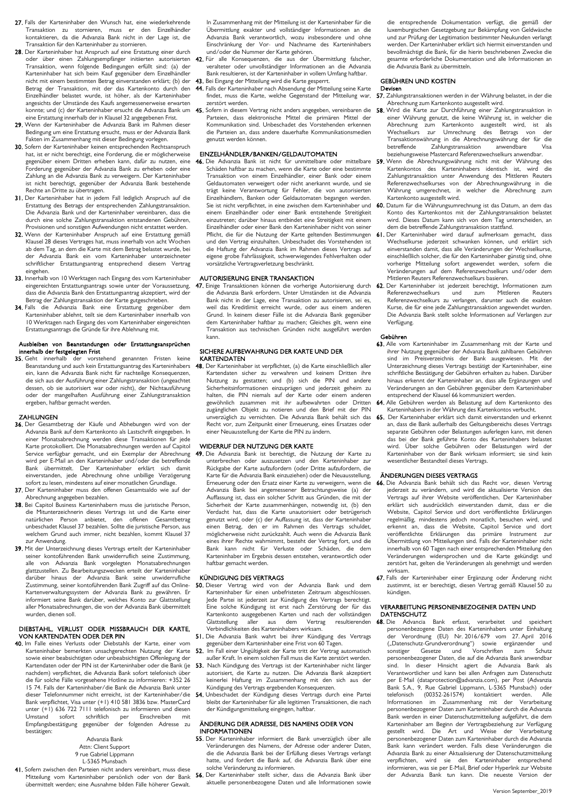- 27. Falls der Karteninhaber den Wunsch hat, eine wiederkehrende Transaktion zu stornieren, muss er den Einzelhändler da die Advanzia Bank nicht in der Lage ist, die Transaktion für den Karteninhaber zu stornieren.
- 28. Der Karteninhaber hat Anspruch auf eine Erstattung einer durch oder über einen Zahlungsempfänger initiierten autorisierten Transaktion, wenn folgende Bedingungen erfüllt sind: (a) der Karteninhaber hat sich beim Kauf gegenüber dem Einzelhändler nicht mit einem bestimmten Betrag einverstanden erklärt; (b) der Betrag der Transaktion, mit der das Kartenkonto durch den Einzelhändler belastet wurde, ist höher, als der Karteninhaber angesichts der Umstände des Kaufs angemessenerweise erwarten konnte; und (c) der Karteninhaber ersucht die Advanzia Bank um eine Erstattung innerhalb der in Klausel 32 angegebenen Frist.
- 29. Wenn der Karteninhaber die Advanzia Bank im Rahmen dieser Bedingung um eine Erstattung ersucht, muss er der Advanzia Bank Fakten im Zusammenhang mit dieser Bedingung vorlegen.
- 30. Sofern der Karteninhaber keinen entsprechenden Rechtsanspruch hat, ist er nicht berechtigt, eine Forderung, die er möglicherweise gegenüber einem Dritten erheben kann, dafür zu nutzen, eine Forderung gegenüber der Advanzia Bank zu erheben oder eine Zahlung an die Advanzia Bank zu verweigern. Der Karteninhaber ist nicht berechtigt, gegenüber der Advanzia Bank bestehende Rechte an Dritte zu übertragen.
- 31. Der Karteninhaber hat in jedem Fall lediglich Anspruch auf die Erstattung des Betrags der entsprechenden Zahlungstransaktion. Die Advanzia Bank und der Karteninhaber vereinbaren, dass die durch eine solche Zahlungstransaktion entstandenen Gebühren, Provisionen und sonstigen Aufwendungen nicht erstattet werden.
- 32. Wenn der Karteninhaber Anspruch auf eine Erstattung gemäß Klausel 28 dieses Vertrages hat, muss innerhalb von acht Wochen ab dem Tag, an dem die Karte mit dem Betrag belastet wurde, bei der Advanzia Bank ein vom Karteninhaber unterzeichneter schriftlicher Erstattungsantrag entsprechend diesem Vertrag eingehen.
- 33. Innerhalb von 10 Werktagen nach Eingang des vom Karteninhaber eingereichten Erstattungsantrags sowie unter der Voraussetzung, dass die Advanzia Bank den Erstattungsantrag akzeptiert, wird der Betrag der Zahlungstransaktion der Karte gutgeschrieben.
- 34. Falls die Advanzia Bank eine Erstattung gegenüber dem Karteninhaber ablehnt, teilt sie dem Karteninhaber innerhalb von 10 Werktagen nach Eingang des vom Karteninhaber eingereichten Erstattungsantrags die Gründe für ihre Ablehnung mit.

## Ausbleiben von Beanstandungen oder Erstattungsansprüchen innerhalb der festgelegten Frist

35. Geht innerhalb der vorstehend genannten Fristen keine Beanstandung und auch kein Erstattungsantrag des Karteninhabers ein, kann die Advanzia Bank nicht für nachteilige Konsequenzen, die sich aus der Ausführung einer Zahlungstransaktion (ungeachtet dessen, ob sie autorisiert war oder nicht), der Nichtausführung oder der mangelhaften Ausführung einer Zahlungstransaktion ergeben, haftbar gemacht werden.

## **ZAHLUNGEN**

- 36. Der Gesamtbetrag der Käufe und Abhebungen wird von der Advanzia Bank auf dem Kartenkonto als Lastschrift eingegeben. In einer Monatsabrechnung werden diese Transaktionen für jede Karte protokolliert. Die Monatsabrechnungen werden auf Capitol Service verfügbar gemacht, und ein Exemplar der Abrechnung wird per E-Mail an den Karteninhaber und/oder die betreffende<br>Bank übermittelt. Der Karteninhaber erklärt sich damit übermittelt. Der Karteninhaber erklärt sich einverstanden, jede Abrechnung ohne unbillige Verzögerung sofort zu lesen, mindestens auf einer monatlichen Grundlage.
- 37. Der Karteninhaber muss den offenen Gesamtsaldo wie auf der Abrechnung angegeben bezahlen.
- 38. Bei Capitol Business Karteninhabern muss die juristische Person, die Mitunterzeichnerin dieses Vertrags ist und die Karte einer natürlichen Person anbietet, den offenen Gesamtbetrag unbeschadet Klausel 37 bezahlen. Sollte die juristische Person, aus welchem Grund auch immer, nicht bezahlen, kommt Klausel 37 zur Anwendung.
- 39. Mit der Unterzeichnung dieses Vertrags erteilt der Karteninhaber seiner kontoführenden Bank unwiderruflich seine Zustimmung, alle von Advanzia Bank vorgelegten Monatsabrechnungen glattzustellen. Zu Bearbeitungszwecken erteilt der Karteninhaber darüber hinaus der Advanzia Bank seine unwiderrufliche Zustimmung, seiner kontoführenden Bank Zugriff auf das Online-Kartenverwaltungssystem der Advanzia Bank zu gewähren. Er informiert seine Bank darüber, welches Konto zur Glattstellung aller Monatsabrechnungen, die von der Advanzia Bank übermittelt wurden, dienen soll.

## DIEBSTAHL, VERLUST ODER MISSBRAUCH DER KARTE, VON KARTENDATEN ODER DER PIN

40. Im Falle eines Verlusts oder Diebstahls der Karte, einer vom Karteninhaber bemerkten unsachgerechten Nutzung der Karte sowie einer beabsichtigten oder unbeabsichtigten Offenlegung der Kartendaten oder der PIN ist der Karteninhaber oder die Bank (je nachdem) verpflichtet, die Advanzia Bank sofort telefonisch üb die für solche Fälle vorgesehene Hotline zu informieren: +352 26 15 74. Falls der Karteninhaber/die Bank die Advanzia Bank unter dieser Telefonnummer nicht erreicht, ist der Karteninhaber/die Bank verpflichtet, Visa unter (+1) 410 581 3836 bzw. MasterCard unter (+1) 636 722 7111 telefonisch zu informieren und diesen<br>Umstand sofort schriftlich per Einschreiben mit per Einschreiben mit Empfangsbestätigung gegenüber der folgenden Adresse zu bestätigen:

#### Advanzia Bank Attn: Client Support 9 rue Gabriel Lippmann L-5365 Munsbach

41. Sofern zwischen den Parteien nicht anders vereinbart, muss diese Mitteilung vom Karteninhaber persönlich oder von der Bank übermittelt werden; eine Ausnahme bilden Fälle höherer Gewalt. In Zusammenhang mit der Mitteilung ist der Karteninhaber für die Übermittlung exakter und vollständiger Informationen an die Advanzia Bank verantwortlich, wozu insbesondere und ohne Einschränkung der Vor- und Nachname des Karteninhabers und/oder die Nummer der Karte gehören.

- 42. Für alle Konsequenzen, die aus der Übermittlung falscher, veralteter oder unvollständiger Informationen an die Advanzia Bank resultieren, ist der Karteninhaber in vollem Umfang haftbar. 43. Bei Eingang der Mitteilung wird die Karte gesperrt.
- 44. Falls der Karteninhaber nach Absendung der Mitteilung seine Karte zerstört werden.
- Parteien, dass elektronische Mittel die primären Mittel der Kommunikation sind. Unbeschadet des Vorstehenden erkennen die Parteien an, dass andere dauerhafte Kommunikationsmedien genutzt werden können.

## EINZELHÄNDLER/BANKEN/GELDAUTOMATEN

46. Die Advanzia Bank ist nicht für unmittelbare oder mittelbare 59. Schäden haftbar zu machen, wenn die Karte oder eine bestimmte Transaktion von einem Einzelhändler, einer Bank oder einem Geldautomaten verweigert oder nicht anerkannt wurde, und sie trägt keine Verantwortung für Fehler, die von autorisierten Einzelhändlern, Banken oder Geldautomaten begangen werden. Sie ist nicht verpflichtet, in eine zwischen dem Karteninhaber und einem Einzelhändler oder einer Bank entstehende Streitigkeit einzutreten; darüber hinaus entbindet eine Streitigkeit mit einem Einzelhändler oder einer Bank den Karteninhaber nicht von seiner Pflicht, die für die Nutzung der Karte geltenden Bestimmungen und den Vertrag einzuhalten. Unbeschadet des Vorstehenden ist die Haftung der Advanzia Bank im Rahmen dieses Vertrags auf eigene grobe Fahrlässigkeit, schwerwiegendes Fehlverhalten oder vorsätzliche Vertragsverletzung beschränkt.

## AUTORISIERUNG EINER TRANSAKTION

die Advanzia Bank erfordern. Unter Umständen ist die Advanzia Bank nicht in der Lage, eine Transaktion zu autorisieren, sei es, weil das Kreditlimit erreicht wurde, oder aus einem anderen Grund. In keinem dieser Fälle ist die Advanzia Bank gegenüber dem Karteninhaber haftbar zu machen; Gleiches gilt, wenn eine Transaktion aus technischen Gründen nicht ausgeführt werden kann.

## SICHERE AUFBEWAHRUNG DER KARTE UND DER KARTENDATEN

48. Der Karteninhaber ist verpflichtet, (a) die Karte einschließlich aller Kartendaten sicher zu verwahren und keinem Dritten ihre Nutzung zu gestatten; und (b) sich die PIN und andere Sicherheitsinformationen einzuprägen und jederzeit geheim zu halten, die PIN niemals auf der Karte oder einem anderen gewöhnlich zusammen mit ihr aufbewahrten oder Dritten zugänglichen Objekt zu notieren und den Brief mit der PIN unverzüglich zu vernichten. Die Advanzia Bank behält sich das Recht vor, zum Zeitpunkt einer Erneuerung, eines Ersatzes oder einer Neuausstellung der Karte die PIN zu ändern.

## WIDERRUF DER NUTZUNG DER KARTE

49. Die Advanzia Bank ist berechtigt, die Nutzung der Karte zu unterbrechen oder auszusetzen und den Karteninhaber zur Rückgabe der Karte aufzufordern (oder Dritte aufzufordern, die Karte für die Advanzia Bank einzuziehen) oder die Neuausstellung, Erneuerung oder den Ersatz einer Karte zu verweigern, wenn die Advanzia Bank bei angemessener Betrachtungsweise (a) der Auffassung ist, dass ein solcher Schritt aus Gründen, die mit der Sicherheit der Karte zusammenhängen, notwendig ist, (b) den Verdacht hat, dass die Karte unautorisiert oder betrügerisch genutzt wird, oder (c) der Auffassung ist, dass der Karteninhaber einen Betrag, den er im Rahmen des Vertrags schuldet, möglicherweise nicht zurückzahlt. Auch wenn die Advanzia Bank eines ihrer Rechte wahrnimmt, besteht der Vertrag fort, und die Bank kann nicht für Verluste oder Schäden, die dem Karteninhaber im Ergebnis dessen entstehen, verantwortlich oder haftbar gemacht werden.

### KÜNDIGUNG DES VERTRAGS

- 50. Dieser Vertrag wird von der Advanzia Bank und dem Karteninhaber für einen unbefristeten Zeitraum abgeschlossen. Jede Partei ist jederzeit zur Kündigung des Vertrags berechtigt. Eine solche Kündigung ist erst nach Zerstörung der für das Kartenkonto ausgegebenen Karten und nach der vollständigen Glattstellung aller aus dem Vertrag resultierenden Verbindlichkeiten des Karteninhabers wirksam.
- 51. Die Advanzia Bank wahrt bei ihrer Kündigung des Vertrags gegenüber dem Karteninhaber eine Frist von 60 Tagen.
- 52. Im Fall einer Ungültigkeit der Karte tritt der Vertrag automatisch außer Kraft. In einem solchen Fall muss die Karte zerstört werden. 53. Nach Kündigung des Vertrags ist der Karteninhaber nicht länger
- autorisiert, die Karte zu nutzen. Die Advanzia Bank akzeptiert keinerlei Haftung im Zusammenhang mit den sich aus der Kündigung des Vertrags ergebenden Konsequenzen.
- 54. Unbeschadet der Kündigung dieses Vertrags durch eine Partei bleibt der Karteninhaber für alle legitimen Transaktionen, die nach der Kündigungsmitteilung eingingen, haftbar.

## ÄNDERUNG DER ADRESSE, DES NAMENS ODER VON INFORMATIONEN

- 55. Der Karteninhaber informiert die Bank unverzüglich über alle Veränderungen des Namens, der Adresse oder anderer Daten, die die Advanzia Bank bei der Erfüllung dieses Vertrags verlangt hatte, und fordert die Bank auf, die Advanzia Bank über eine solche Veränderung zu informieren.
- 56. Der Karteninhaber stellt sicher, dass die Advanzia Bank über aktuelle personenbezogene Daten und alle Informationen sowie

die entsprechende Dokumentation verfügt, die gemäß der luxemburgischen Gesetzgebung zur Bekämpfung von Geldwäsche und zur Prüfung der Legitimation bestimmter Neukunden verlangt werden. Der Karteninhaber erklärt sich hiermit einverstanden und bevollmächtigt die Bank, für die hierin beschriebenen Zwecke die gesamte erforderliche Dokumentation und alle Informationen an die Advanzia Bank zu übermitteln.

## GEBÜHREN UND KOSTEN

## Devisen

- findet, muss die Karte, welche Gegenstand der Mitteilung war, 57. Zahlungstransaktionen werden in der Währung belastet, in der die Abrechnung zum Kartenkonto ausgestellt wird.
- 45. Sofern in diesem Vertrag nicht anders angegeben, vereinbaren die 58. Wird die Karte zur Durchführung einer Zahlungstransaktion in einer Währung genutzt, die keine Währung ist, in welcher die Abrechnung zum Kartenkonto ausgestellt wird, ist als Wechselkurs zur Umrechnung des Betrags von der Transaktionswährung in die Abrechnungswährung der für die betreffende Zahlungstransaktion anwendbare Visa beziehungsweise Mastercard Referenzwechselkurs anwendbar.
	- 59. Wenn die Abrechnungswährung nicht mit der Währung des Kartenkontos des Karteninhabers identisch ist, wird die Zahlungstransaktion unter Anwendung des Mittleren Reuters Referenzwechselkurses von der Abrechnungswährung in die Währung umgerechnet, in welcher die Abrechnung zum Kartenkonto ausgestellt wird.
	- 60. Datum für die Währungsumrechnung ist das Datum, an dem das Konto des Kartenkontos mit der Zahlungstransaktion belastet wird. Dieses Datum kann sich von dem Tag unterscheiden, an dem die betreffende Zahlungstransaktion stattfand.
	- 61. Der Karteninhaber wird darauf aufmerksam gemacht, dass Wechselkurse jederzeit schwanken können, und erklärt sich einverstanden damit, dass alle Veränderungen der Wechselkurse, einschließlich solcher, die für den Karteninhaber günstig sind, ohne vorherige Mitteilung sofort angewendet werden, sofern die Veränderungen auf dem Referenzwechselkurs und/oder dem Mittleren Reuters Referenzwechselkurs basieren.
- 47. Einige Transaktionen können die vorherige Autorisierung durch 62. Der Karteninhaber ist jederzeit berechtigt, Informationen zum Referenzwechselkurs und zum Mittleren Reuters Referenzwechselkurs zu verlangen, darunter auch die exakten Kurse, die für eine jede Zahlungstransaktion angewendet wurden. Die Advanzia Bank stellt solche Informationen auf Verlangen zur Verfügung.

## Gebühren

- 63. Alle vom Karteninhaber im Zusammenhang mit der Karte und ihrer Nutzung gegenüber der Advanzia Bank zahlbaren Gebühren sind im Preisverzeichnis der Bank ausgewiesen. Mit der Unterzeichnung dieses Vertrags bestätigt der Karteninhaber, eine schriftliche Bestätigung der Gebühren erhalten zu haben. Darüber hinaus erkennt der Karteninhaber an, dass alle Ergänzungen und Veränderungen an den Gebühren gegenüber dem Karteninhaber entsprechend der Klausel 66 kommuniziert werden.
- 64. Alle Gebühren werden als Belastung auf dem Kartenkonto des Karteninhabers in der Währung des Kartenkontos verbucht.
- 65. Der Karteninhaber erklärt sich damit einverstanden und erkennt an, dass die Bank außerhalb des Geltungsbereichs dieses Vertrags separate Gebühren oder Belastungen auferlegen kann, mit denen das bei der Bank geführte Konto des Karteninhabers belastet wird. Über solche Gebühren oder Belastungen wird der Karteninhaber von der Bank wirksam informiert; sie sind kein wesentlicher Bestandteil dieses Vertrags.

#### ÄNDERUNGEN DIESES VERTRAGS

- 66. Die Advanzia Bank behält sich das Recht vor, diesen Vertrag jederzeit zu verändern, und wird die aktualisierte Version des Vertrags auf ihrer Website veröffentlichen. Der Karteninhaber erklärt sich ausdrücklich einverstanden damit, dass er die Website, Capitol Service und dort veröffentlichte Erklärungen regelmäßig, mindestens jedoch monatlich, besuchen wird, und erkennt an, dass die Website, Capitol Service und dort veröffentlichte Erklärungen das primäre Instrument zur Übermittlung von Mitteilungen sind. Falls der Karteninhaber nicht innerhalb von 60 Tagen nach einer entsprechenden Mitteilung den Veränderungen widersprochen und die Karte gekündigt und zerstört hat, gelten die Veränderungen als genehmigt und werden wirksam.
- 67. Falls der Karteninhaber einer Ergänzung oder Änderung nicht zustimmt, ist er berechtigt, diesen Vertrag gemäß Klausel 50 zu kündigen.

## VERARBEITUNG PERSONENBEZOGENER DATEN UND DATENSCHUTZ

68. Die Advancia Bank erfasst, verarbeitet und speichert personenbezogene Daten des Karteninhabers unter Einhaltung der Verordnung (EU) Nr. 2016/679 vom 27. April 2016 ("Datenschutz-Grundverordnung") sowie ergänzender und sonstiger Gesetze und Vorschriften zum personenbezogener Daten, die auf die Advanzia Bank anwendbar sind. In dieser Hinsicht agiert die Advanzia Bank als Verantwortlicher und kann bei allen Anfragen zum Datenschutz per E-Mail (dataprotection@advanzia.com), per Post (Advanzia Bank S.A., 9, Rue Gabriel Lippmann, L-5365 Munsbach) oder  $(00352-261574)$  kontaktiert werden. Informationen im Zusammenhang mit der Verarbeitung personenbezogener Daten zum Karteninhaber durch die Advanzia Bank werden in einer Datenschutzmitteilung aufgeführt, die dem Karteninhaber am Beginn der Vertragsbeziehung zur Verfügung gestellt wird. Die Art und Weise der Verarbeitung personenbezogener Daten zum Karteninhaber durch die Advanzia Bank kann verändert werden. Falls diese Veränderungen die Advanzia Bank zu einer Aktualisierung der Datenschutzmitteilung verpflichten, wird sie den Karteninhaber entsprechend informieren, was sie per E-Mail, Brief oder Hyperlink zur Website der Advanzia Bank tun kann. Die neueste Version der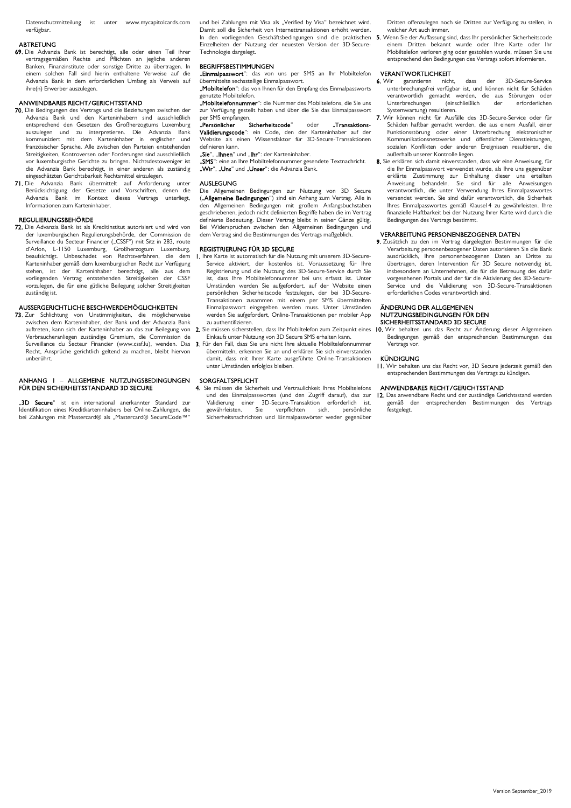Datenschutzmitteilung ist unter www.mycapitolcards.com verfügbar.

### **ARTRETUNG**

69. Die Advanzia Bank ist berechtigt, alle oder einen Teil ihrer vertragsgemäßen Rechte und Pflichten an jegliche anderen Banken, Finanzinstitute oder sonstige Dritte zu übertragen. In einem solchen Fall sind hierin enthaltene Verweise auf die Advanzia Bank in dem erforderlichen Umfang als Verweis auf ihre(n) Erwerber auszulegen.

## ANWENDBARES RECHT/GERICHTSSTAND

- 70. Die Bedingungen des Vertrags und die Beziehungen zwischen der Advanzia Bank und den Karteninhabern sind ausschließlich entsprechend den Gesetzen des Großherzogtums Luxemburg auszulegen und zu interpretieren. Die Advanzia Bank kommuniziert mit dem Karteninhaber in englischer und französischer Sprache. Alle zwischen den Parteien entstehenden Streitigkeiten, Kontroversen oder Forderungen sind ausschließlich vor luxemburgische Gerichte zu bringen. Nichtsdestoweniger ist die Advanzia Bank berechtigt, in einer anderen als zuständig eingeschätzten Gerichtsbarkeit Rechtsmittel einzulegen.
- 71. Die Advanzia Bank übermittelt auf Anforderung unter Berücksichtigung der Gesetze und Vorschriften, denen die Advanzia Bank im Kontext dieses Vertrags unterliegt, Informationen zum Karteninhaber.

## REGULIERUNGSBEHÖRDE

72. Die Advanzia Bank ist als Kreditinstitut autorisiert und wird von der luxemburgischen Regulierungsbehörde, der Commission de Surveillance du Secteur Financier ("CSSF") mit Sitz in 283, route d'Arlon, L-1150 Luxemburg, Großherzogtum Luxemburg, beaufsichtigt. Unbeschadet von Rechtsverfahren, die dem Karteninhaber gemäß dem luxemburgischen Recht zur Verfügung stehen, ist der Karteninhaber berechtigt, alle aus vorliegenden Vertrag entstehenden Streitigkeiten der CSSF vorzulegen, die für eine gütliche Beilegung solcher Streitigkeiten zuständig ist.

## AUSSERGERICHTLICHE BESCHWERDEMÖGLICHKEITEN

73. Zur Schlichtung von Unstimmigkeiten, die möglicherweise zwischen dem Karteninhaber, der Bank und der Advanzia Bank auftreten, kann sich der Karteninhaber an das zur Beilegung von Verbraucheranliegen zuständige Gremium, die Commission de Surveillance du Secteur Financier (www.cssf.lu), wenden. Das 3. Für den Fall, dass Sie uns nicht Ihre aktuelle Mobiltelefonnummer Recht, Ansprüche gerichtlich geltend zu machen, bleibt hiervon unberührt.

## ANHANG 1 – ALLGEMEINE NUTZUNGSBEDINGUNGEN FÜR DEN SICHERHEITSSTANDARD 3D SECURE

..3D Secure" ist ein international anerkannter Standard zur Identifikation eines Kreditkarteninhabers bei Online-Zahlungen, die bei Zahlungen mit Mastercard® als "Mastercard® SecureCode™" und bei Zahlungen mit Visa als "Verified by Visa" bezeichnet wird. Damit soll die Sicherheit von Internettransaktionen erhöht werden. Einzelheiten der Nutzung der neuesten Version der 3D-Secure-Technologie dargelegt.

## BEGRIFFSBESTIMMUNGEN

"Einmalpasswort": das von uns per SMS an Ihr Mobiltelefon übermittelte sechsstellige Einmalpasswort. "Mobiltelefon": das von Ihnen für den Empfang des Einmalpassworts

wezte Mobiltelefon. "Sinitiese Treensheid...<br>"**Mobiltelefonnummer**": die Nummer des Mobiltelefons, die Sie uns zur Verfügung gestellt haben und über die Sie das Einmalpasswort

en<br>per SMS empfangen.<br>Persönlicher Sicherheitscode" "**Persönlicher Sicherheitscode**" oder "**Transaktions-**<br>**Validierungscode**": ein Code, den der Karteninhaber auf der Website als einen Wissensfaktor für 3D-Secure-Transaktionen

definieren kann. "Sie", "Ihnen" und "Ihr": der Karteninhaber.

"Ste ", "" " is " is " is " in the montage."<br>"SMS": eine an Ihre Mobiltelefonnummer gesendete Textnachricht. "**Wir", "Uns"** und "**Unser"**: die Advanzia Bank.

#### AUSLEGUNG

Die Allgemeinen Bedingungen zur Nutzung von 3D Secure ("Allgemeine Bedingungen") sind ein Anhang zum Vertrag. Alle in den Allgemeinen Bedingungen mit großem Anfangsbuchstaben geschriebenen, jedoch nicht definierten Begriffe haben die im Vertrag definierte Bedeutung. Dieser Vertrag bleibt in seiner Gänze gültig. Bei Widersprüchen zwischen den Allgemeinen Bedingungen und dem Vertrag sind die Bestimmungen des Vertrags maßgeblich.

## REGISTRIERUNG FÜR 3D SECURE

- 1. Ihre Karte ist automatisch für die Nutzung mit unserem 3D-Secure-Service aktiviert, der kostenlos ist. Voraussetzung für Ihre Registrierung und die Nutzung des 3D-Secure-Service durch Sie ist, dass Ihre Mobiltelefonnummer bei uns erfasst ist. Unter Umständen werden Sie aufgefordert, auf der Website einen persönlichen Sicherheitscode festzulegen, der bei 3D-Secure-Transaktionen zusammen mit einem per SMS übermittelten Einmalpasswort eingegeben werden muss. Unter Umständen werden Sie aufgefordert, Online-Transaktionen per mobiler App zu authentifizieren.
- 2. Sie müssen sicherstellen, dass Ihr Mobiltelefon zum Zeitpunkt eines Einkaufs unter Nutzung von 3D Secure SMS erhalten kann.
- übermitteln, erkennen Sie an und erklären Sie sich einverstanden damit, dass mit Ihrer Karte ausgeführte Online-Transaktionen unter Umständen erfolglos bleiben.

## SORGFALTSPFLICHT<br>4. Sie müssen die Sicher

4. Sie müssen die Sicherheit und Vertraulichkeit Ihres Mobiltelefons und des Einmalpasswortes (und den Zugriff darauf), das zur Validierung einer 3D-Secure-Transaktion erforderlich ist, gewährleisten. Sie verpflichten sich, persönliche Sicherheitsnachrichten und Einmalpasswörter weder gegenüber

Dritten offenzulegen noch sie Dritten zur Verfügung zu stellen, in welcher Art auch immer.

In den vorliegenden Geschäftsbedingungen sind die praktischen 5. Wenn Sieder Auffassung sind, dass Ihr persönlicher Sicherheitscode einem Dritten bekannt wurde oder Ihre Karte oder Ihr Mobiltelefon verloren ging oder gestohlen wurde, müssen Sie uns entsprechend den Bedingungen des Vertrags sofort informieren.

## VERANTWORTLICHKEIT

- 6. Wir garantieren nicht, dass der 3D-Secure-Service unterbrechungsfrei verfügbar ist, und können nicht für Schäden verantwortlich gemacht werden, die aus Störungen oder<br>Unterbrechungen (einschließlich der erforderlichen Unterbrechungen (einschließlich der Systemwartung) resultieren.
- 7. Wir können nicht für Ausfälle des 3D-Secure-Service oder für Schäden haftbar gemacht werden, die aus einem Ausfall, einer Funktionsstörung oder einer Unterbrechung elektronischer Kommunikationsnetzwerke und öffentlicher Dienstleistungen, sozialen Konflikten oder anderen Ereignissen resultieren, die außerhalb unserer Kontrolle liegen.
- 8. Sie erklären sich damit einverstanden, dass wir eine Anweisung, für die Ihr Einmalpasswort verwendet wurde, als Ihre uns gegenüber erklärte Zustimmung zur Einhaltung dieser uns erteilten Anweisung behandeln. Sie sind für alle Anweisungen verantwortlich, die unter Verwendung Ihres Einmalpasswortes versendet werden. Sie sind dafür verantwortlich, die Sicherheit Ihres Einmalpasswortes gemäß Klausel 4 zu gewährleisten. Ihre finanzielle Haftbarkeit bei der Nutzung Ihrer Karte wird durch die Bedingungen des Vertrags bestimmt.

## VERARBEITUNG PERSONENBEZOGENER DATEN

9. Zusätzlich zu den im Vertrag dargelegten Bestimmungen für die Verarbeitung personenbezogener Daten autorisieren Sie die Bank ausdrücklich, Ihre personenbezogenen Daten an Dritte zu übertragen, deren Intervention für 3D Secure notwendig ist, insbesondere an Unternehmen, die für die Betreuung des dafür vorgesehenen Portals und der für die Aktivierung des 3D-Secure-Service und die Validierung von 3D-Secure-Transaktionen erforderlichen Codes verantwortlich sind.

#### ÄNDERUNG DER ALLGEMEINEN NUTZUNGSBEDINGUNGEN FÜR DEN SICHERHEITSSTANDARD 3D SECURE

10. Wir behalten uns das Recht zur Änderung dieser Allgemeinen Bedingungen gemäß den entsprechenden Bestimmungen des Vertrags vor.

## KÜNDIGUNG

11. Wir behalten uns das Recht vor, 3D Secure jederzeit gemäß den entsprechenden Bestimmungen des Vertrags zu kündigen.

## ANWENDBARES RECHT/GERICHTSSTAND

12. Das anwendbare Recht und der zuständige Gerichtsstand werden gemäß den entsprechenden Bestimmungen des Vertrags festgelegt.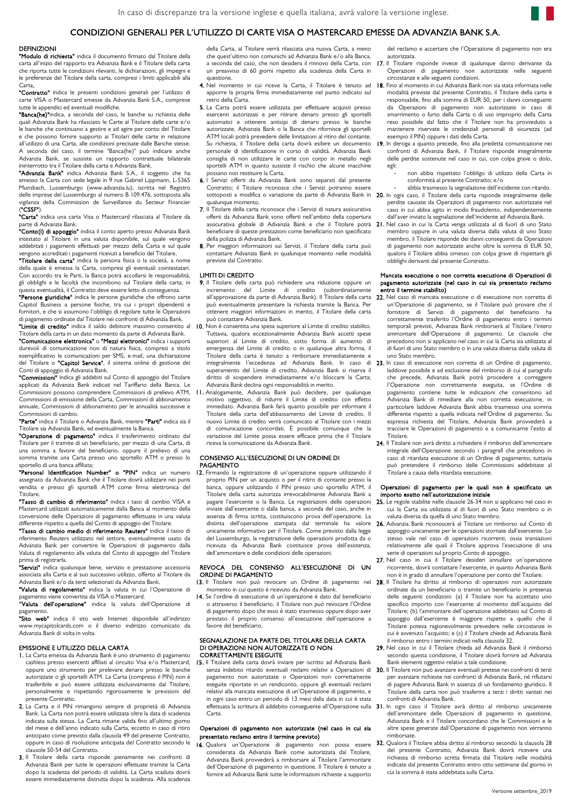## CONDIZIONI GENERALI PER L'UTILIZZO DI CARTE VISA O MASTERCARD EMESSE DA ADVANZIA BANK S.A.

### DEFINIZIONI

"Modulo di richiesta" indica il documento firmato dal Titolare della carta all'inizio del rapporto tra Advanzia Bank e il Titolare della carta che riporta tutte le condizioni rilevanti, le dichiarazioni, gli impegni e le preferenze del Titolare della carta, compresi i limiti applicabili alla

Carta**.**<br>**"Contratto"** indica le presenti condizioni generali per l'utilizzo di carte VISA o Mastercard emesse da Advanzia Bank S.A., comprese tutte le appendici ed eventuali modifiche.

"Banca(he)"indica, a seconda del caso, le banche su richiesta delle quali Advanzia Bank ha rilasciato le Carte al Titolare delle carte e/o le banche che continuano a gestire e ad agire per conto del Titolare e che possono fornire supporto ai Titolari delle carte in relazione all'utilizzo di una Carta, alle condizioni precisate dalle Banche stesse. A seconda del caso, il termine "Banca(he)" può indicare anche Advanzia Bank, se sussiste un rapporto contrattuale bilaterale ininterrotto tra il Titolare della carta e Advanzia Bank.

"Advanzia Bank" indica Advanzia Bank S.A., il soggetto che ha emesso la Carta con sede legale in 9 rue Gabriel Lippmann, L-5365 Munsbach, Lussemburgo (www.advanzia.lu), iscritta nel Registro delle imprese del Lussemburgo al numero B 109.476, sottoposta alla vigilanza della Commission de Surveillance du Secteur Financier

(**"CSSF"**).<br>**"Carta"** indica una carta Visa o Mastercard rilasciata al Titolare da parte di Advanzia Bank.<br>**"Conto(i) di appoggio"** indica il conto aperto presso Advanzia Bank

intestato al Titolare in una valuta disponibile, sul quale vengono addebitati i pagamenti effettuati per mezzo della Carta e sul quale vengono accreditati i pagamenti ricevuti a beneficio del Titolare.

"Titolare della carta" indica la persona fisica o la società, a nome della quale è emessa la Carta, compresi gli eventuali cointestatari. Con accordo tra le Parti, la Banca potrà accollarsi le responsabilità, gli obblighi e le facoltà che incombono sul Titolare della carta; in

questa eventualità, il Contratto deve essere letto di conseguenza.<br>**"Persone giuridiche"** indica le persone giuridiche che offrono carte<br>Capitol Business a persone fisiche, tra cui i propri dipendenti e fornitori, e che si assumono l'obbligo di regolare tutte le Operazioni di pagamento ordinate dal Titolare nei confronti di Advanzia Bank.

"Limite di credito" indica il saldo debitore massimo consentito al 10. Non è consentita una spesa superiore al Limite di credito stabilito. Titolare della carta in un dato momento da parte di Advanzia Bank.

"Comunicazione elettronica" o "Mezzi elettronici" indica i supporti durevoli di comunicazione non di natura fisica, compresi a titolo esemplificativo le comunicazioni per SMS, e-mail, una dichiarazione del Titolare o "Capitol Service", il sistema online di gestione dei Conti di appoggio di Advanzia Bank.

"Commissioni" indica gli addebiti sul Conto di appoggio del Titolare applicati da Advanzia Bank indicati nel Tariffario della Banca. Le Commissioni possono comprendere Commissioni di prelievo ATM, Commissioni di emissione della Carta, Commissioni di abbonamento annuale, Commissioni di abbonamento per le annualità successive e Commissioni di cambio.

"Parte" indica il Titolare o Advanzia Bank, mentre "Parti" indica sia il Titolare sia Advanzia Bank, ed eventualmente la Banca.

"Operazione di pagamento" indica il trasferimento ordinato dal Titolare per il tramite di un beneficiario, per mezzo di una Carta, di una somma a favore del beneficiario, oppure il prelievo di una somma tramite una Carta presso uno sportello ATM o presso lo

sportello di una banca affiliata;<br>**"Personal Identification Number" o "PIN"** indica un numero assegnato da Advanzia Bank che il Titolare dovrà utilizzare nei punti vendita e presso gli sportelli ATM come firma elettronica del Titolare.

"Tasso di cambio di riferimento" indica i tassi di cambio VISA e Mastercard utilizzati automaticamente dalla Banca al momento della conversione delle Operazioni di pagamento effettuate in una valuta

differente rispetto a quella del Conto di appoggio del Titolare.<br>**"Tasso di cambio medio di riferimento Reuters"** indica il tasso di riferimento Reuters utilizzato nel settore, eventualmente usato da Advanzia Bank per convertire le Operazioni di pagamento dalla Valuta di regolamento alla valuta del Conto di appoggio del Titolare prima di registrarla.

"Servizi" indica qualunque bene, servizio e prestazione accessoria associata alla Carta e al suo successivo utilizzo, offerto al Titolare da Advanzia Bank e/o da terzi selezionati da Advanzia Bank.

"Valuta di regolamento" indica la valuta in cui l'Operazione di pagamento viene convertita da VISA o Mastercard.<br>**"Valuta dell'operazione"** indica la valuta dell'Operazione di

pagamento

"Sito web" indica il sito web Internet disponibile all'indirizzo www.mycapitolcards.com o il diverso indirizzo comunicato da Advanzia Bank di volta in volta.

#### EMISSIONE E UTILIZZO DELLA CARTA

- 1. La Carta emessa da Advanzia Bank è uno strumento di pagamento cashless presso esercenti affiliati al circuito Visa e/o Mastercard, oppure uno strumento per prelevare denaro presso le banche autorizzate o gli sportelli ATM. La Carta (compreso il PIN) non è trasferibile e può essere utilizzata esclusivamente dal Titolare, personalmente e rispettando rigorosamente le previsioni del presente Contratto.
- 2. La Carta e il PIN rimangono sempre di proprietà di Advanzia Bank. La Carta non potrà essere utilizzata oltre la data di scadenza indicata sulla stessa. La Carta rimane valida fino all'ultimo giorno del mese e dell'anno indicato sulla Carta, eccetto in caso di ritiro anticipato come previsto dalla clausola 49 del presente Contratto, oppure in caso di risoluzione anticipata del Contratto secondo le clausole 50-54 del Contratto.
- 3. Il Titolare della carta risponde pienamente nei confronti di Advanzia Bank per tutte le operazioni effettuate tramite la Carta dopo la scadenza del periodo di validità. La Carta scaduta dovrà essere immediatamente distrutta dopo la scadenza. Alla scadenza

della Carta, al Titolare verrà rilasciata una nuova Carta, a meno che quest'ultimo non comunichi ad Advanzia Bank e/o alla Banca, un preavviso di 60 giorni rispetto alla scadenza della Carta in questione.

- 4. Nel momento in cui riceve la Carta, il Titolare è tenuto ad apporre la propria firma immediatamente nel punto indicato sul retro della Carta.
- 5. La Carta potrà essere utilizzata per effettuare acquisti presso esercenti autorizzati e per ritirare denaro presso gli sportelli automatici e ottenere anticipi di denaro presso le banche autorizzate. Advanzia Bank o la Banca che rifornisce gli sportelli ATM locali potrà prevedere delle limitazioni al ritiro del contante. Su richiesta, il Titolare della carta dovrà esibire un documento personale di identificazione in corso di validità. Advanzia Bank consiglia di non utilizzare le carte con corpo in metallo negli sportelli ATM in quanto sussiste il rischio che alcune macchine possano non restituire la Carta.
- 6. I Servizi offerti da Advanzia Bank sono separati dal presente Contratto; il Titolare riconosce che i Servizi potranno essere qualunque momento.
- 7. Il Titolare della carta riconosce che i Servizi di natura assicurativa offerti da Advanzia Bank sono offerti nell'ambito della copertura beneficiare di queste prestazioni come beneficiario non specificato della polizza di Advanzia Bank.
- 8. Per maggiori informazioni sui Servizi, il Titolare della carta può contattare Advanzia Bank in qualunque momento nelle modalità previste dal Contratto.

## LIMITI DI CREDITO

- 9. Il Titolare della carta può richiedere una riduzione oppure un incremento del Limite di credito (subordinatamente all'approvazione da parte di Advanzia Bank). Il Titolare della carta può eventualmente presentare la richiesta tramite la Banca. Per ottenere maggiori informazioni in merito, il Titolare della carta può contattare Advanzia Bank.
- Tuttavia, qualora eccezionalmente Advanzia Bank accetti spese superiori al Limite di credito, sotto forma di aumento di emergenza del Limite di credito o in qualunque altra forma, il Titolare della carta è tenuto a rimborsare immediatamente e integralmente l'eccedenza ad Advanzia Bank. In caso di superamento del Limite di credito, Advanzia Bank si riserva il diritto di sospendere immediatamente e/o bloccare la Carta; Advanzia Bank declina ogni responsabilità in merito.
- 11. Analogamente, Advanzia Bank può decidere, per qualunque motivo oggettivo, di ridurre il Limite di credito con effetto immediato. Advanzia Bank farà quanto possibile per informare il Titolare della carta dell'abbassamento del Limite di credito. Il nuovo Limite di credito verrà comunicato al Titolare con i mezzi di comunicazione concordati. È possibile comunque che la variazione del Limite possa essere efficace prima che il Titolare riceva la comunicazione da Advanzia Bank.

## CONSENSO ALL'ESECUZIONE DI UN ORDINE DI PAGAMENTO

12. Firmando la registrazione di un'operazione oppure utilizzando il proprio PIN per un acquisto o per il ritiro di contante presso la banca, oppure utilizzando il PIN presso uno sportello ATM, il Titolare della carta autorizza irrevocabilmente Advanzia Bank a pagare l'esercente o la Banca. Le registrazioni delle operazioni inviate dall'esercente o dalla banca, a seconda del caso, anche in assenza di firma scritta, costituiscono prova dell'operazione. La distinta dell'operazione stampata dal terminale ha valore unicamente informativo per il Titolare. Come previsto dalla legge del Lussemburgo, la registrazione delle operazioni prodotta da o ricevuta da Advanzia Bank costituisce prova dell'esistenza, dell'ammontare e delle condizioni delle operazioni.

## REVOCA DEL CONSENSO ALL'ESECUZIONE DI UN ORDINE DI PAGAMENTO

- 13. Il Titolare non può revocare un Ordine di pagamento nel 28. Il Titolare ha diritto al rimborso di operazioni non autorizzate momento in cui questo è ricevuto da Advanzia Bank.
- 14. Se l'ordine di esecuzione di un'operazione è dato dal beneficiario o attraverso il beneficiario, il Titolare non può revocare l'Ordine di pagamento dopo che esso è stato trasmesso oppure dopo aver prestato il proprio consenso all'esecuzione dell'operazione a favore del beneficiario.

#### SEGNALAZIONE DA PARTE DEL TITOLARE DELLA CARTA DI OPERAZIONI NON AUTORIZZATE O NON CORRETTAMENTE ESEGUITE

15. Il Titolare della carta dovrà inviare per iscritto ad Advanzia Bank pagamento non autorizzate o Operazioni non correttamente eseguite riportate in un rendiconto, oppure gli eventuali reclami relativi alla mancata esecuzione di un'Operazione di pagamento, e in ogni caso entro un periodo di 13 mesi dalla data in cui è stata Carta.

## Operazioni di pagamento non autorizzate (nel caso in cui sia presentato reclamo entro il termine previsto)

16. Qualora un'Operazione di pagamento non possa essere 32. considerata da Advanzia Bank come autorizzata dal Titolare, Advanzia Bank provvederà a rimborsare al Titolare l'ammontare dell'Operazione di pagamento in questione. Il Titolare è tenuto a fornire ad Advanzia Bank tutte le informazioni richieste a supporto

del reclamo e accertare che l'Operazione di pagamento non era autorizzata.

- a seconda del caso, che non desidera il rinnovo della Carta, con 17. Il Titolare risponde invece di qualunque danno derivante da Operazioni di pagamento non autorizzate nelle seguenti circostanze e alle seguenti condizioni.
	- 18. Fino al momento in cui Advanzia Bank non sia stata informata nelle modalità previste dal presente Contratto, il Titolare della carta è responsabile, fino alla somma di EUR 50, per i danni conseguenti Operazioni di pagamento non autorizzate in caso di smarrimento o furto della Carta o di uso improprio della Carta reso possibile dal fatto che il Titolare non ha provveduto a mantenere riservate le credenziali personali di sicurezza (ad esempio il PIN) oppure i dati della Carta.
	- 19. In deroga a quanto precede, fino alla predetta comunicazione nei confronti di Advanzia Bank, il Titolare risponde integralmente delle perdite sostenute nel caso in cui, con colpa grave o dolo, egli:
		- non abbia rispettato l'obbligo di utilizzo della Carta in conformità al presente Contratto; e/o
- sottoposti a modifica o variazione da parte di Advanzia Bank in 20. In ogni caso, il Titolare della carta risponde integralmente delle abbia trasmesso la segnalazione dell'incidente con ritardo. perdite causate da Operazioni di pagamento non autorizzate nel .<br>caso in cui abbia agito in modo fraudolento, indipendentemente dall'aver inviato la segnalazione dell'incidente ad Advanzia Bank.
- assicurativa globale di Advanzia Bank e che il Titolare potrà 21. Nel caso in cui la Carta venga utilizzata al di fuori di uno Stato membro oppure in una valuta diversa dalla valuta di uno Stato membro, il Titolare risponde dei danni conseguenti da Operazioni di pagamento non autorizzate anche oltre la somma di EUR 50, qualora il Titolare abbia omesso con colpa grave di rispettare gli obblighi derivanti dal presente Contratto.

#### Mancata esecuzione o non corretta esecuzione di Operazioni di pagamento autorizzate (nel caso in cui sia presentato reclamo ntro il termine stabilito)

- 22. Nel caso di mancata esecuzione o di esecuzione non corretta di un'Operazione di pagamento, se il Titolare può provare che il fornitore di Servizi di pagamento del beneficiario ha correttamente trasferito l'Ordine di pagamento entro i termini temporali previsti, Advanzia Bank rimborserà al Titolare l'intero ammontare dell'Operazione di pagamento. Le clausole che precedono non si applicano nel caso in cui la Carta sia utilizzata al di fuori di uno Stato membro o in una valuta diversa dalla valuta di uno Stato membro.
- 23. In caso di esecuzione non corretta di un Ordine di pagamento laddove possibile e ad esclusione del rimborso di cui al paragrafo che precede, Advanzia Bank potrà procedere a correggere l'Operazione non correttamente eseguita, se l'Ordine di pagamento contiene tutte le indicazioni che consentono ad Advanzia Bank di rimediare alla non corretta esecuzione, in particolare laddove Advanzia Bank abbia trasmesso una somma differente rispetto a quella indicata nell'Ordine di pagamento. Su espressa richiesta del Titolare, Advanzia Bank provvederà a tracciare le Operazioni di pagamento e a comunicarne l'esito al Titolare.
- 24. Il Titolare non avrà diritto a richiedere il rimborso dell'ammontare integrale dell'Operazione secondo i paragrafi che precedono in caso di ritardata esecuzione di un Ordine di pagamento, tuttavia può pretendere il rimborso delle Commissioni addebitate al Titolare a causa della ritardata esecuzione.

## Operazioni di pagamento per le quali non è specificato un importo esatto nell'autorizzazione iniziale

- 25. Le regole stabilite nelle clausole 26-34 non si applicano nel caso in cui la Carta sia utilizzata al di fuori di uno Stato membro o in valuta diversa da quella di uno Stato membro.
- 26. Advanzia Bank riconoscerà al Titolare un rimborso sul Conto di appoggio unicamente per le operazioni stornate dall'esercente. Lo stesso vale nel caso di operazioni ricorrenti, ossia transazioni relativamente alle quali il Titolare approva l'esecuzione di una serie di operazioni sul proprio Conto di appoggio.
- 27. Nel caso in cui il Titolare desideri annullare un'operazione ricorrente, dovrà contattare l'esercente, in quanto Advanzia Bank non è in grado di annullare l'operazione per conto del Titolare.
- ordinate da un beneficiario o tramite un beneficiario in presenza delle seguenti condizioni: (a) il Titolare non ha accettato uno specifico importo con l'esercente al momento dell'acquisto del Titolare; (b) l'ammontare dell'operazione addebitato sul Conto di appoggio dall'esercente è maggiore rispetto a quello che il Titolare poteva ragionevolmente prevedere nelle circostanze in cui è avvenuto l'acquisto; e (c) il Titolare chiede ad Advanzia Bank il rimborso entro i termini indicati nella clausola 32.
- 29. Nel caso in cui il Titolare chieda ad Advanzia Bank il rimborso secondo questa condizione, il Titolare dovrà fornire ad Advanzia Bank elementi oggettivi relativi a tale condizione.
- senza indebito ritardo eventuali reclami relativi a Operazioni di 30. Il Titolare non può avanzare eventuali pretese nei confronti di terzi per avanzare richieste nei confronti di Advanzia Bank, né rifiutarsi di pagare Advanzia Bank in assenza di un fondamento giuridico. Il Titolare della carta non può trasferire a terzi i diritti vantati nei confronti di Advanzia Bank.
- effettuata la scrittura di addebito conseguente all'Operazione sulla 31. In ogni caso il Titolare avrà diritto al rimborso unicamente dell'ammontare delle Operazioni di pagamento in questione. Advanzia Bank e il Titolare concordano che le Commissioni e le altre spese generate dall'Operazione di pagamento non verranno rimborsate.
	- 32. Qualora il Titolare abbia diritto al rimborso secondo la clausola 28 del presente Contratto, Advanzia Bank dovrà ricevere una richiesta di rimborso scritta firmata dal Titolare nelle modalità indicate dal presente Contratto entro otto settimane dal giorno in cui la somma è stata addebitata sulla Carta.

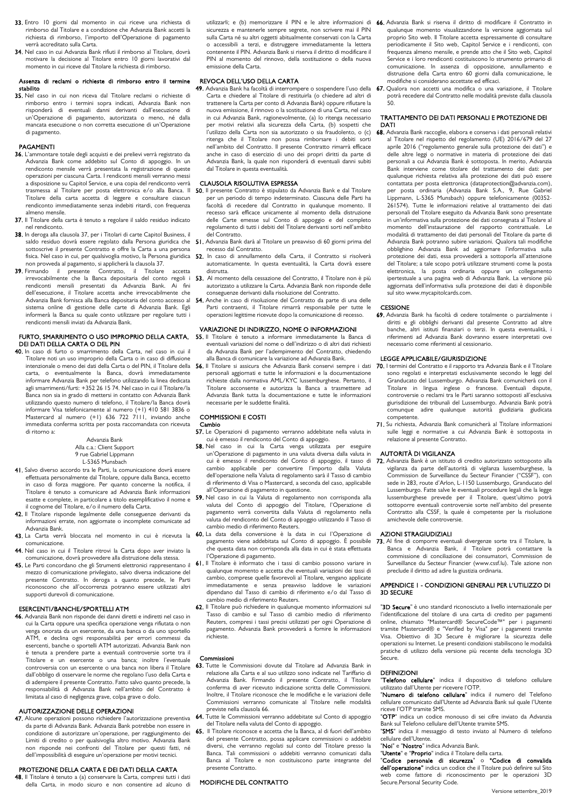- 33. Entro 10 giorni dal momento in cui riceve una richiesta di rimborso dal Titolare e a condizione che Advanzia Bank accetti la richiesta di rimborso, l'importo dell'Operazione di pagamento verrà accreditato sulla Carta.
- 34. Nel caso in cui Advanzia Bank rifiuti il rimborso al Titolare, dovrà motivare la decisione al Titolare entro 10 giorni lavorativi dal momento in cui riceve dal Titolare la richiesta di rimborso.

### Assenza di reclami o richieste di rimborso entro il termine stabilito

35. Nel caso in cui non riceva dal Titolare reclami o richieste di rimborso entro i termini sopra indicati, Advanzia Bank non risponderà di eventuali danni derivanti dall'esecuzione di un'Operazione di pagamento, autorizzata o meno, né dalla mancata esecuzione o non corretta esecuzione di un'Operazione di pagamento.

## PAGAMENTI

- 36. L'ammontare totale degli acquisti e dei prelievi verrà registrato da Advanzia Bank come addebito sul Conto di appoggio. In un rendiconto mensile verrà presentata la registrazione di queste operazioni per ciascuna Carta. I rendiconti mensili verranno messi a disposizione su Capitol Service, e una copia del rendiconto verrà trasmessa al Titolare per posta elettronica e/o alla Banca. Il Titolare della carta accetta di leggere e consultare ciascun rendiconto immediatamente senza indebiti ritardi, con frequenza almeno mensile.
- 37. Il Titolare della carta è tenuto a regolare il saldo residuo indicato nel rendiconto.
- 38. In deroga alla clausola 37, per i Titolari di carte Capitol Business, il saldo residuo dovrà essere regolato dalla Persona giuridica che 51 sottoscrive il presente Contratto e offre la Carta a una persona fisica. Nel caso in cui, per qualsivoglia motivo, la Persona giuridica non provveda al pagamento, si applicherà la clausola 37.
- 39. Firmando il presente Contratto, il Titolare accetta irrevocabilmente che la Banca depositaria del conto regoli i rendiconti mensili presentati da Advanzia Bank. Ai fini dell'esecuzione, il Titolare accetta anche irrevocabilmente che Advanzia Bank fornisca alla Banca depositaria del conto accesso al sistema online di gestione delle carte di Advanzia Bank. Egli informerà la Banca su quale conto utilizzare per regolare tutti i rendiconti mensili inviati da Advanzia Bank.

## FURTO, SMARRIMENTO O USO IMPROPRIO DELLA CARTA, 55. Il Titolare è tenuto a informare immediatamente la Banca di DEI DATI DELLA CARTA O DEL PIN

40. In caso di furto o smarrimento della Carta, nel caso in cui il Titolare noti un uso improprio della Carta o in caso di diffusione intenzionale o meno dei dati della Carta o del PIN, il Titolare della carta, o eventualmente la Banca, dovrà immediatamente informare Advanzia Bank per telefono utilizzando la linea dedicata agli smarrimenti/furti: +352 26 15 74. Nel caso in cui il Titolare/la Banca non sia in grado di mettersi in contatto con Advanzia Bank utilizzando questo numero di telefono, il Titolare/la Banca dovrà informare Visa telefonicamente al numero (+1) 410 581 3836 o Mastercard al numero (+1) 636 722 7111, inviando anche immediata conferma scritta per posta raccomandata con ricevuta di ritorno a:

## Advanzia Bank

Alla c.a.: Client Support 9 rue Gabriel Lippmann

- L-5365 Munsbach
- 41. Salvo diverso accordo tra le Parti, la comunicazione dovrà essere effettuata personalmente dal Titolare, oppure dalla Banca, eccetto in caso di forza maggiore. Per quanto concerne la notifica, il Titolare è tenuto a comunicare ad Advanzia Bank informazioni esatte e complete, in particolare a titolo esemplificativo il nome e il cognome del Titolare, e/o il numero della Carta.
- 42. Il Titolare risponde legalmente delle conseguenze derivanti da informazioni errate, non aggiornate o incomplete comunicate ad Advanzia Bank.
- comunicazione.
- 44. Nel caso in cui il Titolare ritrovi la Carta dopo aver inviato la comunicazione, dovrà provvedere alla distruzione della stessa. 45. Le Parti concordano che gli Strumenti elettronici rappresentano il
- mezzo di comunicazione privilegiato, salvo diversa indicazione del presente Contratto. In deroga a quanto precede, le Parti riconoscono che all'occorrenza potranno essere utilizzati altri supporti durevoli di comunicazione.

## ESERCENTI/BANCHE/SPORTELLI ATM

46. Advanzia Bank non risponde dei danni diretti e indiretti nel caso in cui la Carta oppure una specifica operazione venga rifiutata o non venga onorata da un esercente, da una banca o da uno sportello ATM, e declina ogni responsabilità per errori commessi da esercenti, banche o sportelli ATM autorizzati. Advanzia Bank non è tenuta a prendere parte a eventuali controversie sorte tra il Titolare e un esercente o una banca; inoltre l'eventuale controversia con un esercente o una banca non libera il Titolare dall'obbligo di osservare le norme che regolano l'uso della Carta e di adempiere il presente Contratto. Fatto salvo quanto precede, la responsabilità di Advanzia Bank nell'ambito del Contratto è limitata al caso di negligenza grave, colpa grave o dolo.

## AUTORIZZAZIONE DELLE OPERAZIONI

47. Alcune operazioni possono richiedere l'autorizzazione preventiva da parte di Advanzia Bank. Advanzia Bank potrebbe non essere in condizione di autorizzare un'operazione, per raggiungimento dei Limiti di credito o per qualsivoglia altro motivo. Advanzia Bank non risponde nei confronti del Titolare per questi fatti, né dell'impossibilità di eseguire un'operazione per motivi tecnici.

## PROTEZIONE DELLA CARTA E DEI DATI DELLA CARTA

48. Il Titolare è tenuto a (a) conservare la Carta, compresi tutti i dati della Carta, in modo sicuro e non consentire ad alcuno di sicurezza e mantenerle sempre segrete, non scrivere mai il PIN sulla Carta né su altri oggetti abitualmente conservati con la Carta o accessibili a terzi, e distruggere immediatamente la lettera contenente il PIN. Advanzia Bank si riserva il diritto di modificare il PIN al momento del rinnovo, della sostituzione o della nuova emissione della Carta.

## REVOCA DELL'USO DELLA CARTA

Carta e chiedere al Titolare di restituirla (o chiedere ad altri di trattenere la Carta per conto di Advanzia Bank) oppure rifiutare la nuova emissione, il rinnovo o la sostituzione di una Carta, nel caso in cui Advanzia Bank, ragionevolmente, (a) lo ritenga necessario per motivi relativi alla sicurezza della Carta, (b) sospetti che l'utilizzo della Carta non sia autorizzato o sia fraudolento, o (c) ritenga che il Titolare non possa rimborsare i debiti sorti nell'ambito del Contratto. Il presente Contratto rimarrà efficace anche in caso di esercizio di uno dei propri diritti da parte di Advanzia Bank, la quale non risponderà di eventuali danni subiti dal Titolare in questa eventualità.

## CLAUSOLA RISOLUTIVA ESPRESSA

- 50. Il presente Contratto è stipulato da Advanzia Bank e dal Titolare per un periodo di tempo indeterminato. Ciascuna delle Parti ha facoltà di recedere dal Contratto in qualunque momento. Il recesso sarà efficace unicamente al momento della distruzione delle Carte emesse sul Conto di appoggio e del completo regolamento di tutti i debiti del Titolare derivanti sorti nell'ambito del Contratto.
- 51. Advanzia Bank darà al Titolare un preavviso di 60 giorni prima del recesso dal Contratto.
- 52. In caso di annullamento della Carta, il Contratto si risolverà automaticamente. In questa eventualità, la Carta dovrà essere distrutta.
- 53. Al momento della cessazione del Contratto, il Titolare non è più autorizzato a utilizzare la Carta. Advanzia Bank non risponde delle conseguenze derivanti dalla risoluzione del Contratto.
- 54. Anche in caso di risoluzione del Contratto da parte di una delle Parti contraenti, il Titolare rimarrà responsabile per tutte le operazioni legittime ricevute dopo la comunicazione di recesso.

## VARIAZIONE DI INDIRIZZO, NOME O INFORMAZIONI

- eventuali variazioni del nome o dell'indirizzo o di altri dati richiesti da Advanzia Bank per l'adempimento del Contratto, chiedendo alla Banca di comunicare la variazione ad Advanzia Bank.
- 56. Il Titolare si assicura che Advanzia Bank conservi sempre i dati personali aggiornati e tutte le informazioni e la documentazione richieste dalla normativa AML/KYC lussemburghese. Pertanto, il Titolare acconsente e autorizza la Banca a trasmettere ad Advanzia Bank tutta la documentazione e tutte le informazioni necessarie per le suddette finalità.

## COMMISSIONI E COSTI Cambio

- 57. Le Operazioni di pagamento verranno addebitate nella valuta in cui è emesso il rendiconto del Conto di appoggio.
- 58. Nel caso in cui la Carta venga utilizzata per eseguire un'Operazione di pagamento in una valuta diversa dalla valuta in cui è emesso il rendiconto del Conto di appoggio, il tasso di<br>cambio applicabile per convertire l'importo dalla Valuta cambio applicabile per convertire l'importo dell'operazione nella Valuta di regolamento sarà il Tasso di cambio di riferimento di Visa o Mastercard, a seconda del caso, applicabile all'Operazione di pagamento in questione.
- 59. Nel caso in cui la Valuta di regolamento non corrisponda alla valuta del Conto di appoggio del Titolare, l'Operazione di pagamento verrà convertita dalla Valuta di regolamento nella valuta del rendiconto del Conto di appoggio utilizzando il Tasso di cambio medio di riferimento Reuters.
- **43.** La Carta verrà bloccata nel momento in cui è ricevuta la **60.** La data della conversione è la data in cui l'Operazione di pagamento viene addebitata sul Conto di appoggio. È possibile 73. Al fine di comporre eventuali divergenze sorte tra il Titolare, la che questa data non corrisponda alla data in cui è stata effettuata l'Operazione di pagamento.
	- 61. Il Titolare è informato che i tassi di cambio possono variare in qualunque momento e accetta che eventuali variazioni dei tassi di cambio, comprese quelle favorevoli al Titolare, vengano applicate immediatamente e senza preavviso laddove le variazioni dipendano dal Tasso di cambio di riferimento e/o dal Tasso di cambio medio di riferimento Reuters.
	- 62. Il Titolare può richiedere in qualunque momento informazioni sul Tasso di cambio e sul Tasso di cambio medio di riferimento Reuters, compresi i tassi precisi utilizzati per ogni Operazione di pagamento. Advanzia Bank provvederà a fornire le informazioni richieste.

#### Commissioni

- 63. Tutte le Commissioni dovute dal Titolare ad Advanzia Bank in relazione alla Carta e al suo utilizzo sono indicate nel Tariffario di Advanzia Bank. Firmando il presente Contratto, il Titolare conferma di aver ricevuto indicazione scritta delle Commissioni. Inoltre, il Titolare riconosce che le modifiche e le variazioni delle Commissioni verranno comunicate al Titolare nelle modalità previste nella clausola 66.
- 64. Tutte le Commissioni verranno addebitate sul Conto di appoggio del Titolare nella valuta del Conto di appoggio.
- 65. Il Titolare riconosce e accetta che la Banca, al di fuori dell'ambito del presente Contratto, possa applicare commissioni o addebiti diversi, che verranno regolati sul conto del Titolare presso la Banca. Tali commissioni o addebiti verranno comunicati dalla Banca al Titolare e non costituiscono parte integrante del presente Contratto.

## MODIFICHE DEL CONTRATTO

- utilizzarli; e (b) memorizzare il PIN e le altre informazioni di 66. Advanzia Bank si riserva il diritto di modificare il Contratto in qualunque momento visualizzandone la versione aggiornata sul proprio Sito web. Il Titolare accetta espressamente di consultare periodicamente il Sito web, Capitol Service e i rendiconti, con frequenza almeno mensile, e prende atto che il Sito web, Capitol Service e i loro rendiconti costituiscono lo strumento primario di comunicazione. In assenza di opposizione, annullamento e distruzione della Carta entro 60 giorni dalla comunicazione, le modifiche si considerano accettate ed efficaci.
- 49. Advanzia Bank ha facoltà di interrompere o sospendere l'uso della 67. Qualora non accetti una modifica o una variazione, il Titolare potrà recedere dal Contratto nelle modalità previste dalla clausola .<br>50.

## TRATTAMENTO DEI DATI PERSONALI E PROTEZIONE DEI DATI

68. Advanzia Bank raccoglie, elabora e conserva i dati personali relativi al Titolare nel rispetto del regolamento (UE) 2016/679 del 27 aprile 2016 ("regolamento generale sulla protezione dei dati") e delle altre leggi o normative in materia di protezione dei dati personali a cui Advanzia Bank è sottoposta. In merito, Advanzia Bank interviene come titolare del trattamento dei dati: per qualunque richiesta relativa alla protezione dei dati può essere contattata per posta elettronica (dataprotection@advanzia.com), per posta ordinaria (Advanzia Bank S.A., 9, Rue Gabriel Lippmann, L-5365 Munsbach) oppure telefonicamente (00352- 261574). Tutte le informazioni relative al trattamento dei dati personali del Titolare eseguito da Advanzia Bank sono presentate in un'informativa sulla protezione dei dati consegnata al Titolare al momento dell'instaurazione del rapporto contrattuale. Le modalità di trattamento dei dati personali del Titolare da parte di Advanzia Bank potranno subire variazioni. Qualora tali modifiche obblighino Advanzia Bank ad aggiornare l'informativa sulla protezione dei dati, essa provvederà a sottoporla all'attenzione del Titolare; a tale scopo potrà utilizzare strumenti come la posta elettronica, la posta ordinaria oppure un collegamento ipertestuale a una pagina web di Advanzia Bank. La versione più aggiornata dell'informativa sulla protezione dei dati è disponibile sul sito www.mycapitolcards.com.

## **CESSIONE**

69. Advanzia Bank ha facoltà di cedere totalmente o parzialmente i diritti e gli obblighi derivanti dal presente Contratto ad altre banche, altri istituti finanziari o terzi. In questa eventualità, i riferimenti ad Advanzia Bank dovranno essere interpretati ove necessario come riferimenti al cessionario.

### LEGGE APPLICABILE/GIURISDIZIONE

- 70. I termini del Contratto e il rapporto tra Advanzia Bank e il Titolare sono regolati e interpretati esclusivamente secondo le leggi del Granducato del Lussemburgo. Advanzia Bank comunicherà con il Titolare in lingua inglese o francese. Eventuali controversie o reclami tra le Parti saranno sottoposti all'esclusiva giurisdizione dei tribunali del Lussemburgo. Advanzia Bank potrà comunque adire qualunque autorità giudiziaria giudicata competente.
- 71. Su richiesta, Advanzia Bank comunicherà al Titolare informazioni sulle leggi e normative a cui Advanzia Bank è sottoposta in relazione al presente Contratto.

### AUTORITÀ DI VIGILANZA

72. Advanzia Bank è un istituto di credito autorizzato sottoposto alla vigilanza da parte dell'autorità di vigilanza lussemburghese, la Commission de Surveillance du Secteur Financier ("CSSF"), con sede in 283, route d'Arlon, L-1150 Lussemburgo, Granducato del Lussemburgo. Fatte salve le eventuali procedure legali che la legge lussemburghese prevede per il Titolare, quest'ultimo potrà sottoporre eventuali controversie sorte nell'ambito del presente Contratto alla CSSF, la quale è competente per la risoluzione amichevole delle controversie.

### AZIONI STRAGIUDIZIALI

Banca e Advanzia Bank, il Titolare potrà contattare la commissione di conciliazione dei consumatori, Commission de Surveillance du Secteur Financier (www.cssf.lu). Tale azione non preclude il diritto ad adire la giustizia ordinaria.

## APPENDICE 1 - CONDIZIONI GENERALI PER L'UTILIZZO DI 3D SECURE

"3D Secure" è uno standard riconosciuto a livello internazionale per l'identificazione del titolare di una carta di credito per pagamenti online, chiamato "Mastercard® SecureCode™" per i pagamenti tramite Mastercard® e "Verified by Visa" per i pagamenti tramite Visa. Obiettivo di 3D Secure è migliorare la sicurezza delle operazioni su Internet. Le presenti condizioni stabiliscono le modalità pratiche di utilizzo della versione più recente della tecnologia 3D Secure.

## DEFINIZIONI

"**Telefono cellulare**" indica il dispositivo di telefono cellulare<br>utilizzato dall'Utente·per·ricevere·l'OTP.

"Numero di telefono cellulare" indica il numero del Telefono cellulare comunicato dall'Utente ad Advanzia Bank sul quale l'Utente riceve l'OTP tramite SMS.

"OTP" indica un codice monouso di sei cifre inviato da Advanzia Bank sul Telefono cellulare dell'Utente tramite SMS.

"SMS" indica il messaggio di testo inviato al Numero di telefono cellulare dell'Utente.

"Noi" e "Nostro" indica Advanzia Bank.

"Utente" e "Proprio" indica il Titolare della carta.

"Codice personale di sicurezza" o "Codice di convalida dell'operazione" indica un codice che il Titolare può definire sul Sito come fattore di riconoscimento per le operazioni 3D

Versione settembre\_2019 Secure.Personal Security Code.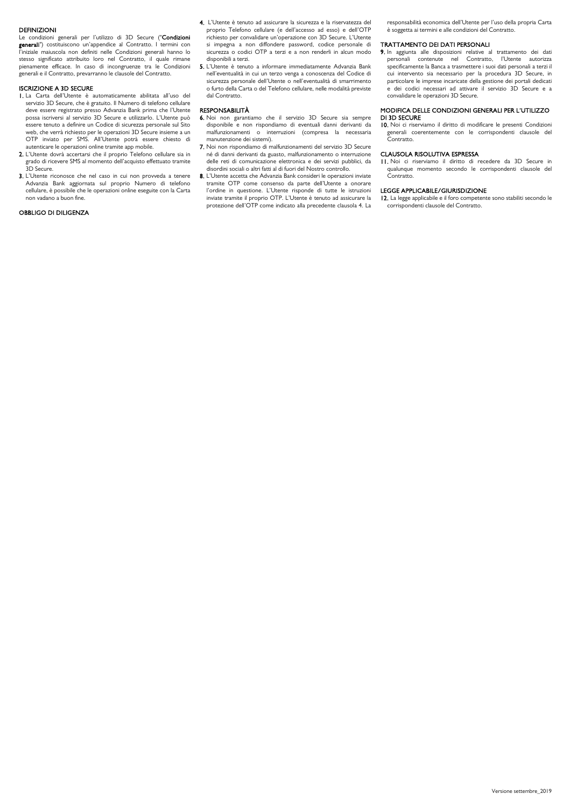### DEFINIZIONI

Le condizioni generali per l'utilizzo di 3D Secure ("Condizioni generali") costituiscono un'appendice al Contratto. I termini con l'iniziale maiuscola non definiti nelle Condizioni generali hanno lo stesso significato attribuito loro nel Contratto, il quale rimane pienamente efficace. In caso di incongruenze tra le Condizioni generali e il Contratto, prevarranno le clausole del Contratto.

## ISCRIZIONE A 3D SECURE

- 1. La Carta dell'Utente è automaticamente abilitata all'uso del servizio 3D Secure, che è gratuito. Il Numero di telefono cellulare deve essere registrato presso Advanzia Bank prima che l'Utente possa iscriversi al servizio 3D Secure e utilizzarlo. L'Utente può essere tenuto a definire un Codice di sicurezza personale sul Sito web, che verrà richiesto per le operazioni 3D Secure insieme a un OTP inviato per SMS. All'Utente potrà essere chiesto di
- autenticare le operazioni online tramite app mobile. 2. L'Utente dovrà accertarsi che il proprio Telefono cellulare sia in grado di ricevere SMS al momento dell'acquisto effettuato tramite 3D Secure.
- 3. L'Utente riconosce che nel caso in cui non provveda a tenere Advanzia Bank aggiornata sul proprio Numero di telefono cellulare, è possibile che le operazioni online eseguite con la Carta non vadano a buon fine.

## OBBLIGO DI DILIGENZA

- 4. L'Utente è tenuto ad assicurare la sicurezza e la riservatezza del proprio Telefono cellulare (e dell'accesso ad esso) e dell'OTP richiesto per convalidare un'operazione con 3D Secure. L'Utente si impegna a non diffondere password, codice personale di sicurezza o codici OTP a terzi e a non renderli in alcun modo disponibili a terzi.
- 5. L'Utente è tenuto a informare immediatamente Advanzia Bank nell'eventualità in cui un terzo venga a conoscenza del Codice di sicurezza personale dell'Utente o nell'eventualità di smarrimento o furto della Carta o del Telefono cellulare, nelle modalità previste dal Contratto.

## RESPONSABILITÀ

- 6. Noi non garantiamo che il servizio 3D Secure sia sempre disponibile e non rispondiamo di eventuali danni derivanti da malfunzionamenti o interruzioni (compresa la necessaria manutenzione dei sistemi).
- 7. Noi non rispondiamo di malfunzionamenti del servizio 3D Secure né di danni derivanti da guasto, malfunzionamento o interruzione delle reti di comunicazione elettronica e dei servizi pubblici, da disordini sociali o altri fatti al di fuori del Nostro controllo.
- 8. L'Utente accetta che Advanzia Bank consideri le operazioni inviate tramite OTP come consenso da parte dell'Utente a onorare l'ordine in questione. L'Utente risponde di tutte le istruzioni inviate tramite il proprio OTP. L'Utente è tenuto ad assicurare la protezione dell'OTP come indicato alla precedente clausola 4. La

responsabilità economica dell'Utente per l'uso della propria Carta è soggetta ai termini e alle condizioni del Contratto.

### TRATTAMENTO DEI DATI PERSONALI

9. In aggiunta alle disposizioni relative al trattamento dei dati personali contenute nel Contratto, l'Utente autorizza specificamente la Banca a trasmettere i suoi dati personali a terzi il cui intervento sia necessario per la procedura 3D Secure, in particolare le imprese incaricate della gestione dei portali dedicati e dei codici necessari ad attivare il servizio 3D Secure e a convalidare le operazioni 3D Secure.

## MODIFICA DELLE CONDIZIONI GENERALI PER L'UTILIZZO DI 3D SECURE

10. Noi ci riserviamo il diritto di modificare le presenti Condizioni generali coerentemente con le corrispondenti clausole del **Contratto** 

## CLAUSOLA RISOLUTIVA ESPRESSA

11. Noi ci riserviamo il diritto di recedere da 3D Secure in qualunque momento secondo le corrispondenti clausole del Contratto.

#### LEGGE APPLICABILE/GIURISDIZIONE

12. La legge applicabile e il foro competente sono stabiliti secondo le corrispondenti clausole del Contratto.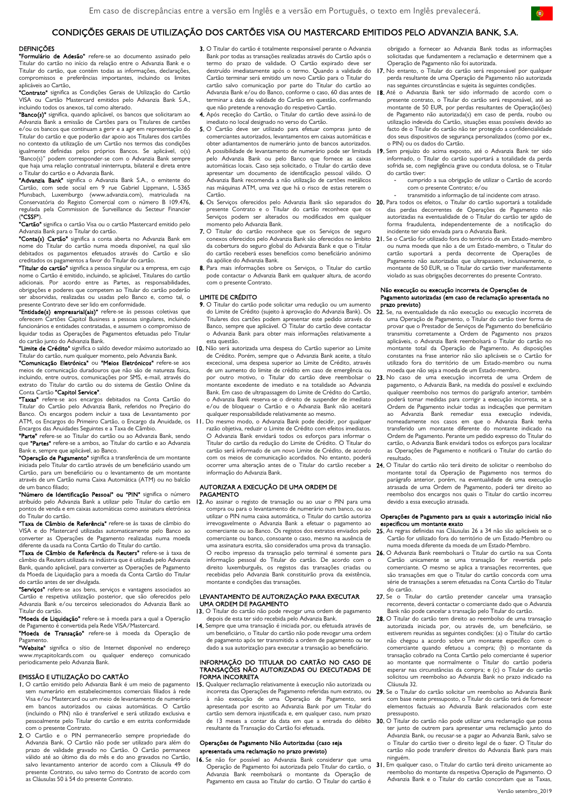## CONDIÇÕES GERAIS DE UTILIZAÇÃO DOS CARTÕES VISA OU MASTERCARD EMITIDOS PELO ADVANZIA BANK, S.A.

## **DEFINICÕES**

"Formulário de Adesão" refere-se ao documento assinado pelo Titular do cartão no início da relação entre o Advanzia Bank e o Titular do cartão, que contém todas as informações, declarações, compromissos e preferências importantes, incluindo os limites aplicáveis ao Cartão.

apiicaveis ao Cartão.<br>**"Contrato"** significa as Condições Gerais de Utilização do Cartão VISA ou Cartão Mastercard emitidos pelo Advanzia Bank S.A., incluindo todos os anexos, tal como alterado.

"Banco(s)" significa, quando aplicável, os bancos que solicitaram ao Advanzia Bank a emissão de Cartões para os Titulares de cartões e/ou os bancos que continuam a gerir e a agir em representação do Titular do cartão e que poderão dar apoio aos Titulares dos cartões no contexto da utilização de um Cartão nos termos das condições igualmente definidas pelos próprios Bancos. Se aplicável, o(s) "Banco(s)" podem corresponder-se com o Advanzia Bank sempre que haja uma relação contratual ininterrupta, bilateral e direta entre o Titular do cartão e o Advanzia Bank.

"Advanzia Bank" significa o Advanzia Bank S.A., o emitente do Cartão, com sede social em 9 rue Gabriel Lippmann, L-5365 Munsbach, Luxemburgo (www.advanzia.com), matriculada na Conservatória do Registo Comercial com o número B 109.476, regulada pela Commission de Surveillance du Secteur Financier ("CSSF").

"**Cartão"** significa o cartão Visa ou o cartão Mastercard emitido pelo Advanzia Bank para o Titular do cartão.

"Conta(s) Cartão" significa a conta aberta no Advanzia Bank em nome do Titular do cartão numa moeda disponível, na qual são debitados os pagamentos efetuados através do Cartão e são creditados os pagamentos a favor do Titular do cartão.<br>**"Titular do cartão"** significa a pessoa singular ou a empresa, em cujo

nome o Cartão é emitido, incluindo, se aplicável, Titulares do cartão adicionais. Por acordo entre as Partes, as responsabilidades, obrigações e poderes que competem ao Titular do cartão poderão ser absorvidas, realizadas ou usadas pelo Banco e, como tal, o presente Contrato deve ser lido em conformidade.

"Entidade(s) empresarial(ais)" refere-se às pessoas coletivas que oferecem Cartões Capitol Business a pessoas singulares, incluindo funcionários e entidades contratadas, e assumem o compromisso de liquidar todas as Operações de Pagamentos efetuadas pelo Titular

do cartão junto do Advanzia Bank.<br>**"Limite de Crédito"** significa o saldo devedor máximo autorizado ao **10.** Não será autorizada uma despesa do Cartão superior ao Limite Titular do cartão, num qualquer momento, pelo Advanzia Bank.

"Comunicação Eletrónica" ou "Meios Eletrónicos" refere-se aos meios de comunicação duradouros que não são de natureza física, incluindo, entre outros, comunicações por SMS, e-mail, através do extrato do Titular do cartão ou do sistema de Gestão Online da Conta Cartão "Capitol Service".

"Taxas" refere-se aos encargos debitados na Conta Cartão do Titular do Cartão pelo Advanzia Bank, referidos no Preçário do Banco. Os encargos podem incluir a taxa de Levantamento por ATM, os Encargos do Primeiro Cartão, o Encargo da Anuidade, os 11. Do mesmo modo, o Advanzia Bank pode decidir, por qualquer Encargos das Anuidades Seguintes e a Taxa de Câmbio.

"Parte" refere-se ao Titular do cartão ou ao Advanzia Bank, sendo que "Partes" refere-se a ambos, ao Titular do cartão e ao Advanzia Bank e, sempre que aplicável, ao Banco.

"Operação de Pagamento" significa a transferência de um montante iniciada pelo Titular do cartão através de um beneficiário usando um Cartão, para um beneficiário ou o levantamento de um montante através de um Cartão numa Caixa Automática (ATM) ou no balcão de um banco filiado;

"Número de Identificação Pessoal" ou "PIN" significa o número atribuído pelo Advanzia Bank a utilizar pelo Titular do cartão em pontos de venda e em caixas automáticas como assinatura eletrónica do Titular do cartão.

"Taxa de Câmbio de Referência" refere-se às taxas de câmbio do VISA e do Mastercard utilizadas automaticamente pelo Banco ao converter as Operações de Pagamento realizadas diferente da usada na Conta Cartão do Titular do cartão.

"Taxa de Câmbio de Referência da Reuters" refere-se à taxa de câmbio da Reuters utilizada na indústria que é utilizada pelo Advanzia Bank, quando aplicável, para converter as Operações de Pagamento da Moeda de Liquidação para a moeda da Conta Cartão do Titular do cartão antes de ser divulgada.

"Serviços" refere-se aos bens, serviços e vantagens associados ac Cartão e respetiva utilização posterior, que são oferecidos pelo Advanzia Bank e/ou terceiros selecionados do Advanzia Bank ao Titular do cartão.

"Moeda de Liquidação" refere-se à moeda para a qual a Operação de Pagamento é convertida pela Rede VISA/Mastercard.<br>**"Moeda de Transação"** refere-se à moeda da Operação de

Pagamento.<br>**"Website"** significa o sítio de Internet disponível no endereço

www.mycapitolcards.com ou qualquer endereço comunicado periodicamente pelo Advanzia Bank.

## EMISSÃO E UTILIZAÇÃO DO CARTÃO

- 1. O cartão emitido pelo Advanzia Bank é um meio de pagamento sem numerário em estabelecimentos comerciais filiados à rede Visa e/ou Mastercard ou um meio de levantamento de numerário em bancos autorizados ou caixas automáticas. O Cartão (incluindo o PIN) não é transferível e será utilizado exclusiva e pessoalmente pelo Titular do cartão e em estrita conformidade com o presente Contrato.
- 2. O Cartão e o PIN permanecerão sempre propriedade do Advanzia Bank. O Cartão não pode ser utilizado para além do prazo de validade gravado no Cartão. O Cartão permanece válido até ao último dia do mês e do ano gravados no Cartão, salvo levantamento anterior de acordo com a Cláusula 49 do presente Contrato, ou salvo termo do Contrato de acordo com as Cláusulas 50 à 54 do presente Contrato.
- 3. O Titular do cartão é totalmente responsável perante o Advanzia Bank por todas as transações realizadas através do Cartão após o termo do prazo de validade. O Cartão expirado deve ser destruído imediatamente após o termo. Quando a validade do Cartão terminar será emitido um novo Cartão para o Titular do cartão salvo comunicação por parte do Titular do cartão ao Advanzia Bank e/ou do Banco, conforme o caso, 60 dias antes de terminar a data de validade do Cartão em questão, confirmando que não pretende a renovação do respetivo Cartão.
- 4. Após receção do Cartão, o Titular do cartão deve assiná-lo de imediato no local designado no verso do Cartão.
- 5. O Cartão deve ser utilizado para efetuar compras junto de comerciantes autorizados, levantamentos em caixas automáticas e obter adiantamentos de numerário junto de bancos autorizados. pelo Advanzia Bank ou pelo Banco que fornece as caixas automáticas locais. Caso seja solicitado, o Titular do cartão deve apresentar um documento de identificação pessoal válido. O Advanzia Bank recomenda a não utilização de cartões metálicos nas máquinas ATM, uma vez que há o risco de estas reterem o Cartão.
- presente Contrato e o Titular do cartão reconhece que os Serviços podem ser alterados ou modificados em qualquer momento pelo Advanzia Bank.
- 7. O Titular do cartão reconhece que os Serviços de seguro da cobertura do seguro global do Advanzia Bank e que o Titular do cartão receberá esses benefícios como beneficiário anónimo da apólice do Advanzia Bank.
- 8. Para mais informações sobre os Servicos, o Titular do cartão pode contactar o Advanzia Bank em qualquer altura, de acordo com o presente Contrato.

## LIMITE DE CRÉDITO

- 9. O Titular do cartão pode solicitar uma redução ou um aumento do Limite de Crédito (sujeito à aprovação do Advanzia Bank). Os Titulares dos cartões podem apresentar este pedido através do Banco, sempre que aplicável. O Titular do cartão deve contactar o Advanzia Bank para obter mais informações relativamente a
- de Crédito. Porém, sempre que o Advanzia Bank aceite, a título excecional, uma despesa superior ao Limite de Crédito, através de um aumento do limite de crédito em caso de emergência ou montante excedente de imediato e na totalidade ao Advanzia Bank. Em caso de ultrapassagem do Limite de Crédito do Cartão, o Advanzia Bank reserva-se o direito de suspender de imediato e/ou de bloquear o Cartão e o Advanzia Bank não aceitará qualquer responsabilidade relativamente ao mesmo.
- razão objetiva, reduzir o Limite de Crédito com efeitos imediatos. O Advanzia Bank envidará todos os esforços para informar o Titular do cartão da redução do Limite de Crédito. O Titular do cartão será informado de um novo Limite de Crédito, de acordo com os meios de comunicação acordados. No entanto, poderá informação do Advanzia Bank.

## AUTORIZAR A EXECUÇÃO DE UMA ORDEM DE

## PAGAMENTO

12. Ao assinar o registo de transação ou ao usar o PIN para uma compra ou para o levantamento de numerário num banco, ou ao utilizar o PIN numa caixa automática, o Titular do cartão autoriza irrevogavelmente o Advanzia Bank a efetuar o pagamento ao comerciante ou ao Banco. Os registos dos extratos enviados pelo comerciante ou banco, consoante o caso, mesmo na ausência de uma assinatura escrita, são considerados uma prova da transação. O recibo impresso da transação pelo terminal é somente para informação pessoal do Titular do cartão. De acordo com o direito luxemburguês, os registos das transações criadas ou recebidas pelo Advanzia Bank constituirão prova da existência, montante e condições das transações.

## LEVANTAMENTO DE AUTORIZAÇÃO PARA EXECUTAR UMA ORDEM DE PAGAMENTO

- 13. O Titular do cartão não pode revogar uma ordem de pagamento depois de esta ter sido recebida pelo Advanzia Bank.
- 14. Sempre que uma transação é iniciada por, ou efetuada através de um beneficiário, o Titular do cartão não pode revogar uma ordem de pagamento após ter transmitido a ordem de pagamento ou ter dado a sua autorização para executar a transação ao beneficiário.

## INFORMAÇÃO DO TITULAR DO CARTÃO NO CASO DE TRANSAÇÕES NÃO AUTORIZADAS OU EXECUTADAS DE FORMA INCORRETA

15. Qualquer reclamação relativamente à execução não autorizada ou incorreta das Operações de Pagamento referidas num extrato, ou 29. à não execução de uma Operação de Pagamento, será apresentada por escrito ao Advanzia Bank por um Titular do cartão sem demora injustificada e, em qualquer caso, num prazo resultante da Transação do Cartão foi efetuada.

## Operações de Pagamento Não Autorizadas (caso seja apresentada uma reclamação no prazo previsto)

16. Se não for possível ao Advanzia Bank considerar que uma Operação de Pagamento foi autorizada pelo Titular do cartão, o Advanzia Bank reembolsará o montante da Operação de Pagamento em causa ao Titular do cartão. O Titular do cartão é

obrigado a fornecer ao Advanzia Bank todas as informações solicitadas que fundamentem a reclamação e determinem que a Operação de Pagamento não foi autorizada.

- 17. No entanto, o Titular do cartão será responsável por qualquer perda resultante de uma Operação de Pagamento não autorizada nas seguintes circunstâncias e sujeita às seguintes condições.
- 18. Até o Advanzia Bank ter sido informado de acordo com o presente contrato, o Titular do cartão será responsável, até ao montante de 50 EUR, por perdas resultantes de Operação(ões) de Pagamento não autorizada(s) em caso de perda, roubo ou utilização indevida do Cartão, situações essas possíveis devido ao facto de o Titular do cartão não ter protegido a confidencialidade dos seus dispositivos de segurança personalizados (como por ex., o PIN) ou os dados do Cartão.
- A possibilidade de levantamento de numerário pode ser limitada 19. Sem prejuízo do acima exposto, até o Advanzia Bank ter sido informado, o Titular do cartão suportará a totalidade da perda sofrida se, com negligência grave ou conduta dolosa, se o Titular do cartão tiver:
	- cumprido a sua obrigação de utilizar o Cartão de acordo com o presente Contrato; e/ou
	- transmitido a informação de tal incidente com atraso.
- 6. Os Serviços oferecidos pelo Advanzia Bank são separados do 20. Para todos os efeitos, o Titular do cartão suportará a totalidade das perdas decorrentes de Operações de Pagamento não autorizadas na eventualidade de o Titular do cartão ter agido de forma fraudulenta, independentemente de a notificação do incidente ter sido enviada para o Advanzia Bank.
	- conexos oferecidos pelo Advanzia Bank são oferecidos no âmbito 21. Se o Cartão for utilizado fora do território de um Estado-membro ou numa moeda que não a de um Estado-membro, o Titular do cartão suportará a perda decorrente de Operações de Pagamento não autorizadas que ultrapassem, inclusivamente, o montante de 50 EUR, se o Titular do cartão tiver manifestamente violado as suas obrigações decorrentes do presente Contrato.

#### Não execução ou execução incorreta de Operações de Pagamento autorizadas (em caso de reclamação apresentada no prazo previsto)

- 22. Se, na eventualidade da não execução ou execução incorreta de uma Operação de Pagamento, o Titular do cartão tiver forma de provar que o Prestador de Serviços de Pagamento do beneficiário transmitiu corretamente a Ordem de Pagamento nos prazos aplicáveis, o Advanzia Bank reembolsará o Titular do cartão no montante total da Operação de Pagamento. As disposições constantes na frase anterior não são aplicáveis se o Cartão for utilizado fora do território de um Estado-membro ou numa moeda que não seja a moeda de um Estado-membro.
- por outro motivo, o Titular do cartão deve reembolsar o 23. No caso de uma execução incorreta de uma Ordem de pagamento, o Advanzia Bank, na medida do possível e excluindo qualquer reembolso nos termos do parágrafo anterior, também poderá tomar medidas para corrigir a execução incorreta, se a Ordem de Pagamento incluir todas as indicações que permitam ao Advanzia Bank remediar essa execução nomeadamente nos casos em que o Advanzia Bank tenha transferido um montante diferente do montante indicado na Ordem de Pagamento. Perante um pedido expresso do Titular do cartão, o Advanzia Bank envidará todos os esforços para localizar as Operações de Pagamento e notificará o Titular do cartão do resultado.
- ocorrer uma alteração antes de o Titular do cartão receber a 24. O Titular do cartão não terá direito de solicitar o reembolso do montante total da Operação de Pagamento nos termos do parágrafo anterior, porém, na eventualidade de uma execução atrasada de uma Ordem de Pagamento, poderá ter direito ao reembolso dos encargos nos quais o Titular do cartão incorreu devido a essa execução atrasada.

## Operações de Pagamento para as quais a autorização inicial não especificou um montante exato

- 25. As regras definidas nas Cláusulas 26 a 34 não são aplicáveis se o Cartão for utilizado fora do território de um Estado-Membro ou numa moeda diferente da moeda de um Estado-Membro.
- 26. O Advanzia Bank reembolsará o Titular do cartão na sua Conta Cartão unicamente se uma transação for revertida pelo comerciante. O mesmo se aplica a transações recorrentes, que são transações em que o Titular do cartão concorda com uma série de transações a serem efetuadas na Conta Cartão do Titular do cartão.
- 27. Se o Titular do cartão pretender cancelar uma transação recorrente, deverá contactar o comerciante dado que o Advanzia Bank não pode cancelar a transação pelo Titular do cartão.
- 28. O Titular do cartão tem direito ao reembolso de uma transação autorizada iniciada por, ou através de, um beneficiário, se estiverem reunidas as seguintes condições: (a) o Titular do cartão não chegou a acordo sobre um montante específico com o comerciante quando efetuou a compra; (b) o montante da transação cobrado na Conta Cartão pelo comerciante é superior ao montante que normalmente o Titular do cartão poderia esperar nas circunstâncias da compra; e (c) o Titular do cartão solicitou um reembolso ao Advanzia Bank no prazo indicado na Cláusula 32.
- Se o Titular do cartão solicitar um reembolso ao Advanzia Bank com base neste pressuposto, o Titular do cartão terá de fornecer elementos factuais ao Advanzia Bank relacionados com este pressuposto.
- de 13 meses a contar da data em que a entrada do débito 30. O Titular do cartão não pode utilizar uma reclamação que possa ter junto de outrem para apresentar uma reclamação junto do Advanzia Bank, ou recusar-se a pagar ao Advanzia Bank, salvo se o Titular do cartão tiver o direito legal de o fazer. O Titular do cartão não pode transferir direitos do Advanzia Bank para mais ninguém.
	- 31. Em qualquer caso, o Titular do cartão terá direito unicamente ao reembolso do montante da respetiva Operação de Pagamento. O Advanzia Bank e o Titular do cartão concordam que as Taxas,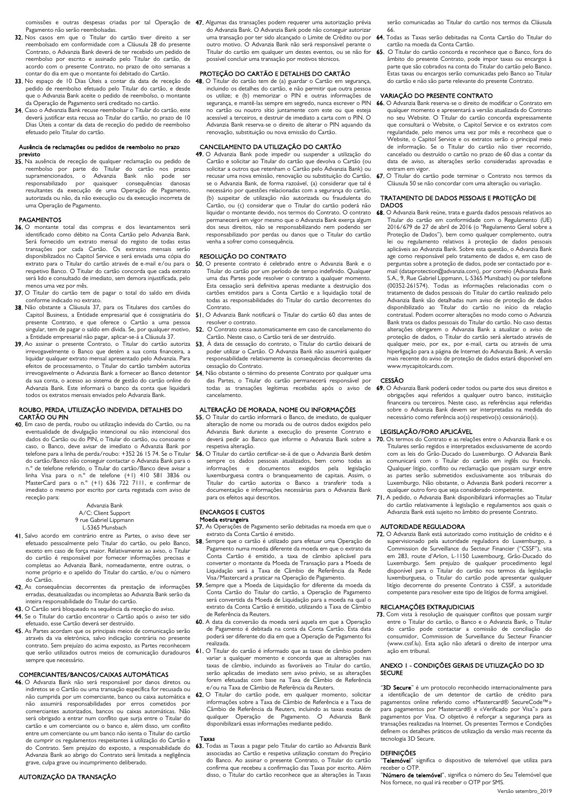Pagamento não serão reembolsadas.

- 32. Nos casos em que o Titular do cartão tiver direito a ser reembolsado em conformidade com a Cláusula 28 do presente Contrato, o Advanzia Bank deverá de ter recebido um pedido de reembolso por escrito e assinado pelo Titular do cartão, de acordo com o presente Contrato, no prazo de oito semanas a contar do dia em que o montante foi debitado do Cartão.
- 33. No espaço de 10 Dias Úteis a contar da data de receção do pedido de reembolso efetuado pelo Titular do cartão, e desde que o Advanzia Bank aceite o pedido de reembolso, o montante da Operação de Pagamento será creditado no cartão.
- 34. Caso o Advanzia Bank recuse reembolsar o Titular do cartão, este deverá justificar esta recusa ao Titular do cartão, no prazo de 10 Dias Úteis a contar da data de receção do pedido de reembolso efetuado pelo Titular do cartão.

## Ausência de reclamações ou pedidos de reembolso no prazo previsto

35. Na ausência de receção de qualquer reclamação ou pedido de reembolso por parte do Titular do cartão nos prazos supramencionados, o Advanzia Bank não pode ser responsabilizado por quaisquer consequências danosas resultantes da execução de uma Operação de Pagamento, autorizada ou não, da não execução ou da execução incorreta de uma Operação de Pagamento.

## PAGAMENTOS

- 36. O montante total das compras e dos levantamentos será identificado como débito na Conta Cartão pelo Advanzia Bank. Será fornecido um extrato mensal do registo de todas estas transações por cada Cartão. Os extratos mensais serão disponibilizados no Capitol Service e será enviada uma cópia do extrato para o Titular do cartão através de e-mail e/ou para o respetivo Banco. O Titular do cartão concorda que cada extrato será lido e consultado de imediato, sem demora injustificada, pelo menos uma vez por mês.
- 37. O Titular do cartão tem de pagar o total do saldo em dívida conforme indicado no extrato.
- 38. Não obstante a Cláusula 37, para os Titulares dos cartões do Capitol Business, a Entidade empresarial que é cossignatária do presente Contrato, e que oferece o Cartão a uma pessoa singular, tem de pagar o saldo em dívida. Se, por qualquer motivo, a Entidade empresarial não pagar, aplicar-se-á a Cláusula 37.
- 39. Ao assinar o presente Contrato, o Titular do cartão autoriza irrevogavelmente o Banco que detém a sua conta financeira, a liquidar qualquer extrato mensal apresentado pelo Advanzia. Para efeitos de processamento, o Titular do cartão também autoriza irrevogavelmente o Advanzia Bank a fornecer ao Banco detentor da sua conta, o acesso ao sistema de gestão do cartão online do Advanzia Bank. Este informará o banco da conta que liquidará todos os extratos mensais enviados pelo Advanzia Bank.

## ROUBO, PERDA, UTILIZAÇÃO INDEVIDA, DETALHES DO CARTÃO OU PIN

40. Em caso de perda, roubo ou utilização indevida do Cartão, ou na eventualidade de divulgação intencional ou não intencional dos dados do Cartão ou do PIN, o Titular do cartão, ou consoante o caso, o Banco, deve avisar de imediato o Advanzia Bank por do cartão/Banco não conseguir contactar o Advanzia Bank para o n.º de telefone referido, o Titular do cartão/Banco deve avisar a linha Visa para o n.º de telefone (+1) 410 581 3836 ou MasterCard para o n.º (+1) 636 722 7111, e confirmar de imediato o mesmo por escrito por carta registada com aviso de receção para:

> Advanzia Bank A/C: Client Support 9 rue Gabriel Lippmann L-5365 Munsbach

- 41. Salvo acordo em contrário entre as Partes, o aviso deve ser efetuado pessoalmente pelo Titular do cartão, ou pelo Banco, exceto em caso de força maior. Relativamente ao aviso, o Titular do cartão é responsável por fornecer informações precisas e completas ao Advanzia Bank, nomeadamente, entre outras, o nome próprio e o apelido do Titular do cartão, e/ou o número do Cartão.
- 42. As consequências decorrentes da prestação de informações erradas, desatualizadas ou incompletas ao Advanzia Bank serão da inteira responsabilidade do Titular do cartão.
- 43. O Cartão será bloqueado na sequência da receção do aviso.
- 44. Se o Titular do cartão encontrar o Cartão após o aviso ter sido efetuado, esse Cartão deverá ser destruído.
- 45. As Partes acordam que os principais meios de comunicação serão através da via eletrónica, salvo indicação contrária no presente contrato. Sem prejuízo do acima exposto, as Partes reconhecem que serão utilizados outros meios de comunicação duradouros sempre que necessário.

## COMERCIANTES/BANCOS/CAIXAS AUTOMÁTICAS

- 46. O Advanzia Bank não será responsável por danos diretos ou indiretos se o Cartão ou uma transação específica for recusada ou não cumprida por um comerciante, banco ou caixa automática e não assumirá responsabilidades por erros cometidos por comerciantes autorizados, bancos ou caixas automáticas. Não será obrigado a entrar num conflito que surja entre o Titular do cartão e um comerciante ou o banco e, além disso, um conflito entre um comerciante ou um banco não isenta o Titular do cartão de cumprir os regulamentos respeitantes à utilização do Cartão e do Contrato. Sem prejuízo do exposto, a responsabilidade do Advanzia Bank ao abrigo do Contrato será limitada a negligência grave, culpa grave ou incumprimento deliberado.
- AUTORIZAÇÃO DA TRANSAÇÃO

comissões e outras despesas criadas por tal Operação de 47. Algumas das transações podem requerer uma autorização prévia do Advanzia Bank. O Advanzia Bank pode não conseguir autorizar uma transação por ter sido alcançado o Limite de Crédito ou por outro motivo. O Advanzia Bank não será responsável perante o Titular do cartão em qualquer um destes eventos, ou se não for possível concluir uma transação por motivos técnicos.

## PROTEÇÃO DO CARTÃO E DETALHES DO CARTÃO

48. O Titular do cartão tem de (a) guardar o Cartão em segurança, incluindo os detalhes do cartão, e não permitir que outra pessoa os utilize; e (b) memorizar o PIN e outras informações de segurança, e mantê-las sempre em segredo, nunca escrever o PIN no cartão ou noutro sítio juntamente com este ou que esteja acessível a terceiros, e destruir de imediato a carta com o PIN. O Advanzia Bank reserva-se o direito de alterar o PIN aquando da renovação, substituição ou nova emissão do Cartão.

## CANCELAMENTO DA UTILIZAÇÃO DO CARTÃO

49. O Advanzia Bank pode impedir ou suspender a utilização do Cartão e solicitar ao Titular do cartão que devolva o Cartão (ou solicitar a outros que retenham o Cartão pelo Advanzia Bank) ou recusar uma nova emissão, renovação ou substituição do Cartão, se o Advanzia Bank, de forma razoável, (a) considerar que tal é necessário por questões relacionadas com a segurança do cartão, (b) suspeitar de utilização não autorizada ou fraudulenta do Cartão, ou (c) considerar que o Titular do cartão poderá não liquidar o montante devido, nos termos do Contrato. O contrato permanecerá em vigor mesmo que o Advanzia Bank exerça algum dos seus direitos, não se responsabilizando nem podendo ser responsabilizado por perdas ou danos que o Titular do cartão venha a sofrer como consequência.

## **RESOLUÇÃO DO CONTRATO**

- 50. O presente contrato é celebrado entre o Advanzia Bank e o Titular do cartão por um período de tempo indefinido. Qualquer uma das Partes pode resolver o contrato a qualquer momento. Esta cessação será definitiva apenas mediante a destruição dos cartões emitidos para a Conta Cartão e a liquidação total de todas as responsabilidades do Titular do cartão decorrentes do Contrato.
- 51. O Advanzia Bank notificará o Titular do cartão 60 dias antes de resolver o contrato.
- 52. O Contrato cessa automaticamente em caso de cancelamento do Cartão. Neste caso, o Cartão terá de ser destruído.
- 53. À data de cessação do contrato, o Titular do cartão deixará de poder utilizar o Cartão. O Advanzia Bank não assumirá qualquer responsabilidade relativamente às consequências decorrentes da cessação do Contrato.
- 54. Não obstante o término do presente Contrato por qualquer uma das Partes, o Titular do cartão permanecerá responsável por todas as transações legítimas recebidas após o aviso de cancelamento.

## ALTERAÇÃO DE MORADA, NOME OU INFORMAÇÕES

- 55. O Titular do cartão informará o Banco, de imediato, de qualquer alteração de nome ou morada ou de outros dados exigidos pelo Advanzia Bank durante a execução do presente Contrato e deverá pedir ao Banco que informe o Advanzia Bank sobre a respetiva alteração.
- telefone para a linha de perda/roubo: +352 26 15 74. Se o Titular **56.** O Titular do cartão certificar-se-á de que o Advanzia Bank detém sempre os dados pessoais atualizados, bem como todas as<br>informações e documentos exigidos pela legislação idocumentos exigidos luxemburguesa contra o branqueamento de capitais. Assim, o Titular do cartão autoriza o Banco a transferir toda a documentação e informações necessárias para o Advanzia Bank para os efeitos aqui descritos.

## ENCARGOS E CUSTOS

- Moeda estrangeira 57. As Operações de Pagamento serão debitadas na moeda em que o extrato da Conta Cartão é emitido.
- 58. Sempre que o cartão é utilizado para efetuar uma Operação de Pagamento numa moeda diferente da moeda em que o extrato da Conta Cartão é emitido, a taxa de câmbio aplicável para converter o montante da Moeda de Transação para a Moeda de Liquidação será a Taxa de Câmbio de Referência da Rede Visa/Mastercard a praticar na Operação de Pagamento.
- 59. Sempre que a Moeda de Liquidação for diferente da moeda da Conta Cartão do Titular do cartão, a Operação de Pagamento será convertida da Moeda de Liquidação para a moeda na qual o extrato da Conta Cartão é emitido, utilizando a Taxa de Câmbio de Referência da Reuters.
- 60. A data da conversão da moeda será aquela em que a Operação de Pagamento é debitada na conta da Conta Cartão. Esta data poderá ser diferente do dia em que a Operação de Pagamento foi realizada.
- 61. O Titular do cartão é informado que as taxas de câmbio podem variar a qualquer momento e concorda que as alterações nas taxas de câmbio, incluindo as favoráveis ao Titular do cartão, serão aplicadas de imediato sem aviso prévio, se as alterações forem efetuadas com base na Taxa de Câmbio de Referência e/ou na Taxa de Câmbio de Referência da Reuters.
- 62. O Titular do cartão pode, em qualquer momento, solicitar informações sobre a Taxa de Câmbio de Referência e a Taxa de Câmbio de Referência da Reuters, incluindo as taxas exatas de qualquer Operação de Pagamento. O disponibilizará essas informações mediante pedido.

#### Taxas

63. Todas as Taxas a pagar pelo Titular do cartão ao Advanzia Bank associadas ao Cartão e respetiva utilização constam do Preçário do Banco. Ao assinar o presente Contrato, o Titular do cartão confirma que recebeu a confirmação das Taxas por escrito. Além disso, o Titular do cartão reconhece que as alterações às Taxas

serão comunicadas ao Titular do cartão nos termos da Cláusula 66.

- 64. Todas as Taxas serão debitadas na Conta Cartão do Titular do cartão na moeda da Conta Cartão.
- 65. O Titular do cartão concorda e reconhece que o Banco, fora do âmbito do presente Contrato, pode impor taxas ou encargos à parte que são cobrados na conta do Titular do cartão pelo Banco. Estas taxas ou encargos serão comunicadas pelo Banco ao Titular do cartão e não são parte relevante do presente Contrato.

## VARIAÇÃO DO PRESENTE CONTRATO

- 66. O Advanzia Bank reserva-se o direito de modificar o Contrato em qualquer momento e apresentará a versão atualizada do Contrato no seu Website. O Titular do cartão concorda expressamente que consultará o Website, o Capitol Service e os extratos com regularidade, pelo menos uma vez por mês e reconhece que o Website, o Capitol Service e os extratos serão o principal meio de informação. Se o Titular do cartão não tiver recorrido, cancelado ou destruído o cartão no prazo de 60 dias a contar da data de aviso, as alterações serão consideradas aprovadas e entram em vigor.
- 67. O Titular do cartão pode terminar o Contrato nos termos da Cláusula 50 se não concordar com uma alteração ou variação.

## TRATAMENTO DE DADOS PESSOAIS E PROTEÇÃO DE DADOS

68. O Advanzia Bank reúne, trata e guarda dados pessoais relativos ao Titular do cartão em conformidade com o Regulamento (UE) 2016/679 de 27 de abril de 2016 (o "Regulamento Geral sobre a Proteção de Dados"), bem como qualquer complemento, outra lei ou regulamento relativos à proteção de dados pessoais aplicáveis ao Advanzia Bank. Sobre esta questão, o Advanzia Bank age como responsável pelo tratamento de dados e, em caso de perguntas sobre a proteção de dados, pode ser contactado por email (dataprotection@advanzia.com), por correio (Advanzia Bank S.A., 9, Rue Gabriel Lippmann, L-5365 Munsbach) ou por telefone (00352-261574). Todas as informações relacionadas com o tratamento de dados pessoais do Titular do cartão realizado pelo Advanzia Bank são detalhadas num aviso de proteção de dados disponibilizado ao Titular do cartão no início da relação contratual. Podem ocorrer alterações no modo como o Advanzia Bank trata os dados pessoais do Titular do cartão. No caso destas alterações obrigarem o Advanzia Bank a atualizar o aviso de proteção de dados, o Titular do cartão será alertado através de qualquer meio, por ex., por e-mail, carta ou através de uma hiperligação para a página de Internet do Advanzia Bank. A versão mperingeça e proceso de proteção de dados estará disponível em www.mycapitolcards.com.

### CESSÃO

69. O Advanzia Bank poderá ceder todos ou parte dos seus direitos e obrigações aqui referidos a qualquer outro banco, instituição financeira ou terceiros. Neste caso, as referências aqui referidas sobre o Advanzia Bank devem ser interpretadas na medida do necessário como referência ao(s) respetivo(s) cessionário(s).

## LEGISLAÇÃO/FORO APLICÁVEL

- 70. Os termos do Contrato e as relações entre o Advanzia Bank e os Titulares serão regidos e interpretados exclusivamente de acordo com as leis do Grão-Ducado do Luxemburgo. O Advanzia Bank comunicará com o Titular do cartão em inglês ou francês. Qualquer litígio, conflito ou reclamação que possam surgir entre as partes serão submetidos exclusivamente aos tribunais do Luxemburgo. Não obstante, o Advanzia Bank poderá recorrer a qualquer outro foro que seja considerado competente.
- 71. A pedido, o Advanzia Bank disponibilizará informações ao Titular do cartão relativamente à legislação e regulamentos aos quais o Advanzia Bank está sujeito no âmbito do presente Contrato.

#### AUTORIDADE REGULADORA

72. O Advanzia Bank está autorizado como instituição de crédito e é supervisionado pela autoridade reguladora do Luxemburgo, a<br>Commission de Supreillance du Secteur Financier ("CSSE"), sita Commission de Surveillance du Secteur Financier ("CSSF") em 283, route d'Arlon, L-1150 Luxembourg, Grão-Ducado do Luxemburgo. Sem prejuízo de qualquer procedimento legal disponível para o Titular do cartão nos termos da legislação luxemburguesa, o Titular do cartão pode apresentar qualquer litígio decorrente do presente Contrato à CSSF, a autoridade competente para resolver este tipo de litígios de forma amigável.

## RECLAMAÇÕES EXTRAJUDICIAIS

73. Com vista à resolução de quaisquer conflitos que possam surgir entre o Titular do cartão, o Banco e o Advanzia Bank, o Titular do cartão pode contactar a comissão de conciliação do consumidor, Commission de Surveillance du Secteur Financier (www.cssf.lu). Esta ação não afetará o direito de interpor uma ação em tribunal.

## ANEXO 1 - CONDIÇÕES GERAIS DE UTILIZAÇÃO DO 3D SECURE

"3D Secure" é um protocolo reconhecido internacionalmente para a identificação de um detentor de cartão de crédito para pagamentos online referido como «Mastercard® SecureCode™» para pagamentos por Mastercard® e «Verificado por Visa"» para pagamentos por Visa. O objetivo é reforçar a segurança para as transações realizadas na Internet. Os presentes Termos e Condições definem os detalhes práticos de utilização da versão mais recente da tecnologia 3D Secure.

## **DEFINIÇÕES**

"Telemóvel" significa o dispositivo de telemóvel que utiliza para receber o OTP.

"Número de telemóvel", significa o número do Seu Telemóvel que Nos fornece, no qual irá receber o OTP por SMS.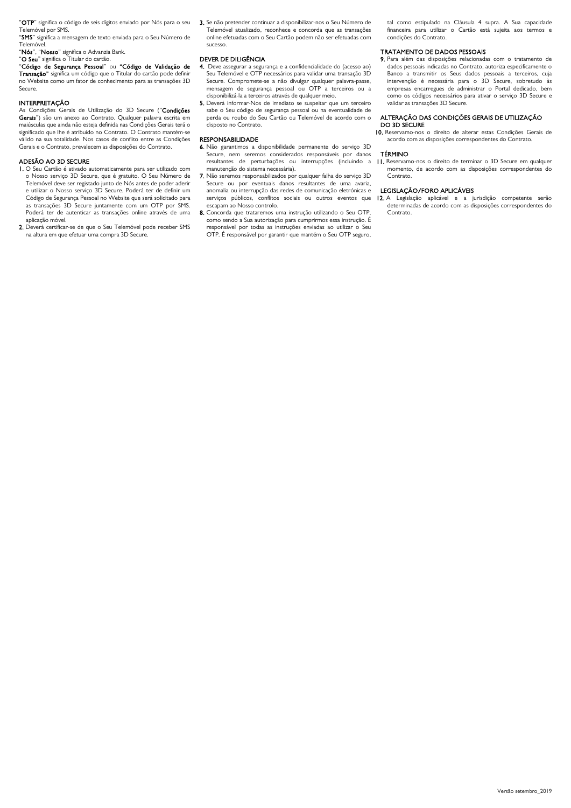"OTP" significa o código de seis dígitos enviado por Nós para o seu Telemóvel por SMS.

"SMS" significa a mensagem de texto enviada para o Seu Número de Telemóvel.

"Nós", "Nosso" significa o Advanzia Bank. "O Seu" significa o Titular do cartão.

"Código de Segurança Pessoal" ou "Código de Validação de Transação" significa um código que o Titular do cartão pode definir no Website como um fator de conhecimento para as transações 3D Secure.

## **INTERPRETAÇÃO**

As Condições Gerais de Utilização do 3D Secure ("Condições Gerais") são um anexo ao Contrato. Qualquer palavra escrita em maiúsculas que ainda não esteja definida nas Condições Gerais terá o significado que lhe é atribuído no Contrato. O Contrato mantém-se válido na sua totalidade. Nos casos de conflito entre as Condições Gerais e o Contrato, prevalecem as disposições do Contrato.

## ADESÃO AO 3D SECURE

- 1. O Seu Cartão é ativado automaticamente para ser utilizado com o Nosso serviço 3D Secure, que é gratuito. O Seu Número de Telemóvel deve ser registado junto de Nós antes de poder aderir e utilizar o Nosso serviço 3D Secure. Poderá ter de definir um Código de Segurança Pessoal no Website que será solicitado para as transações 3D Secure juntamente com um OTP por SMS. Poderá ter de autenticar as transações online através de uma aplicação móvel.
- 2. Deverá certificar-se de que o Seu Telemóvel pode receber SMS na altura em que efetuar uma compra 3D Secure.

3. Se não pretender continuar a disponibilizar-nos o Seu Número de Telemóvel atualizado, reconhece e concorda que as transações online efetuadas com o Seu Cartão podem não ser efetuadas com sucesso.

## DEVER DE DILIGÊNCIA

- 4. Deve assegurar a segurança e a confidencialidade do (acesso ao) Seu Telemóvel e OTP necessários para validar uma transação 3D Secure. Compromete-se a não divulgar qualquer palavra-passe, mensagem de segurança pessoal ou OTP a terceiros ou a disponibilizá-la a terceiros através de qualquer meio.
- 5. Deverá informar-Nos de imediato se suspeitar que um terceiro sabe o Seu código de segurança pessoal ou na eventualidade de perda ou roubo do Seu Cartão ou Telemóvel de acordo com o disposto no Contrato.

## RESPONSABILIDADE

- 6. Não garantimos a disponibilidade permanente do serviço 3D Secure, nem seremos considerados responsáveis por danos resultantes de perturbações ou interrupções (incluindo manutenção do sistema necessária).
- 7. Não seremos responsabilizados por qualquer falha do serviço 3D Secure ou por eventuais danos resultantes de uma avaria, anomalia ou interrupção das redes de comunicação eletrónicas e serviços públicos, conflitos sociais ou outros eventos que escapam ao Nosso controlo.
- 8. Concorda que trataremos uma instrução utilizando o Seu OTP, como sendo a Sua autorização para cumprirmos essa instrução. É responsável por todas as instruções enviadas ao utilizar o Seu OTP. É responsável por garantir que mantém o Seu OTP seguro,

tal como estipulado na Cláusula 4 supra. A Sua capacidade financeira para utilizar o Cartão está sujeita aos termos e condições do Contrato.

## TRATAMENTO DE DADOS PESSOAIS

9. Para além das disposições relacionadas com o tratamento de dados pessoais indicadas no Contrato, autoriza especificamente o Banco a transmitir os Seus dados pessoais a terceiros, cuja intervenção é necessária para o 3D Secure, sobretudo às empresas encarregues de administrar o Portal dedicado, bem como os códigos necessários para ativar o serviço 3D Secure e validar as transações 3D Secure.

# ALTERAÇÃO DAS CONDIÇÕES GERAIS DE UTILIZAÇÃO DO 3D SECURE

10. Reservamo-nos o direito de alterar estas Condições Gerais de acordo com as disposições correspondentes do Contrato.

## TÉRMINO

11. Reservamo-nos o direito de terminar o 3D Secure em qualquer momento, de acordo com as disposições correspondentes do Contrato.

### LEGISLAÇÃO/FORO APLICÁVEIS

12. A Legislação aplicável e a jurisdição competente serão determinadas de acordo com as disposições correspondentes do Contrato.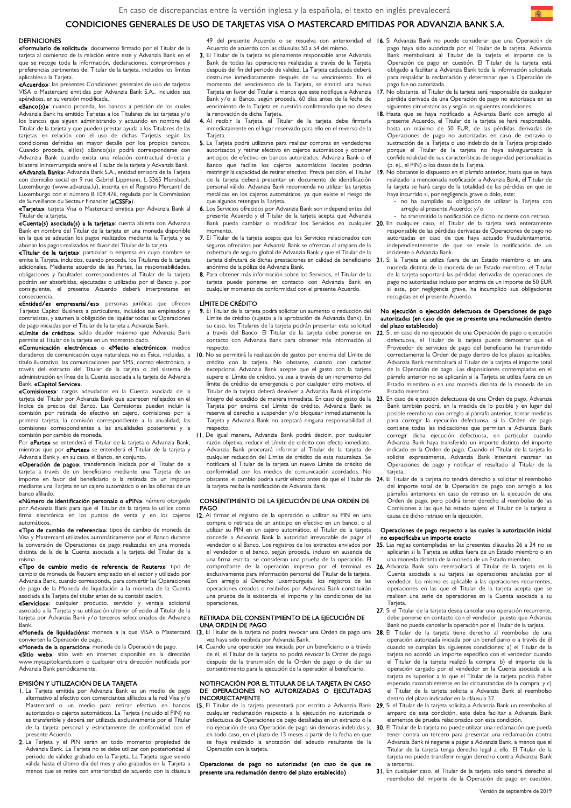## CONDICIONES GENERALES DE USO DE TARJETAS VISA O MASTERCARD EMITIDAS POR ADVANZIA BANK S.A.

## **DEFINICIONES**

«Formulario de solicitud»: documento firmado por el Titular de la tarjeta al comienzo de la relación entre este y Advanzia Bank en el que se recoge toda la información, declaraciones, compromisos y preferencias pertinentes del Titular de la tarjeta, incluidos los límites .<br>aplicables a la Tarieta.

«Acuerdo»: las presentes Condiciones generales de uso de tarjetas VISA o Mastercard emitidas por Advanzia Bank S.A., incluidos sus apéndices, en su versión modificada.

«Banco(s)»: cuando proceda, los bancos a petición de los cuales Advanzia Bank ha emitido Tarjetas a los Titulares de las tarjetas y/o los bancos que siguen administrando y actuando en nombre del Titular de la tarjeta y que pueden prestar ayuda a los Titulares de las tarjetas en relación con el uso de dichas Tarjetas según las condiciones definidas en mayor detalle por los propios bancos. Cuando proceda, el(los) «Banco(s)» podrá corresponderse con Advanzia Bank cuando exista una relación contractual directa y bilateral ininterrumpida entre el Titular de la tarjeta y Advanzia Bank.

«Advanzia Bank»: Advanzia Bank S.A., entidad emisora de la Tarjeta con domicilio social en 9 rue Gabriel Lippmann, L-5365 Munsbach, Luxemburgo (www.advanzia.lu), inscrita en el Registro Mercantil de Luxemburgo con el número B 109.476, regulada por la Commission de Surveillance du Secteur Financier («CSSF»).

«Tarjeta»: tarjeta Visa o Mastercard emitida por Advanzia Bank al Titular de la tarjeta.

«Cuenta(s) asociada(s) a la tarjeta»: cuenta abierta con Advanzia Bank en nombre del Titular de la tarjeta en una moneda disponible en la que se adeudan los pagos realizados mediante la Tarjeta y se abonan los pagos realizados en favor del Titular de la tarjeta.

«Titular de la tarjeta»: particular o empresa en cuyo nombre se emite la Tarjeta, incluidos, cuando proceda, los Titulares de la tarjeta adicionales. Mediante acuerdo de las Partes, las responsabilidades, obligaciones y facultades correspondientes al Titular de la tarjeta podrán ser absorbidas, ejecutadas o utilizadas por el Banco y, por consiguiente, el presente Acuerdo deberá interpretarse en consecuencia.

«Entidad/es empresarial/es»: personas jurídicas que ofrecen Tarjetas Capitol Business a particulares, incluidos sus empleados y contratistas, y asumen la obligación de liquidar todas las Operaciones de pago iniciadas por el Titular de la tarjeta a Advanzia Bank.

«Límite de crédito»: saldo deudor máximo que Advanzia Bank permite al Titular de la tarjeta en un momento dado.

«Comunicación electrónica» o «Medio electrónico»: medios duraderos de comunicación cuya naturaleza no es física, incluidas, a título ilustrativo, las comunicaciones por SMS, correo electrónico, a través del extracto del Titular de la tarjeta o del sistema de administración en línea de la Cuenta asociada a la tarjeta de Advanzia

#### Bank, «Capitol Service».

«Comisiones»: cargos adeudados en la Cuenta asociada de la tarjeta del Titular por Advanzia Bank que aparecen reflejados en el Índice de precios del Banco. Las Comisiones pueden incluir la comisión por retirada de efectivo en cajero, comisiones por la primera tarjeta, la comisión correspondiente a la anualidad, las comisiones correspondientes a las anualidades posteriores y la comisión por cambio de moneda.

Por «Parte» se entenderá el Titular de la tarieta o Advanzia Bank, mientras que por «Partes» se entenderá el Titular de la tarjeta y Advanzia Bank y, en su caso, el Banco, en conjunto.

«Operación de pago»: transferencia iniciada por el Titular de la tarjeta a través de un beneficiario mediante una Tarjeta de un importe en favor del beneficiario o la retirada de un importe mediante una Tarjeta en un cajero automático o en las oficinas de un banco afiliado.

«Número de identificación personal» o «PIN»: número otorgado por Advanzia Bank para que el Titular de la tarjeta lo utilice como firma electrónica en los puntos de venta y en los cajeros automáticos.

«Tipo de cambio de referencia»: tipos de cambio de moneda de Visa y Mastercard utilizados automáticamente por el Banco durante la conversión de Operaciones de pago realizadas en una moneda distinta de la de la Cuenta asociada a la tarjeta del Titular de la misma.

«Tipo de cambio medio de referencia de Reuters»: tipo de cambio de moneda de Reuters empleado en el sector y utilizado por Advanzia Bank, cuando corresponda, para convertir las Operaciones de pago de la Moneda de liquidación a la moneda de la Cuenta asociada a la Tarjeta del titular antes de su contabilización.

«Servicios»: cualquier producto, servicio y ventaja asociado a la Tarjeta y su utilización ulterior ofrecido al Titular de la tarjeta por Advanzia Bank y/o terceros seleccionados de Advanzia Bank.

«Moneda de liquidación»: moneda a la que VISA o Mastercard convierten la Operación de pago.

«Moneda de la operación»: moneda de la Operación de pago. «Sitio web»: sitio web en internet disponible en la dirección www.mycapitolcards.com o cualquier otra dirección notificada por Advanzia Bank periódicamente.

#### EMISIÓN Y UTILIZACIÓN DE LA TARJETA

- 1. La Tarjeta emitida por Advanzia Bank es un medio de pago alternativo al efectivo con comerciantes afiliados a la red Visa y/o Mastercard o un medio para retirar efectivo en bancos autorizados o cajeros automáticos. La Tarjeta (incluido el PIN) no es transferible y deberá ser utilizada exclusivamente por el Titular de la tarjeta personal y estrictamente de conformidad con el presente Acuerdo.
- 2. La Tarjeta y el PIN serán en todo momento propiedad de Advanzia Bank. La Tarjeta no se debe utilizar con posterioridad al periodo de validez grabado en la Tarjeta. La Tarjeta sigue siendo válida hasta el último día del mes y año grabados en la Tarjeta a menos que se retire con anterioridad de acuerdo con la cláusula

Acuerdo de acuerdo con las cláusulas 50 a 54 del mismo.

- 3. El Titular de la tarjeta es plenamente responsable ante Advanzia Bank de todas las operaciones realizadas a través de la Tarjeta después del fin del periodo de validez. La Tarjeta caducada deberá destruirse inmediatamente después de su vencimiento. En el momento del vencimiento de la Tarjeta, se emitirá una nueva Tarjeta en favor del Titular a menos que este notifique a Advanzia Bank y/o al Banco, según proceda, 60 días antes de la fecha de vencimiento de la Tarjeta en cuestión confirmando que no desea la renovación de dicha Tarieta.
- 4. Al recibir la Tarjeta, el Titular de la tarjeta debe firmarla inmediatamente en el lugar reservado para ello en el reverso de la **Tarieta**
- 5. La Tarjeta podrá utilizarse para realizar compras en vendedores autorizados y retirar efectivo en cajeros automáticos y obtener anticipos de efectivo en bancos autorizados. Advanzia Bank o el Banco que facilite los cajeros automáticos locales podrán restringir la capacidad de retirar efectivo. Previa petición, el Titular de la tarjeta deberá presentar un documento de identificación personal válido. Advanzia Bank recomienda no utilizar las tarjetas metálicas en los cajeros automáticos, ya que existe el riesgo de que algunos retengan la Tarjeta.
- 6. Los Servicios ofrecidos por Advanzia Bank son independientes del presente Acuerdo y el Titular de la tarjeta acepta que Advanzia Bank pueda cambiar o modificar los Servicios en cualquier momento.
- 7. El Titular de la tarjeta acepta que los Servicios relacionados con seguros ofrecidos por Advanzia Bank se ofrezcan al amparo de la cobertura de seguro global de Advanzia Bank y que el Titular de la
- 8. Para obtener más información sobre los Servicios, el Titular de la tarjeta puede ponerse en contacto con Advanzia Bank en cualquier momento de conformidad con el presente Acuerdo.

#### LÍMITE DE CRÉDITO

- 9. El Titular de la tarjeta podrá solicitar un aumento o reducción del Límite de crédito (sujetos a la aprobación de Advanzia Bank). En su caso, los Titulares de la tarjeta podrán presentar esta solicitud a través del Banco. El Titular de la tarjeta debe ponerse en contacto con Advanzia Bank para obtener más información al respecto.
- 10. No se permitirá la realización de gastos por encima del Límite de crédito con la tarjeta. No obstante, cuando con carácter excepcional Advanzia Bank acepte que el gasto con la tarjeta supere el Límite de crédito, ya sea a través de un incremento del límite de crédito de emergencia o por cualquier otro motivo, el Titular de la tarjeta deberá devolver a Advanzia Bank el importe íntegro del excedido de manera inmediata. En caso de gasto de la Tarjeta por encima del Límite de crédito, Advanzia Bank se reserva el derecho a suspender y/o bloquear inmediatamente la Tarjeta y Advanzia Bank no aceptará ninguna responsabilidad al respecto.
- 11. De igual manera, Advanzia Bank podrá decidir, por cualquier razón objetiva, reducir el Límite de crédito con efecto inmediato. Advanzia Bank procurará informar al Titular de la tarjeta de cualquier reducción del Límite de crédito de esta naturaleza. Se notificará al Titular de la tarjeta un nuevo Límite de crédito de conformidad con los medios de comunicación acordados. No la tarjeta reciba la notificación de Advanzia Bank.

#### CONSENTIMIENTO DE LA EIECUCIÓN DE UNA ORDEN DE PAGO

12. Al firmar el registro de la operación o utilizar su PIN en una compra o retirada de un anticipo en efectivo en un banco, o al utilizar su PIN en un cajero automático, el Titular de la tarjeta concede a Advanzia Bank la autoridad irrevocable de pagar al vendedor o al Banco. Los registros de los extractos enviados por el vendedor o el banco, según proceda, incluso en ausencia de una firma escrita, se consideran una prueba de la operación. El comprobante de la operación impreso por el terminal es exclusivamente para información personal del Titular de la tarjeta. Con arreglo al Derecho luxemburgués, los registros de las operaciones creados o recibidos por Advanzia Bank constituirán una prueba de la existencia, el importe y las condiciones de las operaciones.

## RETIRADA DEL CONSENTIMIENTO DE LA EJECUCIÓN DE UNA ORDEN DE PAGO

- 13. El Titular de la tarjeta no podrá revocar una Orden de pago una 28. El Titular de la tarjeta tiene derecho al reembolso de una vez haya sido recibida por Advanzia Bank.
- 14. Cuando una operación sea iniciada por un beneficiario o a través de él, el Titular de la tarjeta no podrá revocar la Orden de pago después de la transmisión de la Orden de pago o de dar su consentimiento para la ejecución de la operación al beneficiario.

#### NOTIFICACIÓN POR EL TITULAR DE LA TARJETA EN CASO DE OPERACIONES NO AUTORIZADAS O EJECUTADAS INCORRECTAMENTE

15. El Titular de la tarjeta presentará por escrito a Advanzia Bank cualquier reclamación respecto a la ejecución no autorizada o defectuosa de Operaciones de pago detalladas en un extracto o la no ejecución de una Operación de pago sin demoras indebidas y, en todo caso, en el plazo de 13 meses a partir de la fecha en que se haya realizado la anotación del adeudo resultante de la Operación con la tarjeta.

Operaciones de pago no autorizadas (en caso de que se presente una reclamación dentro del plazo establecido)

- 49 del presente Acuerdo o se resuelva con anterioridad el 16. Si Advanzia Bank no puede considerar que una Operación de pago haya sido autorizada por el Titular de la tarjeta, Advanzia Bank reembolsará al Titular de la tarjeta el importe de la Operación de pago en cuestión. El Titular de la tarjeta está obligado a facilitar a Advanzia Bank toda la información solicitada para respaldar la reclamación y determinar que la Operación de pago fue no autorizada.
	- 17. No obstante, el Titular de la tarjeta será responsable de cualquier pérdida derivada de una Operación de pago no autorizada en las siguientes circunstancias y según las siguientes condiciones.
	- 18. Hasta que se haya notificado a Advanzia Bank con arreglo al presente Acuerdo, el Titular de la tarjeta se hará responsable, hasta un máximo de 50 EUR, de las pérdidas derivadas de Operaciones de pago no autorizadas en caso de extravío o sustracción de la Tarjeta o uso indebido de la Tarjeta propiciado porque el Titular de la tarjeta no haya salvaguardado la confidencialidad de sus características de seguridad personalizadas (p. ej., el PIN) o los datos de la Tarjeta.
	- 19. No obstante lo dispuesto en el párrafo anterior, hasta que se haya realizado la mencionada notificación a Advanzia Bank, el Titular de la tarjeta se hará cargo de la totalidad de las pérdidas en que se haya incurrido si, por negligencia grave o dolo, este:
		- no ha cumplido su obligación de utilizar la Tarjeta con arreglo al presente Acuerdo; y/o
	- ha transmitido la notificación de dicho incidente con retraso. 20. En cualquier caso, el Titular de la tarjeta será enteramente
	- responsable de las pérdidas derivadas de Operaciones de pago no autorizadas en caso de que haya actuado fraudulentamente, independientemente de que se envíe la notificación de un incidente a Advanzia Bank.
- tarjeta disfrutará de dichas prestaciones en calidad de beneficiario 21. Si la Tarjeta se utiliza fuera de un Estado miembro o en una<br>anónimo de la póliza de Advanzia Bank. de la tarjeta soportará las pérdidas derivadas de operaciones de pago no autorizadas incluso por encima de un importe de 50 EUR si este, por negligencia grave, ha incumplido sus obligaciones recogidas en el presente Acuerdo.

#### No ejecución o ejecución defectuosa de Operaciones de pago autorizadas (en caso de que se presente una reclamación dentro del plazo establecido)

- 22. Si, en caso de no ejecución de una Operación de pago o ejecución defectuosa, el Titular de la tarjeta puede demostrar que el Proveedor de servicios de pago del beneficiario ha transmitido correctamente la Orden de pago dentro de los plazos aplicables, Advanzia Bank reembolsará al Titular de la tarjeta el importe total de la Operación de pago. Las disposiciones contempladas en el párrafo anterior no se aplicarán si la Tarjeta se utiliza fuera de un Estado miembro o en una moneda distinta de la moneda de un Estado miembro.
- En caso de ejecución defectuosa de una Orden de pago, Advanzia Bank también podrá, en la medida de lo posible y en lugar del posible reembolso con arreglo al párrafo anterior, tomar medidas para corregir la ejecución defectuosa, si la Orden de pago contiene todas las indicaciones que permitan a Advanzia Bank corregir dicha ejecución defectuosa, en particular cuando Advanzia Bank haya transferido un importe distinto del importe indicado en la Orden de pago. Cuando el Titular de la tarjeta lo solicite expresamente, Advanzia Bank intentará rastrear las Operaciones de pago y notificar el resultado al Titular de la tarieta.
- obstante, el cambio podría surtir efecto antes de que el Titular de 24. El Titular de la tarjeta no tendrá derecho a solicitar el reembolso del importe total de la Operación de pago con arreglo a los párrafos anteriores en caso de retraso en la ejecución de una .<br>Orden de pago, pero podrá tener derecho al reembolso de las Comisiones a las que ha estado sujeto el Titular de la tarjeta a causa de dicho retraso en la ejecución.

### Operaciones de pago respecto a las cuales la autorización inicial no especificaba un importe exacto

- 25. Las reglas contempladas en las presentes cláusulas 26 a 34 no se aplicarán si la Tarjeta se utiliza fuera de un Estado miembro o en una moneda distinta de la moneda de un Estado miembro.
- 26. Advanzia Bank solo reembolsará al Titular de la tarieta en la Cuenta asociada a su tarjeta las operaciones anuladas por el vendedor. Lo mismo es aplicable a las operaciones recurrentes, operaciones en las que el Titular de la tarjeta acepta que se realicen una serie de operaciones en la Cuenta asociada a su Tarieta.
- 27. Si el Titular de la tarjeta desea cancelar una operación recurrente, debe ponerse en contacto con el vendedor, puesto que Advanzia Bank no puede cancelar la operación por el Titular de la tarjeta.
- operación autorizada iniciada por un beneficiario o a través de él cuando se cumplan las siguientes condiciones: a) el Titular de la tarjeta no acordó un importe específico con el vendedor cuando el Titular de la tarjeta realizó la compra; b) el importe de la operación cargado por el vendedor en la Cuenta asociada a la tarjeta es superior a lo que el Titular de la tarjeta podría haber esperado razonablemente en las circunstancias de la compra; y c) el Titular de la tarjeta solicita a Advanzia Bank el reembolso dentro del plazo indicador en la cláusula 32.
- 29. Si el Titular de la tarjeta solicita a Advanzia Bank un reembolso al amparo de esta condición, este debe facilitar a Advanzia Bank elementos de prueba relacionados con esta condición.
- 30. El Titular de la tarjeta no puede utilizar una reclamación que pueda tener contra un tercero para presentar una reclamación contra Advanzia Bank ni negarse a pagar a Advanzia Bank, a menos que el Titular de la tarjeta tenga derecho legal a ello. El Titular de la tarjeta no puede transferir ningún derecho contra Advanzia Bank a terceros.
- 31. En cualquier caso, el Titular de la tarjeta solo tendrá derecho al reembolso del importe de la Operación de pago en cuestión.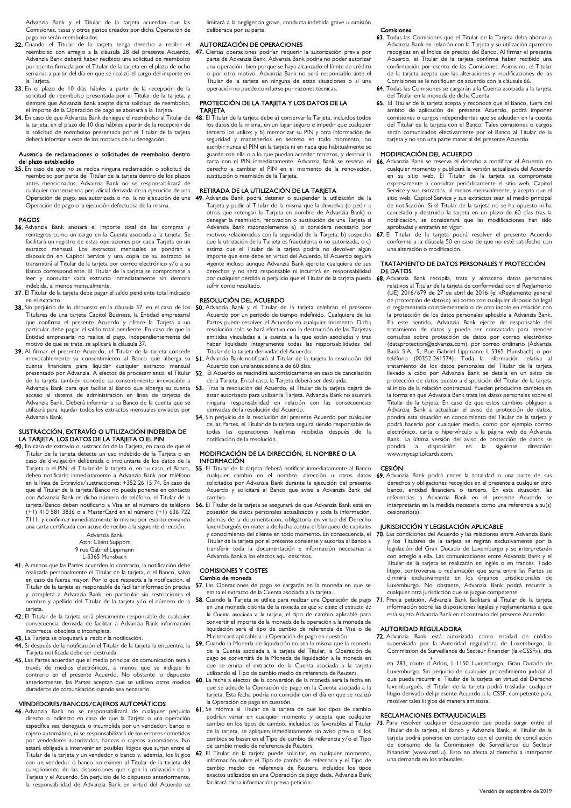Advanzia Bank y el Titular de la tarjeta acuerdan que las Comisiones, tasas y otros gastos creados por dicha Operación de pago no serán reembolsados.

- 32. Cuando el Titular de la tarjeta tenga derecho a recibir el reembolso con arreglo a la cláusula 28 del presente Acuerdo, Advanzia Bank deberá haber recibido una solicitud de reembolso por escrito firmada por el Titular de la tarjeta en el plazo de ocho semanas a partir del día en que se realizó el cargo del importe en la Tarieta.
- 33. En el plazo de 10 días hábiles a partir de la recepción de la solicitud de reembolso presentada por el Titular de la tarjeta, y siempre que Advanzia Bank acepte dicha solicitud de reembolso, el importe de la Operación de pago se abonará a la Tarjeta.
- 34. En caso de que Advanzia Bank deniegue el reembolso al Titular de la tarjeta, en el plazo de 10 días hábiles a partir de la recepción de la solicitud de reembolso presentada por el Titular de la tarjeta deberá informar a este de los motivos de su denegación.

#### Ausencia de reclamaciones o solicitudes de reembolso dentro del plazo establecido

35. En caso de que no se reciba ninguna reclamación o solicitud de reembolso por parte del Titular de la tarjeta dentro de los plazos antes mencionados, Advanzia Bank no se responsabilizará de cualquier consecuencia perjudicial derivada de la ejecución de una Operación de pago, sea autorizada o no, la no ejecución de una Operación de pago o la ejecución defectuosa de la misma.

### PAGOS

- 36. Advanzia Bank anotará el importe total de las compras y reintegros como un cargo en la Cuenta asociada a la tarjeta. Se facilitará un registro de estas operaciones por cada Tarjeta en un extracto mensual. Los extractos mensuales se pondrán a disposición en Capitol Service y una copia de su extracto se transmitirá al Titular de la tarjeta por correo electrónico y/o a su Banco correspondiente. El Titular de la tarjeta se compromete a leer y consultar cada extracto inmediatamente sin demora indebida, al menos mensualmente.
- 37. El Titular de la tarjeta debe pagar el saldo pendiente total indicado en el extracto.
- 38. Sin perjuicio de lo dispuesto en la cláusula 37, en el caso de los Titulares de una tarjeta Capitol Business, la Entidad empresarial que confirma el presente Acuerdo y ofrece la Tarjeta a un particular debe pagar el saldo total pendiente. En caso de que la Entidad empresarial no realice el pago, independientemente del motivo de que se trate, se aplicará la cláusula 37.
- 39. Al firmar el presente Acuerdo, el Titular de la tarjeta concede irrevocablemente su consentimiento al Banco que alberga su cuenta financiera para liquidar cualquier extracto mensual presentado por Advanzia. A efectos de procesamiento, el Titular de la tarjeta también concede su consentimiento irrevocable a Advanzia Bank para que facilite al Banco que alberga su cuenta acceso al sistema de administración en línea de tarjetas de Advanzia Bank. Deberá informar a su Banco de la cuenta que se utilizará para liquidar todos los extractos mensuales enviados por Advanzia Bank.

### SUSTRACCIÓN, EXTRAVÍO O UTILIZACIÓN INDEBIDA DE LA TARJETA, LOS DATOS DE LA TARJETA O EL PIN

40. En caso de extravío o sustracción de la Tarjeta, en caso de que el Titular de la tarjeta detecte un uso indebido de la Tarjeta o en caso de divulgación deliberada o involuntaria de los datos de la Tarjeta o el PIN, el Titular de la tarjeta o, en su caso, el Banco, deben notificarlo inmediatamente a Advanzia Bank por teléfono en la línea de Extravíos/sustracciones: +352 26 15 74. En caso de que el Titular de la tarjeta/Banco no pueda ponerse en contacto con Advanzia Bank en dicho número de teléfono, el Titular de la tarjeta/Banco deben notificarlo a Visa en el número de teléfono (+1) 410 581 3836 o a MasterCard en el número (+1) 636 722 7111, y confirmar inmediatamente lo mismo por escrito enviando una carta certificada con acuse de recibo a la siguiente dirección:

Advanzia Bank Attn: Client Support

## 9 rue Gabriel Lippmann L-5365 Munsbach

- 41. A menos que las Partes acuerden lo contrario, la notificación debe realizarla personalmente el Titular de la tarjeta, o el Banco, salvo en caso de fuerza mayor. Por lo que respecta a la notificación, el Titular de la tarjeta es responsable de facilitar información precisa y completa a Advanzia Bank, en particular sin restricciones el nombre y apellido del Titular de la tarjeta y/o el número de la tarjeta.
- 42. El Titular de la tarjeta será plenamente responsable de cualquier consecuencia derivada de facilitar a Advanzia Bank información incorrecta, obsoleta o incompleta.
- 43. La Tarjeta se bloqueará al recibir la notificación.
- 
- Tarjeta notificada debe ser destruida. 45. Las Partes acuerdan que el medio principal de comunicación será a través de medios electrónicos, a menos que se indique lo
- contrario en el presente Acuerdo. No obstante lo dispuesto anteriormente, las Partes aceptan que se utilicen otros medios duraderos de comunicación cuando sea necesario.

## VENDEDORES/BANCOS/CAJEROS AUTOMÁTICOS

46. Advanzia Bank no se responsabilizará de cualquier perjuicio directo o indirecto en caso de que la Tarjeta o una operación específica sea denegada o incumplida por un vendedor, banco o cajero automático, ni se responsabilizará de los errores cometidos por vendedores autorizados, bancos o cajeros automáticos. No estará obligada a intervenir en posibles litigios que surjan entre el Titular de la tarjeta y un vendedor o banco y, además, los litigios con un vendedor o banco no eximen al Titular de la tarjeta del cumplimiento de las disposiciones que rigen la utilización de la Tarjeta y el Acuerdo. Sin perjuicio de lo dispuesto anteriormente, la responsabilidad de Advanzia Bank en virtud del Acuerdo se

limitará a la negligencia grave, conducta indebida grave u omisión deliberada por su parte.

### AUTORIZACIÓN DE OPERACIONES

47. Ciertas operaciones podrían requerir la autorización previa por parte de Advanzia Bank. Advanzia Bank podría no poder autorizar una operación, bien porque se haya alcanzado el límite de crédito o por otro motivo. Advanzia Bank no será responsable ante el Titular de la tarjeta en ninguna de estas situaciones o si una operación no puede concluirse por razones técnicas.

## PROTECCIÓN DE LA TARJETA Y LOS DATOS DE LA TARJETA

48. El Titular de la tarjeta debe a) conservar la Tarjeta, incluidos todos los datos de la misma, en un lugar seguro e impedir que cualquier tercero los utilice; y b) memorizar su PIN y otra información de seguridad y mantenerlos en secreto en todo momento, no escribir nunca el PIN en la tarjeta ni en nada que habitualmente se guarde con ella o a lo que puedan acceder terceros, y destruir la carta con el PIN inmediatamente. Advanzia Bank se reserva el derecho a cambiar el PIN en el momento de la renovación, sustitución o reemisión de la Tarjeta.

## RETIRADA DE LA UTILIZACIÓN DE LA TARJETA

49. Advanzia Bank podrá detener o suspender la utilización de la Tarjeta y pedir al Titular de la misma que la devuelva (o pedir a otros que retengan la Tarjeta en nombre de Advanzia Bank) o denegar la reemisión, renovación o sustitución de una Tarjeta si Advanzia Bank razonablemente a) lo considera necesario por motivos relacionados con la seguridad de la Tarjeta, b) sospecha que la utilización de la Tarjeta es fraudulenta o no autorizada, o c) estima que el Titular de la tarjeta podría no devolver algún importe que este debe en virtud del Acuerdo. El Acuerdo seguirá vigente incluso aunque Advanzia Bank ejercite cualquiera de sus derechos y no será responsable ni incurrirá en responsabilidad por cualquier pérdida o perjuicio que el Titular de la tarjeta pueda sufrir como resultado.

## RESOLUCIÓN DEL ACUERDO

- 50. Advanzia Bank y el Titular de la tarjeta celebran el presente Acuerdo por un periodo de tiempo indefinido. Cualquiera de las Partes puede resolver el Acuerdo en cualquier momento. Dicha resolución solo se hará efectiva con la destrucción de las Tarjetas emitidas vinculadas a la cuenta a la que están asociadas y tras haber liquidado íntegramente todas las responsabilidades del Titular de la tarjeta derivadas del Acuerdo.
- 51. Advanzia Bank notificará al Titular de la tarjeta la resolución del Acuerdo con una antecedencia de 60 días.
- 52. El Acuerdo se rescindirá automáticamente en caso de cancelación de la Tarjeta. En tal caso, la Tarjeta deberá ser destruida.
- 53. Tras la resolución del Acuerdo, el Titular de la tarjeta dejará de estar autorizado para utilizar la Tarjeta. Advanzia Bank no asumirá ninguna responsabilidad en relación con las consecuencias derivadas de la resolución del Acuerdo.
- 54. Sin perjuicio de la resolución del presente Acuerdo por cualquier de las Partes, el Titular de la tarjeta seguirá siendo responsable de todas las operaciones legítimas recibidas después de la notificación de la resolución.

## MODIFICACIÓN DE LA DIRECCIÓN, EL NOMBRE O LA **INFORMACIÓN**

- 55. El Titular de la tarjeta deberá notificar inmediatamente al Banco solicitados por Advanzia Bank durante la ejecución del presente Acuerdo y solicitará al Banco que avise a Advanzia Bank del cambio.
- 56. El Titular de la tarjeta se asegurará de que Advanzia Bank esté en posesión de datos personales actualizados y toda la información, además de la documentación, obligatoria en virtud del Derecho luxemburgués en materia de lucha contra el blanqueo de capitales y conocimiento del cliente en todo momento. En consecuencia, el Titular de la tarjeta por el presente consiente y autoriza al Banco a transferir toda la documentación e información necesarias a Advanzia Bank a los efectos aquí descritos.

## COMISIONES Y COSTES

## Cambio de moneda

- 57. Las Operaciones de pago se cargarán en la moneda en que se emita el extracto de la Cuenta asociada a la tarjeta.
- 58. Cuando la Tarieta se utilice para realizar una Operación de pago 71. en una moneda distinta de la moneda en que se emite el extracto de la Cuenta asociada a la tarjeta, el tipo de cambio aplicable para convertir el importe de la moneda de la operación a la moneda de liquidación será el tipo de cambio de referencia de Visa o de Mastercard aplicable a la Operación de pago en cuestión.
- 44. Si después de la notificación el Titular de la tarjeta la encuentra, la  $\,$  59. Cuando la Moneda de liquidación no sea la misma que la moneda de la Cuenta asociada a la tarjeta del Titular, la Operación de pago se convertirá de la Moneda de liquidación a la moneda en que se emita el extracto de la Cuenta asociada a la tarjeta utilizando el Tipo de cambio medio de referencia de Reuters.
	- 60. La fecha a efectos de la conversión de la moneda será la fecha en que se adeude la Operación de pago en la Cuenta asociada a la tarjeta. Esta fecha podría no coincidir con el día en que se realizó la Operación de pago en cuestión.
	- 61. Se informa al Titular de la tarjeta de que los tipos de cambio podrían variar en cualquier momento y acepta que cualquier cambio en los tipos de cambio, incluidos los favorables al Titular de la tarjeta, se apliquen inmediatamente sin aviso previo, si los cambios se basan en el Tipo de cambio de referencia y/o el Tipo de cambio medio de referencia de Reuters.
	- 62. El Titular de la tarjeta puede solicitar, en cualquier momento, información sobre el Tipo de cambio de referencia y el Tipo de cambio medio de referencia de Reuters, incluidos los tipos exactos utilizados en una Operación de pago dada. Advanzia Bank facilitará dicha información previa petición.

## Comisiones

- 63. Todas las Comisiones que el Titular de la Tarjeta deba abonar a Advanzia Bank en relación con la Tarjeta y su utilización aparecen recogidas en el Índice de precios del Banco. Al firmar el presente Acuerdo, el Titular de la tarjeta confirma haber recibido una confirmación por escrito de las Comisiones. Asimismo, el Titular de la tarjeta acepta que las alteraciones y modificaciones de las Comisiones se le notifiquen de acuerdo con la cláusula 66.
- 64. Todas las Comisiones se cargarán a la Cuenta asociada a la tarjeta del Titular en la moneda de dicha Cuenta.
- 65. El Titular de la tarjeta acepta y reconoce que el Banco, fuera del ámbito de aplicación del presente Acuerdo, podrá imponer comisiones o cargos independientes que se adeuden en la cuenta del Titular de la tarjeta con el Banco. Tales comisiones o cargos serán comunicados efectivamente por el Banco al Titular de la tarjeta y no son una parte material del presente Acuerdo.

## MODIFICACIÓN DEL ACUERDO

- 66. Advanzia Bank se reserva el derecho a modificar el Acuerdo en cualquier momento y publicará la versión actualizada del Acuerdo en su sitio web. El Titular de la tarjeta se compromete expresamente a consultar periódicamente el sitio web, Capitol Service y sus extractos, al menos mensualmente, y acepta que el sitio web, Capitol Service y sus extractos sean el medio principal de notificación. Si el Titular de la tarjeta no se ha opuesto ni ha cancelado y destruido la tarjeta en un plazo de 60 días tras la notificación, se considerará que las modificaciones han sido aprobadas y entrarán en vigor.
- 67. El Titular de la tarjeta podrá resolver el presente Acuerdo conforme a la cláusula 50 en caso de que no esté satisfecho con una alteración o modificación.

## TRATAMIENTO DE DATOS PERSONALES Y PROTECCIÓN DE DATOS

68. Advanzia Bank recopila, trata y almacena datos personales relativos al Titular de la tarjeta de conformidad con el Reglamento (UE) 2016/679 de 27 de abril de 2016 (el «Reglamento general de protección de datos») así como con cualquier disposición legal o reglamentaria complementaria o de otra índole en relación con la protección de los datos personales aplicable a Advanzia Bank. En este sentido, Advanzia Bank ejerce de responsable del tratamiento de datos y puede ser contactado para atender consultas sobre protección de datos por correo electrónico (dataprotection@advanzia.com), por correo ordinario (Advanzia Bank S.A., 9, Rue Gabriel Lippmann, L-5365 Munsbach) o por teléfono (00352-261574). Toda la información relativa al tratamiento de los datos personales del Titular de la tarjeta llevado a cabo por Advanzia Bank se detalla en un aviso de protección de datos puesto a disposición del Titular de la tarjeta al inicio de la relación contractual. Pueden producirse cambios en la forma en que Advanzia Bank trata los datos personales sobre el Titular de la tarjeta. En caso de que estos cambios obliguen a Advanzia Bank a actualizar el aviso de protección de datos, pondrá esta situación en conocimiento del Titular de la tarjeta y .<br>podrá hacerlo por cualquier medio, como por ejemplo correo electrónico, carta o hipervínculo a la página web de Advanzia Bank. La última versión del aviso de protección de datos se pondrá a disposición en la www.mycapitolcards.com.

## **CESIÓN**

cualquier cambio en el nombre, dirección u otros datos 69. Advanzia Bank podrá ceder la totalidad o una parte de sus derechos y obligaciones recogidos en el presente a cualquier otro banco, entidad financiera o tercero. En esta situación, las referencias a Advanzia Bank en el presente Acuerdo se interpretarán en la medida necesaria como una referencia a su(s) cesionario(s).

#### JURISDICCIÓN Y LEGISLACIÓN APLICABLE

- 70. Las condiciones del Acuerdo y las relaciones entre Advanzia Bank y los Titulares de la tarjeta se regirán exclusivamente por la legislación del Gran Ducado de Luxemburgo y se interpretarán con arreglo a ella. Las comunicaciones entre Advanzia Bank y el Titular de la tarjeta se realizarán en inglés o en francés. Todo litigio, controversia o reclamación que surja entre las Partes se dirimirá exclusivamente en los órganos jurisdiccionales de Luxemburgo. No obstante, Advanzia Bank podrá recurrir a cualquier otra jurisdicción que se juzgue competente.
- Previa petición, Advanzia Bank facilitará al Titular de la tarjeta información sobre las disposiciones legales y reglamentarias a que está sujeto Advanzia Bank en el contexto del presente Acuerdo.

#### AUTORIDAD REGULADORA

72. Advanzia Bank está autorizada como entidad de crédito supervisada por la Autoridad reguladora de Luxemburgo, la Commission de Surveillance du Secteur Financier (la «CSSF»), sita

en 283, route d'Arlon, L-1150 Luxemburgo, Gran Ducado de Luxemburgo. Sin perjuicio de cualquier procedimiento judicial al que pueda recurrir el Titular de la tarjeta en virtud del Derecho luxemburgués, el Titular de la tarjeta podrá trasladar cualquier litigio derivado del presente Acuerdo a la CSSF, competente para resolver tales litigios de manera amistosa.

## RECLAMACIONES EXTRAJUDICIALES

73. Para resolver cualquier desacuerdo que pueda surgir entre el Titular de la tarjeta, el Banco y Advanzia Bank, el Titular de la tarjeta podrá ponerse en contacto con el comité de conciliación de consumo de la Commission de Surveillance du Secteur Financier (www.cssf.lu). Esto no afecta al derecho a interponer una demanda en los tribunales.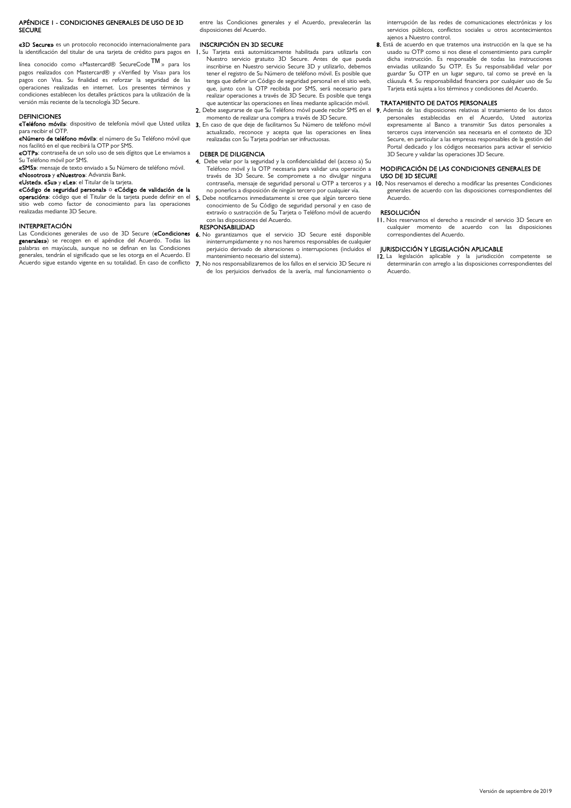## APÉNDICE 1 - CONDICIONES GENERALES DE USO DE 3D SECURE

«3D Secure» es un protocolo reconocido internacionalmente para la identificación del titular de una tarjeta de crédito para pagos en

línea conocido como «Mastercard® SecureCode™» para los pagos realizados con Mastercard® y «Verified by Visa» para los pagos con Visa. Su finalidad es reforzar la seguridad de las operaciones realizadas en internet. Los presentes términos y condiciones establecen los detalles prácticos para la utilización de la versión más reciente de la tecnología 3D Secure.

## DEFINICIONES

**«Teléfono móvil»**: dispositivo de telefonía móvil que Usted utiliza 3. En caso de que deje de facilitarnos Su Número de teléfono móvil para recibir el OTP.

«Número de teléfono móvil»: el número de Su Teléfono móvil que nos facilitó en el que recibirá la OTP por SMS.

«OTP»: contraseña de un solo uso de seis dígitos que Le enviamos a Su Teléfono móvil por SMS.

«SMS»: mensaje de texto enviado a Su Número de teléfono móvil. «Nosotros» y «Nuestro»: Advanzia Bank.

## «Usted», «Su» y «Le»: el Titular de la tarjeta.

«Código de seguridad personal» o «Código de validación de la operación»: código que el Titular de la tarjeta puede definir en el sitio web como factor de conocimiento para las operaciones realizadas mediante 3D Secure.

## INTERPRETACIÓN

Las Condiciones generales de uso de 3D Secure («Condiciones generales») se recogen en el apéndice del Acuerdo. Todas las palabras en mayúscula, aunque no se definan en las Condiciones generales, tendrán el significado que se les otorga en el Acuerdo. El Acuerdo sigue estando vigente en su totalidad. En caso de conflicto entre las Condiciones generales y el Acuerdo, prevalecerán las disposiciones del Acuerdo.

## INSCRIPCIÓN EN 3D SECURE

- 1. Su Tarjeta está automáticamente habilitada para utilizarla con Nuestro servicio gratuito 3D Secure. Antes de que pueda inscribirse en Nuestro servicio Secure 3D y utilizarlo, debemos tener el registro de Su Número de teléfono móvil. Es posible que tenga que definir un Código de seguridad personal en el sitio web, que, junto con la OTP recibida por SMS, será necesario para realizar operaciones a través de 3D Secure. Es posible que tenga que autenticar las operaciones en línea mediante aplicación móvil.
- 2. Debe asegurarse de que Su Teléfono móvil puede recibir SMS en el 9. Además de las disposiciones relativas al tratamiento de los datos momento de realizar una compra a través de 3D Secure.
- actualizado, reconoce y acepta que las operaciones en línea realizadas con Su Tarjeta podrían ser infructuosas.

### DEBER DE DILIGENCIA

- 4. Debe velar por la seguridad y la confidencialidad del (acceso a) Su Teléfono móvil y la OTP necesaria para validar una operación a través de 3D Secure. Se compromete a no divulgar ninguna contraseña, mensaje de seguridad personal u OTP a terceros y a no ponerlos a disposición de ningún tercero por cualquier vía.
- 5. Debe notificarnos inmediatamente si cree que algún tercero tiene conocimiento de Su Código de seguridad personal y en caso de extravío o sustracción de Su Tarjeta o Teléfono móvil de acuerdo con las disposiciones del Acuerdo.

## **RESPONSABILIDAD**

- 6. No garantizamos que el servicio 3D Secure esté disponible ininterrumpidamente y no nos haremos responsables de cualquier perjuicio derivado de alteraciones o interrupciones (incluidos el mantenimiento necesario del sistema).
- 7. No nos responsabilizaremos de los fallos en el servicio 3D Secure ni de los perjuicios derivados de la avería, mal funcionamiento o

interrupción de las redes de comunicaciones electrónicas y los servicios públicos, conflictos sociales u otros acontecimientos ajenos a Nuestro control.

8. Está de acuerdo en que tratemos una instrucción en la que se ha usado su OTP como si nos diese el consentimiento para cumplir dicha instrucción. Es responsable de todas las instrucciones enviadas utilizando Su OTP. Es Su responsabilidad velar por guardar Su OTP en un lugar seguro, tal como se prevé en la cláusula 4. Su responsabilidad financiera por cualquier uso de Su Tarjeta está sujeta a los términos y condiciones del Acuerdo.

## TRATAMIENTO DE DATOS PERSONALES

personales establecidas en el Acuerdo, Usted autoriza expresamente al Banco a transmitir Sus datos personales a terceros cuya intervención sea necesaria en el contexto de 3D Secure, en particular a las empresas responsables de la gestión del Portal dedicado y los códigos necesarios para activar el servicio 3D Secure y validar las operaciones 3D Secure.

### MODIFICACIÓN DE LAS CONDICIONES GENERALES DE USO DE 3D SECURE

10. Nos reservamos el derecho a modificar las presentes Condiciones generales de acuerdo con las disposiciones correspondientes del Acuerdo.

## RESOLUCIÓN

11. Nos reservamos el derecho a rescindir el servicio 3D Secure en cualquier momento de acuerdo con las disposiciones correspondientes del Acuerdo.

## JURISDICCIÓN Y LEGISLACIÓN APLICABLE

12. La legislación aplicable y la jurisdicción competente se determinarán con arreglo a las disposiciones correspondientes del Acuerdo.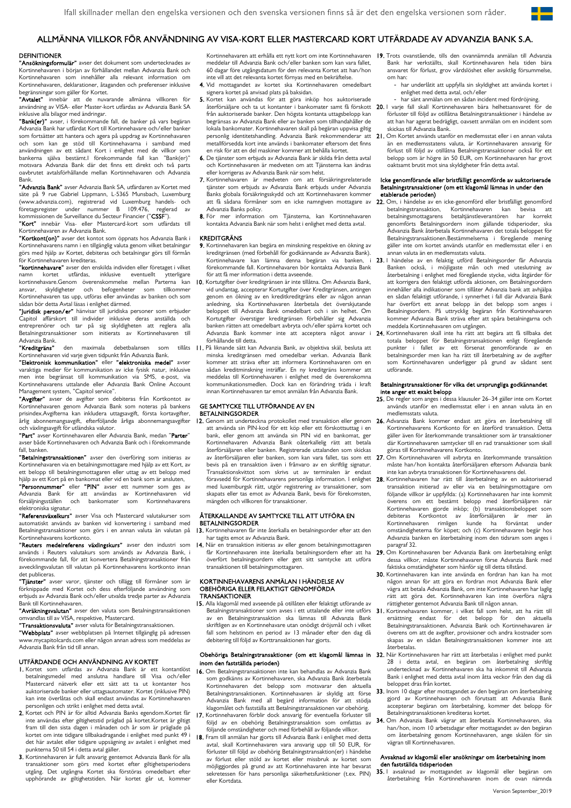## ALLMÄNNA VILLKOR FÖR ANVÄNDNING AV VISA-KORT ELLER MASTERCARD KORT UTFÄRDADE AV ADVANZIA BANK S.A.

## **DEFINITIONER**

"Ansökningsformulär" avser det dokument som undertecknades av Kortinnehavaren i början av förhållandet mellan Advanzia Bank och Kortinnehavaren som innehåller alla relevant information om Kortinnehavaren, deklarationer, åtaganden och preferenser inklusive begränsningar som gäller för Kortet.

"Avtalet" innebär att de nuvarande allmänna villkoren för användning av VISA- eller Master-kort utfärdas av Advanzia Bank SA inklusive alla bilagor med ändringar.

"Bank(er)" avser, i förekommande fall, de banker på vars begäran Advanzia Bank har utfärdat Kort till Kortinnehavare och/eller banker som fortsätter att hantera och agera på uppdrag av Kortinnehavaren och som kan ge stöd till Kortinnehavarna i samband med användningen av ett sådant Kort i enlighet med de villkor som bankerna själva bestämt. I förekommande fall kan "Bank(er)" motsvara Advanzia Bank där det finns ett direkt och två parts oavbrutet avtalsförhållande mellan Kortinnehavaren och Advanzia Bank.

"Advanzia Bank" avser Advanzia Bank SA, utfärdaren av Kortet med säte på 9 rue Gabriel Lippmann, L-5365 Munsbach, Luxemburg (www.advanzia.com), registrerad vid Luxemburg handels- och företagsregister under nummer B 109.476, reglerad av<br>kommissionen de Surveillance du Secteur Financier ("**CSSF**").

"Kort" innebär Visa- eller Mastercard-kort som utfärdats till

Kortinnehavaren av Advanzia Bank.<br>**"Kortkont(on)"** avser det kontot som öppnats hos Advanzia Bank i Kortinnehavarens namn i en tillgänglig valuta genom vilket betalningar görs med hjälp av Kortet, debiteras och betalningar görs till förmån för Kortinnehavaren krediteras.

"kortinnehavare" avser den enskilda individen eller företaget i vilket namn kortet utfärdas, inklusive eventuellt ytterligare kortinnehavare.Genom överenskommelse mellan Parterna kan ansvar, skyldigheter och befogenheter som tillkommer Kortinnehavaren tas upp, utföras eller användas av banken och som sådan bör detta Avtal läsas i enlighet därmed.

"Juridisk person/er" hänvisar till juridiska personer som erbjuder Capitol affärskort till individer inklusive deras anställda och entreprenörer och tar på sig skyldigheten att reglera alla Betalningstransaktioner som initierats av Kortinnehavaren till Advanzia Bank.

"Kreditgräns" den maximala debetbalansen som Kortinnehavaren vid varje given tidpunkt från Advanzia Bank.<br>**"Elektronisk kommunikation"** eller **"elektroniska medel"** avser

varaktiga medier för kommunikation av icke fysisk natur, inklusive men inte begränsat till kommunikation via SMS, e-post, via Kortinnehavarens uttalande eller Advanzia Bank Online Account Management system, "Capitol service".

"Avgifter" avser de avgifter som debiteras från Kortkontot av Kortinnehavaren genom Advanzia Bank som noteras på bankens prisindex.Avgifterna kan inkludera uttagsavgift, första kortavgifter, årlig abonnemangsavgift, efterföljande årliga abonnemangsavgifter och växlingsavgift för utländska valutor.

"Part" avser Kortinnehavaren eller Advanzia Bank, medan "Parter" avser både Kortinnehavaren och Advanzia Bank och i förekommande fall, banken.

"Betalningstransaktionen" avser den överföring som initieras av Kortinnehavaren via en betalningsmottagare med hjälp av ett Kort, av ett belopp till betalningsmottagaren eller uttag av ett belopp med hjälp av ett Kort på en bankomat eller vid en bank som är ansluten,

**"Personnummer"** eller **"PIN"** avser ett nummer som ges av<br>Advanzia Bank för att användas av Kortinnehavaren vid försäljningsställen och bankomater som Kortinnehavarens elektroniska signatur.<br>**"Referensväxelkurs"** avser Visa och Mastercard valutakurser som

automatiskt används av banken vid konvertering i samband med Betalningstransaktioner som görs i en annan valuta än valutan på Kortinnehavarens kortkonto.

"Reuters medelreferens växlingskurs" avser den industri som används i Reuters valutakurs som används av Advanzia Bank, i förekommande fall, för att konvertera Betalningstransaktioner från avvecklingsvalutan till valutan på Kortinnehavarens kortkonto innan det publiceras.

"Tjänster" avser varor, tjänster och tillägg till förmåner som är förknippade med Kortet och dess efterföljande användning som erbjuds av Advanzia Bank och/eller utvalda tredje parter av Advanzia Bank till Kortinnehavaren.

"Avräkningsvalutan" avser den valuta som Betalningstransaktionen omvandlas till av VISA, respektive, Mastercard.

omvandas amav visiv, respektive, i lästereard.<br>**"Transaktionsvaluta"** avser valuta för Betalningstransaktionen.

"Webbplats" avser webbplatsen på Internet tillgänglig på adressen www.mycapitolcards.com eller någon annan adress som meddelas av Advanzia Bank från tid till annan.

## UTFÄRDANDE OCH ANVÄNDNING AV KORTET

- 1. Kortet som utfärdas av Advanzia Bank är ett kontantlöst betalningsmedel med anslutna handlare till Visa och/eller Mastercard nätverk eller ett sätt att ta ut kontanter hos auktoriserade banker eller uttagsautomater. Kortet (inklusive PIN) kan inte överlåtas och skall endast användas av Kortinnehavaren personligen och strikt i enlighet med detta avtal.
- 2. Kortet och PIN är för alltid Advanzia Banks egendom.Kortet får inte användas efter giltighetstid präglad på kortet.Kortet är giltigt fram till den sista dagen i månaden och år som är präglade på kortet om inte tidigare tillbakadragande i enlighet med punkt 49 i det här avtalet eller tidigare uppsägning av avtalet i enlighet med punkterna 50 till 54 i detta avtal gäller.
- 3. Kortinnehavaren är fullt ansvarig gentemot Advanzia Bank för alla transaktioner som görs med kortet efter giltighetsperiodens utgång. Det utgångna Kortet ska förstöras omedelbart efter upphörande av giltighetstiden. När kortet går ut, kommer

meddelar till Advanzia Bank och/eller banken som kan vara fallet, 60 dagar före utgångsdatum för den relevanta Kortet att han/hon inte vill att det relevanta kortet förnyas med en bekräftelse.

- 4. Vid mottagandet av kortet ska Kortinnehavaren omedelbart signera kortet på anvisad plats på baksidan.
- 5. Kortet kan användas för att göra inköp hos auktoriserade från auktoriserade banker. Den högsta kontanta uttagsbelopp kan begränsas av Advanzia Bank eller av banken som tillhandahåller de lokala bankomater. Kortinnehavaren skall på begäran uppvisa giltig metallförsedda kort inte används i bankomater eftersom det finns en risk för att en del maskiner kommer att behålla kortet.
- 6. De tjänster som erbjuds av Advanzia Bank är skilda från detta avtal och Kortinnehavaren är medveten om att Tjänsterna kan ändras eller korrigeras av Advanzia Bank när som helst.
- 7. Kortinnehavaren är medveten om att försäkringsrelaterade tjänster som erbjuds av Advanzia Bank erbjuds under Advanzia Banks globala försäkringsskydd och att Kortinnehavaren kommer att få sådana förmåner som en icke namngiven mottagare av Advanzia Banks policy.
- 8. För mer information om Tjänsterna, kan Kortinnehavaren kontakta Advanzia Bank när som helst i enlighet med detta avtal.

## KREDITGRÄNS

- 9. Kortinnehavaren kan begära en minskning respektive en ökning av kreditgränsen (med förbehåll för godkännande av Advanzia Bank). Kortinnehavare kan lämna denna begäran via banken, i förekommande fall. Kortinnehavaren bör kontakta Advanzia Bank för att få mer information i detta avseende.
- 10. Kortutgifter över kreditgränsen är inte tillåtna. Om Advanzia Bank, vid undantag, accepterar Kortutgifter över Kreditgränsen, antingen genom en ökning av en kreditkreditgräns eller av någon annan anledning, ska Kortinnehavaren återbetala det överskjutande beloppet till Advanzia Bank omedelbart och i sin helhet. Om Kortutgifter överstiger kreditgränsen förbehåller sig Advanzia banken rätten att omedelbart avbryta och/eller spärra kortet och Advanzia Bank kommer inte att acceptera något ansvar i förhållande till detta.
- tillåts II. På liknande sätt kan Advanzia Bank, av objektiva skäl, besluta att minska kreditgränsen med omedelbar verkan. Advanzia Bank kommer att sträva efter att informera Kortinnehavaren om en sådan kreditminskning inträffar. En ny kreditgräns kommer att meddelas till Kortinnehavaren i enlighet med de överenskomna kommunikationsmedlen. Dock kan en förändring träda i kraft innan Kortinnehavaren tar emot anmälan från Advanzia Bank.

## GE SAMTYCKE TILL UTFÖRANDE AV EN BETALNINGSORDER

att använda sin PIN-kod för ett köp eller ett förskottsuttag i en bank, eller genom att använda sin PIN vid en bankomat, ger Kortinnehavaren Advanzia Bank oåterkallelig rätt att betala återförsäljaren eller banken. Registrerade uttalanden som skickas av återförsäljaren eller banken, som kan vara fallet, tas som ett bevis på en transaktion även i frånvaro av en skriftlig signatur. Transaktionskvittot som skrivs ut av terminalen är endast föravsedd för Kortinnehavarens personliga information. I enlighet med luxemburgsk rätt, utgör registrering av transaktioner, som skapats eller tas emot av Advanzia Bank, bevis för förekomsten mängden och villkoren för transaktioner.

## ÅTERKALLANDE AV SAMTYCKE TILL ATT UTFÖRA EN **BETALNINGSORDER**

- 13. Kortinnehavaren får inte återkalla en betalningsorder efter att den har tagits emot av Advanzia Bank.
- 14. När en transaktion initieras av eller genom betalningsmottagaren överfört betalningsordern eller gett sitt samtycke att utföra transaktionen till betalningsmottagaren.

## KORTINNEHAVARENS ANMÄLAN I HÄNDELSE AV OBEHÖRIGA ELLER FELAKTIGT GENOMFÖRDA TRANSAKTIONER

15. Alla klagomål med avseende på otillåten eller felaktigt utförande av Betalningstransaktioner som avses i ett uttalande eller inte utförs 31 av en Betalningstransaktion ska lämnas till Advanzia Bank skriftligen av en Kortinnehavare utan onödigt dröjsmål och i vilket fall som helstinom en period av 13 månader efter den dag då debitering till följd av Korttransaktionen har gjorts.

# inom den fastställda perioden)

- 16. Om Betalningstransaktionen inte kan behandlas av Advanzia Bank som godkänns av Kortinnehavaren, ska Advanzia Bank återbetala Kortinnehavaren det belopp som motsvarar den aktuella Betalningstransaktionen. Kortinnehavaren är skyldig att förse Advanzia Bank med all begärd information för att stödja klagomålet och fastställa att Betalningstransaktionen var obehörig.
- 17. Kortinnehavaren förblir dock ansvarig för eventuella förluster till följd av en obehörig Betalningstransaktion som omfattas av följande omständigheter och med förbehåll av följande villkor.
- 18. Fram till anmälan har gjorts till Advanzia Bank i enlighet med detta avtal, skall Kortinnehavaren vara ansvarig upp till 50 EUR, för förluster till följd av obehörig Betalningstransaktion(er) i händelse av förlust eller stöld av kortet eller missbruk av kortet som möjliggjordes på grund av att Kortinnehavaren inte har bevarat sekretessen för hans personliga säkerhetsfunktioner (t.ex. PIN) eller Kortdata.
- Kortinnehavaren att erhålla ett nytt kort om inte Kortinnehavaren 19. Trots ovanstående, tills den ovannämnda anmälan till Advanzia Bank har verkställts, skall Kortinnehavaren hela tiden bära ansvaret för förlust, grov vårdslöshet eller avsiktlig försummelse, om han:
	- har underlåtit att uppfylla sin skyldighet att använda kortet i enlighet med detta avtal, och/eller
	- har sänt anmälan om en sådan incident med fördröjning.
- återförsäljare och ta ut kontanter i bankomater samt få förskott 20. I varje fall skall Kortinnehavaren bära helhetsansvaret för de förluster till följd av otillåtna Betalningstransaktioner i händelse av att han har agerat bedrägligt, oavsett anmälan om en incident som skickas till Advanzia Bank.
- personlig identitetshandling. Advanzia Bank rekommenderar att 21. Om Kortet används utanför en medlemsstat eller i en annan valuta än en medlemsstatens valuta, är Kortinnehavaren ansvarig för förlust till följd av otillåtna Betalningstransaktioner också för ett belopp som är högre än 50 EUR, om Kortinnehavaren har grovt oaktsamt brutit mot sina skyldigheter från detta avtal.

#### Icke genomförande eller bristfälligt genomförde av auktoriserade Betalningstransaktioner (om ett klagomål lämnas in under den etablerade perioden)

- 22. Om, i händelse av en icke-genomförd eller bristfälligt genomförd<br>betalningstransaktion, Kortinnehavaren kan bevisa att Kortinnehavaren kan bevisa att betalningsmottagarens betaltjänstleverantören har korrekt genomförts Betalningsordern inom gällande tidsperioder, ska Advanzia Bank återbetala Kortinnehavaren det totala beloppet för Betalningstransaktionen.Bestämmelserna i föregående mening gäller inte om kortet används utanför en medlemsstat eller i en annan valuta än en medlemsstats valuta.
- 23. I händelse av en felaktig utförd Betalningsorder får Advanzia Banken också, i möjligaste mån och med uteslutning av återbetalning i enlighet med föregående stycke, vidta åtgärder för att korrigera den felaktigt utförda aktionen, om Betalningsordern innehåller alla indikationer som tillåter Advanzia bank att avhjälpa en sådan felaktigt utförande, i synnerhet i fall där Advanzia Bank har överfört ett annat belopp än det belopp som anges i Betalningsordern. På uttrycklig begäran från Kortinnehavaren kommer Advanzia Bank sträva efter att spåra betalningarna och meddela Kortinnehavaren om utgången.
- 24. Kortinnehavaren skall inte ha rätt att begära att få tillbaka det totala beloppet för Betalningstransaktionen enligt föregående punkter i fallet av ett försenat genomförande av en betalningsorder men kan ha rätt till återbetalning av de avgifter som Kortinnehavaren underligger på grund av sådant sent utförande.

## Betalningstransaktioner för vilka det ursprungliga godkännandet inte anger ett exakt belopp

- 25. De regler som anges i dessa klausuler 26–34 gäller inte om Kortet används utanför en medlemsstat eller i en annan valuta än en medlemsstats valuta.
- 12. Genom att underteckna protokollet med transaktion eller genom 26. Advanzia Bank kommer endast att göra en återbetalning till Kortinnehavarens Kortkonto för en återförd transaktion. Detta gäller även för återkommande transaktioner som är transaktioner där Kortinnehavaren samtycker till en rad transaktioner som skall göras till Kortinnehavarens Kortkonto.
	- 27. Om Kortinnehavaren vill avbryta en återkommande transaktion måste han/hon kontakta återförsäljaren eftersom Advanzia bank inte kan avbryta transaktionen för Kortinnehavarens del.
	- Kortinnehavaren har rätt till återbetalning av en auktoriserad transaktion initierad av eller via en betalningsmottagare om följande villkor är uppfyllda: (a) Kortinnehavaren har inte kommit överens om ett bestämt belopp med återförsäljaren när Kortinnehavaren gjorde inköp; (b) transaktionsbeloppet som debiteras Kortkontot av återförsäljaren är mer än<br>Kortinnehavaren rimligen kunde ha förväntat under Kortinnehavaren rimligen kunde ha förväntat under omständigheterna för köpet; och (c) Kortinnehavaren begär hos Advanzia banken en återbetalning inom den tidsram som anges i paragraf 32.
	- får Kortinnehavaren inte återkalla betalningsordern efter att ha 29. Om Kortinnehavaren ber Advanzia Bank om återbetalning enligt dessa villkor, måste Kortinnehavaren förse Advanzia Bank med faktiska omständigheter som hänför sig till detta tillstånd.
		- 30. Kortinnehavaren kan inte använda en fordran han kan ha mot någon annan för att göra en fordran mot Advanzia Bank eller vägra att betala Advanzia Bank, om inte Kortinnehavaren har laglig rätt att göra det. Kortinnehavaren kan inte överföra några rättigheter gentemot Advanzia Bank till någon annan.
		- 31. Kortinnehavaren kommer, i vilket fall som helst, att ha rätt till ersättning endast för det belopp för den aktuella Betalningstransaktionen. Advanzia Bank och Kortinnehavaren är överens om att de avgifter, provisioner och andra kostnader som skapas av en sådan Betalningstransaktionen kommer inte att återbetalas.
- Obehöriga Betalningstransaktioner (om ett klagomål lämnas in 32. När Kortinnehavaren har rätt att återbetalas i enlighet med punkt 28 i detta avtal, en begäran om återbetalning skriftlig undertecknad av Kortinnehavaren ska ha inkommit till Advanzia Bank i enlighet med detta avtal inom åtta veckor från den dag då beloppet dras från kortet.
	- 33. Inom 10 dagar efter mottagandet av den begäran om återbetalning gjord av Kortinnehavaren och förutsatt att Advanzia Bank accepterar begäran om återbetalning, kommer det belopp för Betalningstransaktionen krediteras kortet.
	- 34. Om Advanzia Bank vägrar att återbetala Kortinnehavaren, ska han/hon, inom 10 arbetsdagar efter mottagandet av den begäran om återbetalning genom Kortinnehavaren, ange skälen för sin vägran till Kortinnehavaren.

## Avsaknad av klagomål eller ansökningar om återbetalning inom den fastställda tidsperioden

35. I avsaknad av mottagandet av klagomål eller begäran om återbetalning från Kortinnehavaren inom de ovan nämnda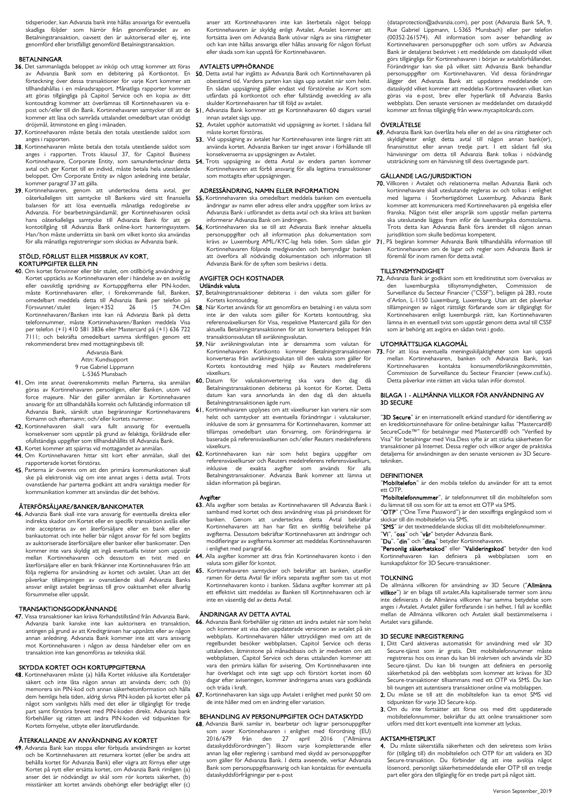tidsperioder, kan Advanzia bank inte hållas ansvariga för eventuella skadliga följder som härrör från genomförandet av en Betalningstransaktion, oavsett den är auktoriserad eller ej, inte genomförd eller bristfälligt genomförd Betalningstransaktion.

## BETALNINGAR

- 36. Det sammanlagda beloppet av inköp och uttag kommer att föras förteckning över dessa transaktioner för varje Kort kommer att tillhandahållas i en månadsrapport. Månatliga rapporter kommer att göras tillgängliga på Capitol Service och en kopia av ditt kontoutdrag kommer att överlämnas till Kortinnehavaren via epost och/eller till din Bank. Kortinnehavaren samtycker till att de kommer att läsa och samråda uttalandet omedelbart utan onödigt dröjsmål, åtminstone en gång i månaden.
- 37. Kortinnehavaren måste betala den totala utestående saldot som anges i rapporten.
- 38. Kortinnehavaren måste betala den totala utestående saldot som anges i rapporten. Trots klausul 37, för Capitol Business Kortinnehavare, Corporate Entity, som samundertecknar detta avtal och ger Kortet till en individ, måste betala hela utestående beloppet. Om Corporate Entity av någon anledning inte betalar, kommer paragraf 37 att gälla.
- 39. Kortinnehavaren, genom att underteckna detta avtal, ger oåterkalleligen sitt samtycke till Bankens värd sitt finansiella 55. Kortinnehavaren ska omedelbart meddela banken om eventuella balansen för att lösa eventuella månatliga redogörelse av Advanzia. För bearbetningsändamål, ger Kortinnehavaren också hans oåterkalleliga samtycke till Advanzia Bank för att ge kontotillgång till Advanzia Bank online-kort hanteringssystem. Han/hon måste underrätta sin bank om vilket konto ska användas för alla månatliga registreringar som skickas av Advanzia bank.

#### STÖLD, FÖRLUST ELLER MISSBRUK AV KORT, KORTUPPGIFTER ELLER PIN

40. Om kortet försvinner eller blir stulet, om otillbörlig användning av Kortet upptäcks av Kortinnehavaren eller i händelse av en avsiktlig eller oavsiktlig spridning av Kortuppgifterna eller PIN-koden, måste Kortinnehavaren eller, i förekommande fall, Banken, omedelbart meddela detta till Advanzia Bank per telefon på Försvunnet/stulet linjen:+352 26 15 74.Om Kortinnehavaren/Banken inte kan nå Advanzia Bank på detta telefonnummer, måste Kortinnehavaren/Banken meddela Visa per telefon (+1) 410 581 3836 eller Mastercard på (+1) 636 722 7111; och bekräfta omedelbart samma skriftligen genom ett rekommenderat brev med mottagningsbevis till:

Advanzia Bank Attn: Kundsupport 9 rue Gabriel Lippmann L-5365 Munsbach

- 41. Om inte annat överenskommits mellan Parterna, ska anmälan göras av Kortinnehavaren personligen, eller Banken, utom vid force majeure. När det gäller anmälan är Kortinnehavaren
- ansvarig för att tillhandahålla korrekt och fullständig information till Advanzia Bank, särskilt utan begränsningar Kortinnehavarens förnamn och efternamn; och/eller kortets nummer. 42. Kortinnehavaren skall vara fullt ansvarig för eventuella
- konsekvenser som uppstår på grund av felaktiga, föråldrade eller ofullständiga uppgifter som tillhandahållits till Advanzia Bank.
- 43. Kortet kommer att spärras vid mottagandet av anmälan. 44. Om Kortinnehavaren hittar sitt kort efter anmälan, skall det 62. Kortinnehavaren kan när som helst begära uppgifter om
- rapporterade kortet förstöras. 45. Parterna är överens om att den primära kommunikationen skall ske på elektronisk väg om inte annat anges i detta avtal. Trots ovanstående har parterna godkänt att andra varaktiga medier för kommunikation kommer att användas där det behövs.

## ÅTERFÖRSÄLJARE/BANKER/BANKOMATER

46. Advanzia Bank skall inte vara ansvarig för eventuella direkta eller indirekta skador om Kortet eller en specifik transaktion avslås eller inte accepteras av en återförsäljare eller en bank eller en bankautomat och inte heller bär något ansvar för fel som begåtts av auktoriserade återförsäljare eller banker eller bankomater. Den kommer inte vara skyldig att ingå eventuella tvister som uppstår mellan Kortinnehavaren och dessutom en tvist med en återförsäljare eller en bank frikänner inte Kortinnehavaren från att följa reglerna för användning av kortet och avtalet. Utan att det påverkar tillämpningen av ovanstående skall Advanzia Banks ansvar enligt avtalet begränsas till grov oaktsamhet eller allvarlig försummelse eller uppsåt.

## TRANSAKTIONSGODKÄNNANDE

47. Vissa transaktioner kan kräva förhandstillstånd från Advanzia Bank. Advanzia bank kanske inte kan auktorisera en transaktion, antingen på grund av att Kreditgränsen har uppnåtts eller av någon annan anledning. Advanzia Bank kommer inte att vara ansvarig mot Kortinnehavaren i någon av dessa händelser eller om en transaktion inte kan genomföras av tekniska skäl.

## SKYDDA KORTET OCH KORTUPPGIFTERNA

48. Kortinnehavaren måste (a) hålla Kortet inklusive alla Kortdetaljer säkert och inte låta någon annan att använda dem; och (b) memorera sin PIN-kod och annan säkerhetsinformation och hålla dem hemliga hela tiden, aldrig skriva PIN-koden på kortet eller på något som vanligtvis hålls med det eller är tillgängligt för tredje part samt förstöra brevet med PIN-koden direkt. Advanzia bank förbehåller sig rätten att ändra PIN-koden vid tidpunkten för Kortets förnyelse, utbyte eller återutfärdande.

## ÅTERKALLANDE AV ANVÄNDNING AV KORTET

49. Advanzia Bank kan stoppa eller förbjuda användningen av kortet och be Kortinnehavaren att returnera kortet (eller be andra att behålla kortet för Advanzia Bank) eller vägra att förnya eller utge Kortet på nytt eller ersätta kortet, om Advanzia Bank rimligen (a) anser det är nödvändigt av skäl som rör kortets säkerhet, (b) misstänker att kortet används obehörigt eller bedrägligt eller (c) anser att Kortinnehavaren inte kan återbetala något belopp Kortinnehavaren är skyldig enligt Avtalet. Avtalet kommer att fortsätta även om Advanzia Bank utövar några av sina rättigheter och kan inte hållas ansvariga eller hållas ansvarig för någon förlust eller skada som kan uppstå för Kortinnehavaren.

## AVTALETS UPPHÖRANDE

- av Advanzia Bank som en debitering på Kortkontot. En 50. Detta avtal har ingåtts av Advanzia-Bank och Kortinnehavaren på obestämd tid. Vardera parten kan säga upp avtalet när som helst. En sådan uppsägning gäller endast vid förstörelse av Kort som utfärdats på kortkontot och efter fullständig avveckling av alla skulder Kortinnehavaren har till följd av avtalet.
	- 51. Advanzia Bank kommer att ge Kortinnehavaren 60 dagars varsel innan avtalet sägs upp.
	- 52. Avtalet upphör automatiskt vid uppsägning av kortet. I sådana fall måste kortet förstöras.
	- 53. Vid uppsägning av avtalet har Kortinnehavaren inte längre rätt att använda kortet. Advanzia Banken tar inget ansvar i förhållande till konsekvenserna av uppsägningen av Avtalet.
	- 54. Trots uppsägning av detta Avtal av endera parten kommer Kortinnehavaren att förbli ansvarig för alla legitima transaktioner som mottagits efter uppsägningen.

## ADRESSÄNDRING, NAMN ELLER INFORMATION

- ändringar av namn eller adress eller andra uppgifter som krävs av Advanzia Bank i utförandet av detta avtal och ska kräva att banken informerar Advanzia Bank om ändringen.
- 56. Kortinnehavaren ska se till att Advanzia Bank innehar aktuella personuppgifter och all information plus dokumentation som krävs av Luxemburg AML/KYC-lag hela tiden. Som sådan gör Kortinnehavaren följande medgivanden och bemyndigar banken att överföra all nödvändig dokumentation och information till Advanzia Bank för de syften som beskrivs i detta.

## AVGIFTER OCH KOSTNADER

## Utländsk valuta

- 57. Betalningstransaktioner debiteras i den valuta som gäller för Kortets kontoutdrag. 58. När Kortet används för att genomföra en betalning i en valuta som
- inte är den valuta som gäller för Kortets kontoutdrag, ska referensväxelkursen för Visa, respektive Mastercard gälla för den aktuella Betalningstransaktionen för att konvertera beloppet från transaktionsvalutan till avräkningsvalutan.
- 59. När avräkningsvalutan inte är densamma som valutan för Kortinnehavaren Kortkonto kommer Betalningstransaktionen konverteras från avräkningsvalutan till den valuta som gäller för Kortets kontoutdrag med hjälp av Reuters medelreferens växelkurs.
- 60. Datum för valutakonvertering ska vara den dag då Betalningstransaktionen debiteras på kontot för Kortet. Detta datum kan vara annorlunda än den dag då den aktuella Betalningstransaktionen ägde rum.
- 61. Kortinnehavaren upplyses om att växelkurser kan variera när som helst och samtycker att eventuella förändringar i valutakurser, inklusive de som är gynnsamma för Kortinnehavaren, kommer att tillämpas omedelbart utan förvarning, om förändringarna är baserade på referensväxelkursen och/eller Reuters medelreferens växelkurs.
- referensväxelkurser och Reuters medelreferens referensväxelkurs,<br>inklusive de exakta avgifter som används för alla de exakta avgifter Betalningstransaktioner. Advanzia Bank kommer att lämna ut sådan information på begäran.

## Avgifter

- 63. Alla avgifter som betalas av Kortinnehavaren till Advanzia Bank i samband med kortet och dess användning visas på prisindexet för banken. Genom att underteckna detta Avtal bekräftar Kortinnehavaren att han har fått en skriftlig bekräftelse på avgifterna. Dessutom bekräftar Kortinnehavaren att ändringar och modifieringar av avgifterna kommer att meddelas Kortinnehavaren i enlighet med paragraf 66.
- 64. Alla avgifter kommer att dras från Kortinnehavaren konto i den valuta som gäller för kontot.
- 65. Kortinnehavaren samtycker och bekräftar att banken, utanför ramen för detta Avtal får införa separata avgifter som tas ut mot Kortinnehavaren konto i banken. Sådana avgifter kommer att på ett effektivt sätt meddelas av Banken till Kortinnehavaren och är inte en väsentlig del av detta Avtal.

## ÄNDRINGAR AV DETTA AVTAL

- 66. Advanzia Bank förbehåller sig rätten att ändra avtalet när som helst och kommer att visa den uppdaterade versionen av avtalet på sin webbplats. Kortinnehavaren håller uttryckligen med om att de regelbundet besöker webbplatsen, Capitol Service och deras uttalanden, åtminstone på månadsbasis och är medveten om att webbplatsen, Capitol Service och deras uttalanden kommer att vara den primära källan för avisering. Om Kortinnehavaren inte har överklagat och inte sagt upp och förstört kortet inom 60 dagar efter aviseringen, kommer ändringarna anses vara godkända och träda i kraft.
- 67. Kortinnehavaren kan säga upp Avtalet i enlighet med punkt 50 om de inte håller med om en ändring eller variation.

## BEHANDLING AV PERSONUPPGIFTER OCH DATASKYDD

68. Advanzia Bank samlar in, bearbetar och lagrar personuppgifter som avser Kortinnehavaren i enlighet med förordning (EU) 2016/679 från den 27 april 2016 ("Allmänna dataskyddsförordningen") liksom varje kompletterande eller annan lag eller reglering i samband med skydd av personuppgifter som gäller för Advanzia Bank. I detta avseende, verkar Advanzia Bank som personuppgiftsansvarig och kan kontaktas för eventuella dataskyddsförfrågningar per e-post

(dataprotection@advanzia.com), per post (Advanzia Bank SA, 9, Rue Gabriel Lippmann, L-5365 Munsbach) eller per telefon (00352-261574). All information som avser behandling av Kortinnehavaren personuppgifter och som utförs av Advanzia Bank är detaljerat beskrivet i ett meddelande om dataskydd vilket görs tillgängliga för Kortinnehavaren i början av avtalsförhållandet. Förändringar kan ske på vilket sätt Advanzia Bank behandlar personuppgifter om Kortinnehavaren. Vid dessa förändringar åligger det Advanzia Bank att uppdatera meddelande om dataskydd vilket kommer att meddelas Kortinnehavaren vilket kan göras via e-post, brev eller hyperlänk till Advanzia Banks webbplats. Den senaste versionen av meddelandet om dataskydd kommer att finnas tillgänglig från www.mycapitolcards.com.

## ÖVERLÅTELSE

69. Advanzia Bank kan överlåta hela eller en del av sina rättigheter och skyldigheter enligt detta avtal till någon annan bank(er), finansinstitut eller annan tredje part. I ett sådant fall ska hänvisningar om detta till Advanzia Bank tolkas i nödvändig utsträckning som en hänvisning till dess övertagande part.

## GÄLLANDE LAG/JURISDIKTION

- 70. Villkoren i Avtalet och relationerna mellan Advanzia Bank och kortinnehavare skall uteslutande regleras av och tolkas i enlighet med lagarna i Storhertigdömet Luxemburg. Advanzia Bank kommer att kommunicera med Kortinnehavaren på engelska eller franska. Någon tvist eller anspråk som uppstår mellan parterna ska uteslutande läggas fram inför de luxemburgska domstolarna. Trots detta kan Advanzia Bank föra ärendet till någon annan jurisdiktion som skulle bedömas kompetent.
- 71. På begäran kommer Advanzia Bank tillhandahålla information till Kortinnehavaren om de lagar och regler som Advanzia Bank är föremål för inom ramen för detta avtal.

## TILLSYNSMYNDIGHET

**72.** Advanzia Bank är godkänt som ett kreditinstitut som övervakas av den luxemburgska tillsvnsmyndigheten. Commission de den luxemburgska tillsynsmyndigheten, Commission de Surveillance du Secteur Financier ("CSSF"), belägen på 283, route d'Arlon, L-1150 Luxemburg, Luxemburg. Utan att det påverkar tillämpningen av något rättsligt förfarande som är tillgängligt för Kortinnehavaren enligt luxemburgsk rätt, kan Kortinnehavaren lämna in en eventuell tvist som uppstår genom detta avtal till CSSF som är behörig att avgöra en sådan tvist i godo.

## UTOMRÄTTSLIGA KLAGOMÅL

73. För att lösa eventuella meningsskiljaktigheter som kan uppstå von utenstor en en en megenomen och Advanzia Bank, kan<br>mellan Kortinnehavaren, banken och Advanzia Bank, kan<br>Kortinnehavaren kontakta konsumentförlikningskommittén. konsumentförlikningskommittén. Commission de Surveillance du Secteur Financier (www.cssf.lu). Detta påverkar inte rätten att väcka talan inför domstol.

## BILAGA 1 - ALLMÄNNA VILLKOR FÖR ANVÄNDNING AV 3D SECURE

"3D Secure" är en internationellt erkänd standard för identifiering av en kreditkortsinnehavare för online-betalningar kallas "Mastercard® SecureCode™" för betalningar med Mastercard® och "Verified by Visa" för betalningar med Visa.Dess syfte är att stärka säkerheten för transaktioner på Internet. Dessa regler och villkor anger de praktiska detaljerna för användningen av den senaste versionen av 3D Securetekniken.

#### **DEFINITIONER**

"Mobiltelefon" är den mobila telefon du använder för att ta emot ett OTP.

"Mobiltelefonnummer", är telefonnumret till din mobiltelefon som du lämnat till oss som för att ta emot ett OTP via SMS.

"OTP" ("One Time Password") är den sexsiffriga engångskod som vi skickar till din mobiltelefon via SMS.

"SMS" är det textmeddelande skickas till ditt mobiltelefonnummer.

"**Vi**", "**oss**" och "**vår**" betyder Advanzia Bank.<br>"**Du**", "**din**" och "**dina**" betyder Kortinnehavaren.

"Personlig säkerhetskod" eller "Valideringskod" betyder den kod Kortinnehavaren kan definiera på webbplatsen som en kunskapsfaktor för 3D Secure-transaktioner.

#### TOLKNING

De allmänna villkoren för användning av 3D Secure ("Allmänna villkor") är en bilaga till avtalet.Alla kapitaliserade termer som ännu inte definierats i de Allmänna villkoren har samma betydelse som anges i Avtalet. Avtalet gäller fortfarande i sin helhet. I fall av konflikt mellan de Allmänna villkoren och Avtalet skall bestämmelserna i Avtalet vara gällande.

## 3D SECURE INREGISTRERING

- 1. Ditt Card aktiveras automatiskt för användning med vår 3D Secure-tjänst som är gratis. Ditt mobiltelefonnummer måste registreras hos oss innan du kan bli inskriven och använda vår 3D Secure-tjänst. Du kan bli tvungen att definiera en personlig säkerhetskod på den webbplats som kommer att krävas för 3D Secure-transaktioner tillsammans med ett OTP via SMS. Du kan bli tvungen att autentisera transaktioner online via mobilappen.
- 2. Du måste se till att din mobiltelefon kan ta emot SMS vid tidpunkten för varje 3D Secure-köp.
- 3. Om du inte fortsätter att förse oss med ditt uppdaterade mobiltelefonnummer, bekräftar du att online transaktioner som utförs med ditt kort eventuellt inte kommer att lyckas.

## AKTSAMHETSPLIKT

4. Du måste säkerställa säkerheten och den sekretess som krävs för (tillgång till) din mobiltelefon och OTP för att validera en 3D Secure-transaktion. Du förbinder dig att inte avslöja något lösenord, personligt säkerhetsmeddelande eller OTP till en tredje part eller göra den tillgänglig för en tredje part på något sätt.